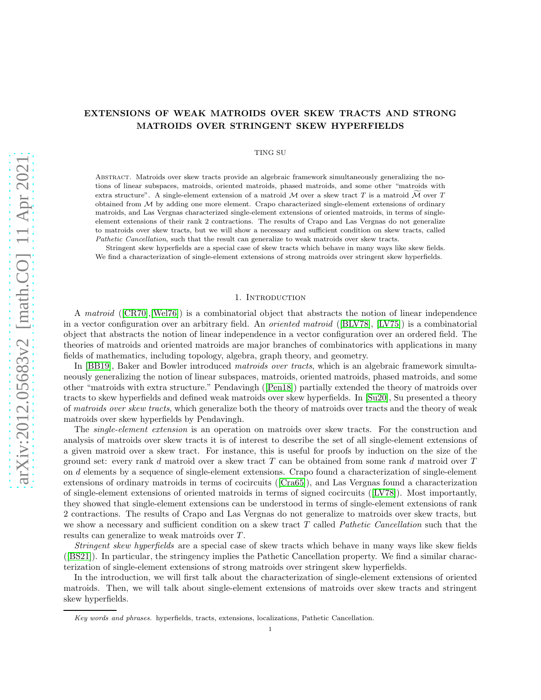TING SU

Abstract. Matroids over skew tracts provide an algebraic framework simultaneously generalizing the notions of linear subspaces, matroids, oriented matroids, phased matroids, and some other "matroids with extra structure". A single-element extension of a matroid M over a skew tract T is a matroid M over T obtained from  $M$  by adding one more element. Crapo characterized single-element extensions of ordinary matroids, and Las Vergnas characterized single-element extensions of oriented matroids, in terms of singleelement extensions of their rank 2 contractions. The results of Crapo and Las Vergnas do not generalize to matroids over skew tracts, but we will show a necessary and sufficient condition on skew tracts, called *Pathetic Cancellation*, such that the result can generalize to weak matroids over skew tracts.

Stringent skew hyperfields are a special case of skew tracts which behave in many ways like skew fields. We find a characterization of single-element extensions of strong matroids over stringent skew hyperfields.

### 1. INTRODUCTION

A *matroid* ([\[CR70\]](#page-36-0),[\[Wel76\]](#page-37-0)) is a combinatorial object that abstracts the notion of linear independence in a vector configuration over an arbitrary field. An *oriented matroid* ([\[BLV78\]](#page-36-1), [\[LV75\]](#page-37-1)) is a combinatorial object that abstracts the notion of linear independence in a vector configuration over an ordered field. The theories of matroids and oriented matroids are major branches of combinatorics with applications in many fields of mathematics, including topology, algebra, graph theory, and geometry.

In [\[BB19\]](#page-36-2), Baker and Bowler introduced *matroids over tracts*, which is an algebraic framework simultaneously generalizing the notion of linear subspaces, matroids, oriented matroids, phased matroids, and some other "matroids with extra structure." Pendavingh ([\[Pen18\]](#page-37-2)) partially extended the theory of matroids over tracts to skew hyperfields and defined weak matroids over skew hyperfields. In [\[Su20\]](#page-37-3), Su presented a theory of *matroids over skew tracts*, which generalize both the theory of matroids over tracts and the theory of weak matroids over skew hyperfields by Pendavingh.

The *single-element extension* is an operation on matroids over skew tracts. For the construction and analysis of matroids over skew tracts it is of interest to describe the set of all single-element extensions of a given matroid over a skew tract. For instance, this is useful for proofs by induction on the size of the ground set: every rank d matroid over a skew tract  $T$  can be obtained from some rank d matroid over  $T$ on d elements by a sequence of single-element extensions. Crapo found a characterization of single-element extensions of ordinary matroids in terms of cocircuits ([\[Cra65\]](#page-36-3)), and Las Vergnas found a characterization of single-element extensions of oriented matroids in terms of signed cocircuits ([\[LV78\]](#page-37-4)). Most importantly, they showed that single-element extensions can be understood in terms of single-element extensions of rank 2 contractions. The results of Crapo and Las Vergnas do not generalize to matroids over skew tracts, but we show a necessary and sufficient condition on a skew tract T called *Pathetic Cancellation* such that the results can generalize to weak matroids over T .

*Stringent skew hyperfields* are a special case of skew tracts which behave in many ways like skew fields ([\[BS21\]](#page-36-4)). In particular, the stringency implies the Pathetic Cancellation property. We find a similar characterization of single-element extensions of strong matroids over stringent skew hyperfields.

In the introduction, we will first talk about the characterization of single-element extensions of oriented matroids. Then, we will talk about single-element extensions of matroids over skew tracts and stringent skew hyperfields.

*Key words and phrases.* hyperfields, tracts, extensions, localizations, Pathetic Cancellation.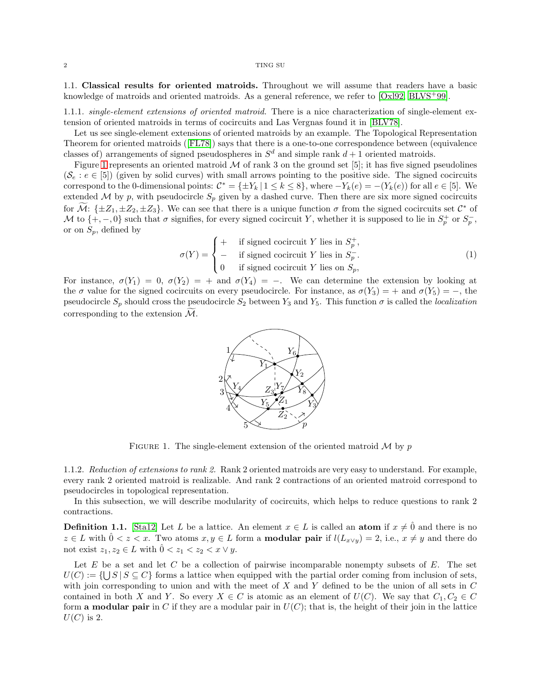1.1. Classical results for oriented matroids. Throughout we will assume that readers have a basic knowledge of matroids and oriented matroids. As a general reference, we refer to [\[Oxl92,](#page-37-5) [BLVS](#page-36-5)+99].

<span id="page-1-2"></span>1.1.1. *single-element extensions of oriented matroid.* There is a nice characterization of single-element extension of oriented matroids in terms of cocircuits and Las Vergnas found it in [\[BLV78\]](#page-36-1).

Let us see single-element extensions of oriented matroids by an example. The Topological Representation Theorem for oriented matroids ([\[FL78\]](#page-36-6)) says that there is a one-to-one correspondence between (equivalence classes of) arrangements of signed pseudospheres in  $S<sup>d</sup>$  and simple rank  $d+1$  oriented matroids.

Figure [1](#page-1-0) represents an oriented matroid  $M$  of rank 3 on the ground set [5]; it has five signed pseudolines  $(\mathcal{S}_e : e \in [5])$  (given by solid curves) with small arrows pointing to the positive side. The signed cocircuits correspond to the 0-dimensional points:  $\mathcal{C}^* = \{\pm Y_k | 1 \leq k \leq 8\}$ , where  $-Y_k(e) = -(Y_k(e))$  for all  $e \in [5]$ . We extended M by p, with pseudocircle  $S_p$  given by a dashed curve. Then there are six more signed cocircuits for  $\mathcal{M}$ : { $\pm Z_1, \pm Z_2, \pm Z_3$ }. We can see that there is a unique function  $\sigma$  from the signed cocircuits set  $\mathcal{C}^*$  of M to  $\{+, -, 0\}$  such that  $\sigma$  signifies, for every signed cocircuit Y, whether it is supposed to lie in  $S_p^+$  or  $S_p^-$ , or on  $S_p$ , defined by

<span id="page-1-1"></span>
$$
\sigma(Y) = \begin{cases}\n+ & \text{if signed cocircuit } Y \text{ lies in } S_p^+, \\
- & \text{if signed cocircuit } Y \text{ lies in } S_p^-\n\end{cases}
$$
\n(1)\n
$$
\sigma(Y) = \begin{cases}\n+ & \text{if signed cocircuit } Y \text{ lies in } S_p^-\n\end{cases}
$$

<span id="page-1-0"></span>For instance,  $\sigma(Y_1) = 0$ ,  $\sigma(Y_2) = +$  and  $\sigma(Y_4) = -$ . We can determine the extension by looking at the  $\sigma$  value for the signed cocircuits on every pseudocircle. For instance, as  $\sigma(Y_3) = +$  and  $\sigma(Y_5) = -$ , the pseudocircle  $S_p$  should cross the pseudocircle  $S_2$  between  $Y_3$  and  $Y_5$ . This function  $\sigma$  is called the *localization* corresponding to the extension  $\mathcal{M}$ .



FIGURE 1. The single-element extension of the oriented matroid  $M$  by  $p$ 

1.1.2. *Reduction of extensions to rank 2.* Rank 2 oriented matroids are very easy to understand. For example, every rank 2 oriented matroid is realizable. And rank 2 contractions of an oriented matroid correspond to pseudocircles in topological representation.

In this subsection, we will describe modularity of cocircuits, which helps to reduce questions to rank 2 contractions.

**Definition 1.1.** [\[Sta12\]](#page-37-6) Let L be a lattice. An element  $x \in L$  is called an atom if  $x \neq 0$  and there is no  $z \in L$  with  $0 < z < x$ . Two atoms  $x, y \in L$  form a **modular pair** if  $l(L_{x \vee y}) = 2$ , i.e.,  $x \neq y$  and there do not exist  $z_1, z_2 \in L$  with  $\hat{0} < z_1 < z_2 < x \vee y$ .

Let  $E$  be a set and let  $C$  be a collection of pairwise incomparable nonempty subsets of  $E$ . The set  $U(C) := \{ \bigcup S \mid S \subseteq C \}$  forms a lattice when equipped with the partial order coming from inclusion of sets, with join corresponding to union and with the meet of  $X$  and  $Y$  defined to be the union of all sets in  $C$ contained in both X and Y. So every  $X \in C$  is atomic as an element of  $U(C)$ . We say that  $C_1, C_2 \in C$ form **a modular pair** in C if they are a modular pair in  $U(C)$ ; that is, the height of their join in the lattice  $U(C)$  is 2.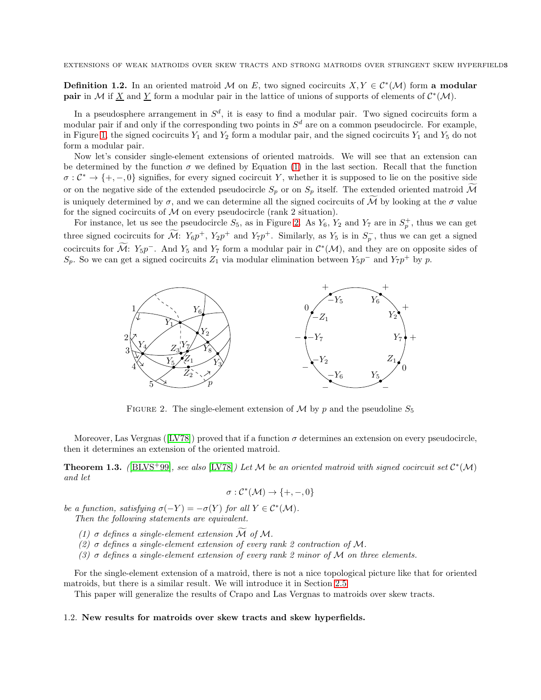**Definition 1.2.** In an oriented matroid M on E, two signed cocircuits  $X, Y \in C^*(\mathcal{M})$  form a modular **pair** in M if <u>X</u> and <u>Y</u> form a modular pair in the lattice of unions of supports of elements of  $\mathcal{C}^*(\mathcal{M})$ .

In a pseudosphere arrangement in  $S^d$ , it is easy to find a modular pair. Two signed cocircuits form a modular pair if and only if the corresponding two points in  $S<sup>d</sup>$  are on a common pseudocircle. For example, in Figure [1,](#page-1-0) the signed cocircuits  $Y_1$  and  $Y_2$  form a modular pair, and the signed cocircuits  $Y_1$  and  $Y_5$  do not form a modular pair.

Now let's consider single-element extensions of oriented matroids. We will see that an extension can be determined by the function  $\sigma$  we defined by Equation [\(1\)](#page-1-1) in the last section. Recall that the function  $\sigma: \mathcal{C}^* \to \{+,-,0\}$  signifies, for every signed cocircuit Y, whether it is supposed to lie on the positive side or on the negative side of the extended pseudocircle  $S_p$  or on  $S_p$  itself. The extended oriented matroid M is uniquely determined by  $\sigma$ , and we can determine all the signed cocircuits of  $\tilde{M}$  by looking at the  $\sigma$  value for the signed cocircuits of  $\mathcal M$  on every pseudocircle (rank 2 situation).

For instance, let us see the pseudocircle  $S_5$ , as in Figure [2.](#page-2-0) As  $Y_6$ ,  $Y_2$  and  $Y_7$  are in  $S_p^+$ , thus we can get three signed cocircuits for  $\mathcal{M}$ :  $Y_6p^+$ ,  $Y_2p^+$  and  $Y_7p^+$ . Similarly, as  $Y_5$  is in  $S_p^-$ , thus we can get a signed cocircuits for M:  $Y_5p^-$ . And  $Y_5$  and  $Y_7$  form a modular pair in  $\mathcal{C}^*(\mathcal{M})$ , and they are on opposite sides of  $S_p$ . So we can get a signed cocircuits  $Z_1$  via modular elimination between  $Y_5p^-$  and  $Y_7p^+$  by p.

<span id="page-2-0"></span>

FIGURE 2. The single-element extension of M by p and the pseudoline  $S_5$ 

Moreover, Las Vergnas ([\[LV78\]](#page-37-4)) proved that if a function  $\sigma$  determines an extension on every pseudocircle, then it determines an extension of the oriented matroid.

<span id="page-2-1"></span>**Theorem 1.3.** ([\[BLVS](#page-36-5)<sup>+</sup>99], see also [\[LV78\]](#page-37-4)) Let M be an oriented matroid with signed cocircuit set  $\mathcal{C}^*(\mathcal{M})$ *and let*

$$
\sigma: \mathcal{C}^*(\mathcal{M}) \to \{+,-,0\}
$$

*be a function, satisfying*  $\sigma(-Y) = -\sigma(Y)$  *for all*  $Y \in C^*(\mathcal{M})$ *.* 

*Then the following statements are equivalent.*

- *(1)*  $\sigma$  *defines a single-element extension*  $\widetilde{\mathcal{M}}$  *of*  $\mathcal{M}$ *.*
- *(2)* σ *defines a single-element extension of every rank 2 contraction of* M*.*
- *(3)* σ *defines a single-element extension of every rank 2 minor of* M *on three elements.*

For the single-element extension of a matroid, there is not a nice topological picture like that for oriented matroids, but there is a similar result. We will introduce it in Section [2.5](#page-9-0)

This paper will generalize the results of Crapo and Las Vergnas to matroids over skew tracts.

### 1.2. New results for matroids over skew tracts and skew hyperfields.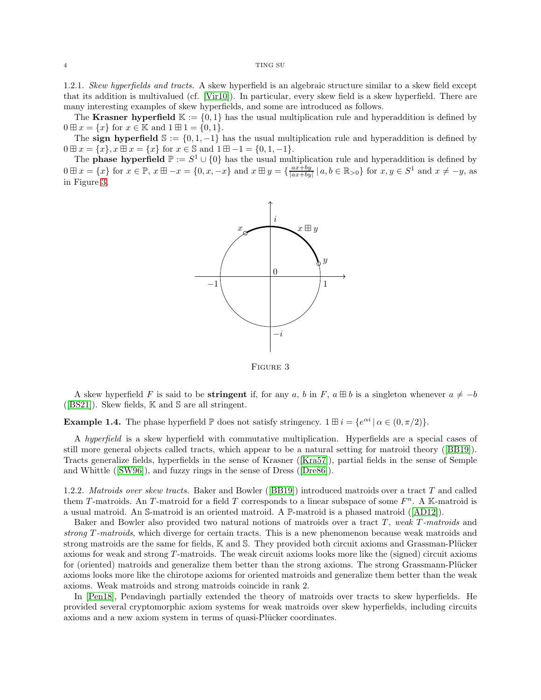1.2.1. *Skew hyperfields and tracts.* A skew hyperfield is an algebraic structure similar to a skew field except that its addition is multivalued (cf. [\[Vir10\]](#page-37-7)). In particular, every skew field is a skew hyperfield. There are many interesting examples of skew hyperfields, and some are introduced as follows.

The Krasner hyperfield  $\mathbb{K} := \{0,1\}$  has the usual multiplication rule and hyperaddition is defined by  $0 \boxplus x = \{x\}$  for  $x \in \mathbb{K}$  and  $1 \boxplus 1 = \{0, 1\}.$ 

The sign hyperfield  $\mathbb{S} := \{0, 1, -1\}$  has the usual multiplication rule and hyperaddition is defined by  $0 \boxplus x = \{x\}, x \boxplus x = \{x\}$  for  $x \in \mathbb{S}$  and  $1 \boxplus -1 = \{0, 1, -1\}.$ 

<span id="page-3-0"></span>The **phase hyperfield**  $\mathbb{P} := S^1 \cup \{0\}$  has the usual multiplication rule and hyperaddition is defined by  $0 \boxplus x = \{x\}$  for  $x \in \mathbb{P}$ ,  $x \boxplus -x = \{0, x, -x\}$  and  $x \boxplus y = \{\frac{ax+by}{|ax+by|} \mid a, b \in \mathbb{R}_{>0}\}$  for  $x, y \in S^1$  and  $x \neq -y$ , as in Figure [3.](#page-3-0)



Figure 3

A skew hyperfield F is said to be **stringent** if, for any a, b in F,  $a \boxplus b$  is a singleton whenever  $a \neq -b$ ( $[BS21]$ ). Skew fields,  $K$  and  $S$  are all stringent.

**Example 1.4.** The phase hyperfield  $\mathbb P$  does not satisfy stringency.  $1 \mathbb H i = \{e^{\alpha i} | \alpha \in (0, \pi/2) \}.$ 

A *hyperfield* is a skew hyperfield with commutative multiplication. Hyperfields are a special cases of still more general objects called tracts, which appear to be a natural setting for matroid theory ([\[BB19\]](#page-36-2)). Tracts generalize fields, hyperfields in the sense of Krasner ([\[Kra57\]](#page-36-7)), partial fields in the sense of Semple and Whittle ([\[SW96\]](#page-37-8)), and fuzzy rings in the sense of Dress ([\[Dre86\]](#page-36-8)).

1.2.2. *Matroids over skew tracts.* Baker and Bowler ([\[BB19\]](#page-36-2)) introduced matroids over a tract T and called them T-matroids. An T-matroid for a field T corresponds to a linear subspace of some  $F<sup>n</sup>$ . A K-matroid is a usual matroid. An S-matroid is an oriented matroid. A P-matroid is a phased matroid ([\[AD12\]](#page-36-9)).

Baker and Bowler also provided two natural notions of matroids over a tract T , *weak* T *-matroids* and *strong* T *-matroids*, which diverge for certain tracts. This is a new phenomenon because weak matroids and strong matroids are the same for fields,  $\mathbb K$  and  $\mathbb S$ . They provided both circuit axioms and Grassman-Plücker axioms for weak and strong T -matroids. The weak circuit axioms looks more like the (signed) circuit axioms for (oriented) matroids and generalize them better than the strong axioms. The strong Grassmann-Plücker axioms looks more like the chirotope axioms for oriented matroids and generalize them better than the weak axioms. Weak matroids and strong matroids coincide in rank 2.

In [\[Pen18\]](#page-37-2), Pendavingh partially extended the theory of matroids over tracts to skew hyperfields. He provided several cryptomorphic axiom systems for weak matroids over skew hyperfields, including circuits axioms and a new axiom system in terms of quasi-Plücker coordinates.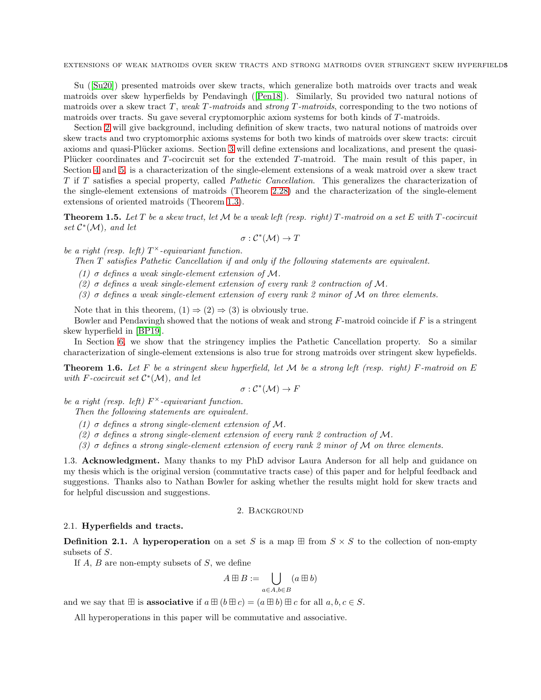Su ([\[Su20\]](#page-37-3)) presented matroids over skew tracts, which generalize both matroids over tracts and weak matroids over skew hyperfields by Pendavingh ([\[Pen18\]](#page-37-2)). Similarly, Su provided two natural notions of matroids over a skew tract T, weak T-matroids and *strong* T-matroids, corresponding to the two notions of matroids over tracts. Su gave several cryptomorphic axiom systems for both kinds of T-matroids.

Section [2](#page-4-0) will give background, including definition of skew tracts, two natural notions of matroids over skew tracts and two cryptomorphic axioms systems for both two kinds of matroids over skew tracts: circuit axioms and quasi-Plücker axioms. Section [3](#page-10-0) will define extensions and localizations, and present the quasi-Plücker coordinates and  $T$ -cocircuit set for the extended  $T$ -matroid. The main result of this paper, in Section [4](#page-13-0) and [5,](#page-18-0) is a characterization of the single-element extensions of a weak matroid over a skew tract T if T satisfies a special property, called *Pathetic Cancellation*. This generalizes the characterization of the single-element extensions of matroids (Theorem [2.28\)](#page-10-1) and the characterization of the single-element extensions of oriented matroids (Theorem [1.3\)](#page-2-1).

<span id="page-4-1"></span>Theorem 1.5. *Let* T *be a skew tract, let* M *be a weak left (resp. right)* T *-matroid on a set* E *with* T *-cocircuit* set  $C^*(\mathcal{M})$ *, and let* 

$$
\sigma: \mathcal{C}^*(\mathcal{M}) \to T
$$

*be a right (resp. left)*  $T^{\times}$ -equivariant function.

*Then* T *satisfies Pathetic Cancellation if and only if the following statements are equivalent.*

*(1)* σ *defines a weak single-element extension of* M*.*

*(2)* σ *defines a weak single-element extension of every rank 2 contraction of* M*.*

*(3)* σ *defines a weak single-element extension of every rank 2 minor of* M *on three elements.*

Note that in this theorem,  $(1) \Rightarrow (2) \Rightarrow (3)$  is obviously true.

Bowler and Pendavingh showed that the notions of weak and strong  $F$ -matroid coincide if  $F$  is a stringent skew hyperfield in [\[BP19\]](#page-36-10).

In Section [6,](#page-32-0) we show that the stringency implies the Pathetic Cancellation property. So a similar characterization of single-element extensions is also true for strong matroids over stringent skew hypefields.

<span id="page-4-2"></span>Theorem 1.6. *Let* F *be a stringent skew hyperfield, let* M *be a strong left (resp. right)* F*-matroid on* E *with* F*-cocircuit set* C ∗ (M)*, and let*

$$
\sigma: \mathcal{C}^*(\mathcal{M}) \to F
$$

*be a right (resp. left)* F <sup>×</sup>*-equivariant function.*

*Then the following statements are equivalent.*

*(1)* σ *defines a strong single-element extension of* M*.*

*(2)* σ *defines a strong single-element extension of every rank 2 contraction of* M*.*

*(3)* σ *defines a strong single-element extension of every rank 2 minor of* M *on three elements.*

1.3. Acknowledgment. Many thanks to my PhD advisor Laura Anderson for all help and guidance on my thesis which is the original version (commutative tracts case) of this paper and for helpful feedback and suggestions. Thanks also to Nathan Bowler for asking whether the results might hold for skew tracts and for helpful discussion and suggestions.

## 2. Background

### <span id="page-4-0"></span>2.1. Hyperfields and tracts.

**Definition 2.1.** A hyperoperation on a set S is a map  $\boxplus$  from  $S \times S$  to the collection of non-empty subsets of S.

If  $A, B$  are non-empty subsets of  $S$ , we define

$$
A \boxplus B := \bigcup_{a \in A, b \in B} (a \boxplus b)
$$

and we say that  $\mathbb H$  is **associative** if  $a \mathbb H (b \mathbb H c) = (a \mathbb H b) \mathbb H c$  for all  $a, b, c \in S$ .

All hyperoperations in this paper will be commutative and associative.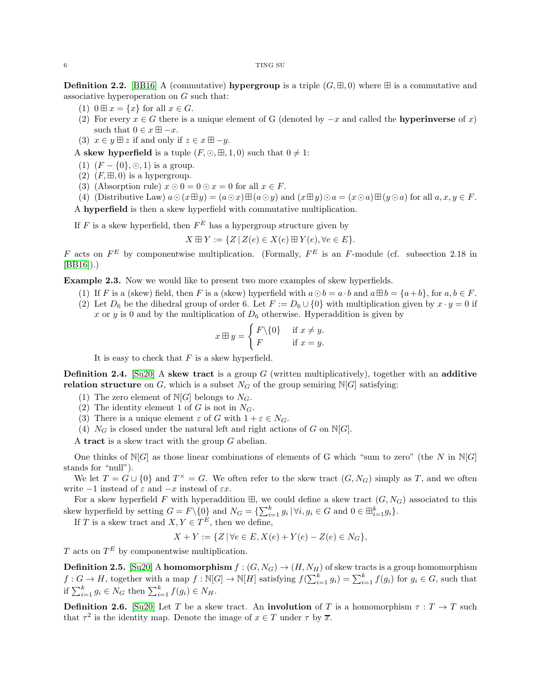**Definition 2.2.** [\[BB16\]](#page-36-11) A (commutative) **hypergroup** is a triple  $(G, \mathbb{H}, 0)$  where  $\mathbb{H}$  is a commutative and associative hyperoperation on G such that:

- (1)  $0 \boxplus x = \{x\}$  for all  $x \in G$ .
- (2) For every  $x \in G$  there is a unique element of G (denoted by  $-x$  and called the **hyperinverse** of x) such that  $0 \in x \boxplus -x$ .
- (3)  $x \in y \boxplus z$  if and only if  $z \in x \boxplus -y$ .

A skew hyperfield is a tuple  $(F, \odot, \boxplus, 1, 0)$  such that  $0 \neq 1$ :

- (1)  $(F \{0\}, \odot, 1)$  is a group.
- (2)  $(F, \boxplus, 0)$  is a hypergroup.
- (3) (Absorption rule)  $x \odot 0 = 0 \odot x = 0$  for all  $x \in F$ .
- (4) (Distributive Law)  $a \odot (x \boxplus y) = (a \odot x) \boxplus (a \odot y)$  and  $(x \boxplus y) \odot a = (x \odot a) \boxplus (y \odot a)$  for all  $a, x, y \in F$ .

A hyperfield is then a skew hyperfield with commutative multiplication.

If F is a skew hyperfield, then  $F^E$  has a hypergroup structure given by

$$
X \boxplus Y := \{ Z \mid Z(e) \in X(e) \boxplus Y(e), \forall e \in E \}.
$$

F acts on  $F^E$  by componentwise multiplication. (Formally,  $F^E$  is an F-module (cf. subsection 2.18 in [\[BB16\]](#page-36-11)).)

Example 2.3. Now we would like to present two more examples of skew hyperfields.

- (1) If F is a (skew) field, then F is a (skew) hyperfield with  $a \odot b = a \cdot b$  and  $a \boxplus b = \{a+b\}$ , for  $a, b \in F$ .
- (2) Let  $D_6$  be the dihedral group of order 6. Let  $F := D_6 \cup \{0\}$  with multiplication given by  $x \cdot y = 0$  if x or y is 0 and by the multiplication of  $D_6$  otherwise. Hyperaddition is given by

$$
x \boxplus y = \begin{cases} F \backslash \{0\} & \text{if } x \neq y. \\ F & \text{if } x = y. \end{cases}
$$

It is easy to check that  $F$  is a skew hyperfield.

**Definition 2.4.** [\[Su20\]](#page-37-3) A skew tract is a group G (written multiplicatively), together with an additive relation structure on G, which is a subset  $N_G$  of the group semiring  $N[G]$  satisfying:

- (1) The zero element of  $N[G]$  belongs to  $N_G$ .
- (2) The identity element 1 of G is not in  $N_G$ .
- (3) There is a unique element  $\varepsilon$  of G with  $1 + \varepsilon \in N_G$ .
- (4)  $N_G$  is closed under the natural left and right actions of G on N[G].

A tract is a skew tract with the group  $G$  abelian.

One thinks of  $N[G]$  as those linear combinations of elements of G which "sum to zero" (the N in  $N[G]$ stands for "null").

We let  $T = G \cup \{0\}$  and  $T^* = G$ . We often refer to the skew tract  $(G, N_G)$  simply as T, and we often write  $-1$  instead of  $\varepsilon$  and  $-x$  instead of  $\varepsilon x$ .

For a skew hyperfield F with hyperaddition  $\boxplus$ , we could define a skew tract  $(G, N_G)$  associated to this skew hyperfield by setting  $G = F \setminus \{0\}$  and  $N_G = \{\sum_{i=1}^k g_i \mid \forall i, g_i \in G \text{ and } 0 \in \boxplus_{i=1}^k g_i\}.$ 

If T is a skew tract and  $X, Y \in T^E$ , then we define,

$$
X + Y := \{ Z \mid \forall e \in E, X(e) + Y(e) - Z(e) \in N_G \},
$$

T acts on  $T^E$  by componentwise multiplication.

**Definition 2.5.** [\[Su20\]](#page-37-3) A homomorphism  $f : (G, N_G) \to (H, N_H)$  of skew tracts is a group homomorphism  $f: G \to H$ , together with a map  $f: \mathbb{N}[G] \to \mathbb{N}[H]$  satisfying  $f(\sum_{i=1}^k g_i) = \sum_{i=1}^k f(g_i)$  for  $g_i \in G$ , such that if  $\sum_{i=1}^k g_i \in N_G$  then  $\sum_{i=1}^k f(g_i) \in N_H$ .

**Definition 2.6.** [\[Su20\]](#page-37-3) Let T be a skew tract. An **involution** of T is a homomorphism  $\tau : T \to T$  such that  $\tau^2$  is the identity map. Denote the image of  $x \in T$  under  $\tau$  by  $\overline{x}$ .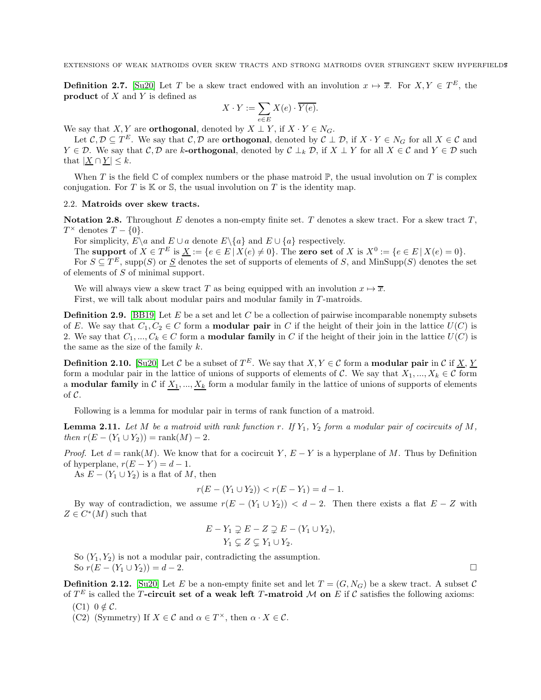**Definition 2.7.** [\[Su20\]](#page-37-3) Let T be a skew tract endowed with an involution  $x \mapsto \overline{x}$ . For  $X, Y \in T^E$ , the product of  $X$  and  $Y$  is defined as

$$
X \cdot Y := \sum_{e \in E} X(e) \cdot \overline{Y(e)}.
$$

We say that  $X, Y$  are **orthogonal**, denoted by  $X \perp Y$ , if  $X \cdot Y \in N_G$ .

Let  $\mathcal{C}, \mathcal{D} \subseteq T^E$ . We say that  $\mathcal{C}, \mathcal{D}$  are **orthogonal**, denoted by  $\mathcal{C} \perp \mathcal{D}$ , if  $X \cdot Y \in N_G$  for all  $X \in \mathcal{C}$  and  $Y \in \mathcal{D}$ . We say that  $\mathcal{C}, \mathcal{D}$  are k-**orthogonal**, denoted by  $\mathcal{C} \perp_k \mathcal{D}$ , if  $X \perp Y$  for all  $X \in \mathcal{C}$  and  $Y \in \mathcal{D}$  such that  $|X \cap Y| \leq k$ .

When T is the field  $\mathbb C$  of complex numbers or the phase matroid  $\mathbb P$ , the usual involution on T is complex conjugation. For T is  $K$  or S, the usual involution on T is the identity map.

## 2.2. Matroids over skew tracts.

**Notation 2.8.** Throughout E denotes a non-empty finite set. T denotes a skew tract. For a skew tract  $T$ ,  $T^{\times}$  denotes  $T - \{0\}.$ 

For simplicity,  $E \setminus a$  and  $E \cup a$  denote  $E \setminus \{a\}$  and  $E \cup \{a\}$  respectively.

The support of  $X \in T^E$  is  $\underline{X} := \{e \in E \mid X(e) \neq 0\}$ . The zero set of X is  $X^0 := \{e \in E \mid X(e) = 0\}$ . For  $S \subseteq T^E$ , supp $(S)$  or  $\underline{S}$  denotes the set of supports of elements of S, and MinSupp $(S)$  denotes the set

of elements of S of minimal support.

We will always view a skew tract T as being equipped with an involution  $x \mapsto \overline{x}$ . First, we will talk about modular pairs and modular family in T-matroids.

**Definition 2.9.** [\[BB19\]](#page-36-2) Let E be a set and let C be a collection of pairwise incomparable nonempty subsets of E. We say that  $C_1, C_2 \in C$  form a **modular pair** in C if the height of their join in the lattice  $U(C)$  is 2. We say that  $C_1, ..., C_k \in C$  form a **modular family** in C if the height of their join in the lattice  $U(C)$  is the same as the size of the family  $k$ .

<span id="page-6-4"></span>**Definition 2.10.** [\[Su20\]](#page-37-3) Let C be a subset of  $T^E$ . We say that  $X, Y \in \mathcal{C}$  form a **modular pair** in C if  $\underline{X}, \underline{Y}$ form a modular pair in the lattice of unions of supports of elements of C. We say that  $X_1, ..., X_k \in \mathcal{C}$  form a **modular family** in C if  $X_1, ..., X_k$  form a modular family in the lattice of unions of supports of elements of C.

Following is a lemma for modular pair in terms of rank function of a matroid.

<span id="page-6-3"></span>**Lemma 2.11.** Let M be a matroid with rank function r. If  $Y_1$ ,  $Y_2$  form a modular pair of cocircuits of M, *then*  $r(E - (Y_1 \cup Y_2)) = \text{rank}(M) - 2$ .

*Proof.* Let  $d = \text{rank}(M)$ . We know that for a cocircuit Y,  $E - Y$  is a hyperplane of M. Thus by Definition of hyperplane,  $r(E - Y) = d - 1$ .

As  $E - (Y_1 \cup Y_2)$  is a flat of M, then

$$
r(E - (Y_1 \cup Y_2)) < r(E - Y_1) = d - 1.
$$

By way of contradiction, we assume  $r(E - (Y_1 \cup Y_2)) < d - 2$ . Then there exists a flat  $E - Z$  with  $Z \in C^*(M)$  such that

$$
E - Y_1 \supsetneq E - Z \supsetneq E - (Y_1 \cup Y_2),
$$
  
 
$$
Y_1 \subsetneq Z \subsetneq Y_1 \cup Y_2.
$$

So  $(Y_1, Y_2)$  is not a modular pair, contradicting the assumption. So  $r(E - (Y_1 \cup Y_2)) = d - 2$ .

<span id="page-6-2"></span>**Definition 2.12.** [\[Su20\]](#page-37-3) Let E be a non-empty finite set and let  $T = (G, N_G)$  be a skew tract. A subset C of  $T^E$  is called the T-circuit set of a weak left T-matroid M on E if C satisfies the following axioms:

- <span id="page-6-1"></span><span id="page-6-0"></span> $(C1)$   $0 \notin C$ .
- (C2) (Symmetry) If  $X \in \mathcal{C}$  and  $\alpha \in T^{\times}$ , then  $\alpha \cdot X \in \mathcal{C}$ .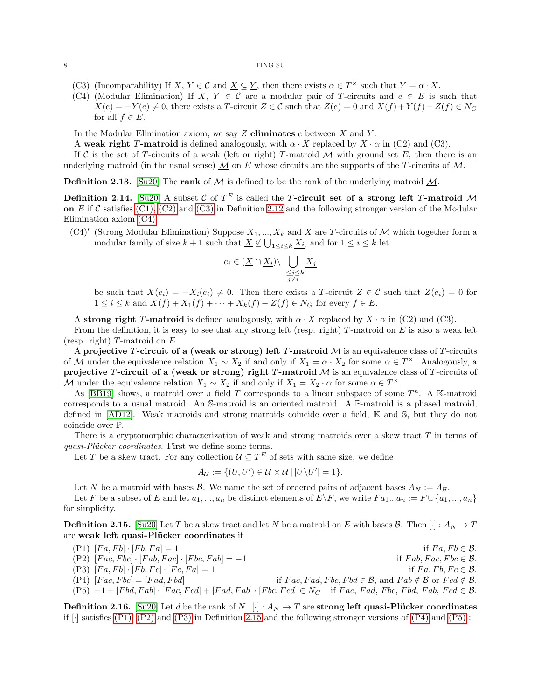- <span id="page-7-1"></span><span id="page-7-0"></span>(C3) (Incomparability) If  $X, Y \in \mathcal{C}$  and  $\underline{X} \subseteq \underline{Y}$ , then there exists  $\alpha \in T^{\times}$  such that  $Y = \alpha \cdot X$ .
- (C4) (Modular Elimination) If  $X, Y \in \mathcal{C}$  are a modular pair of T-circuits and  $e \in E$  is such that  $X(e) = -Y(e) \neq 0$ , there exists a T-circuit  $Z \in \mathcal{C}$  such that  $Z(e) = 0$  and  $X(f) + Y(f) - Z(f) \in N_G$ for all  $f \in E$ .

In the Modular Elimination axiom, we say  $Z$  eliminates  $e$  between  $X$  and  $Y$ .

A weak right T-matroid is defined analogously, with  $\alpha \cdot X$  replaced by  $X \cdot \alpha$  in (C2) and (C3).

If C is the set of T-circuits of a weak (left or right) T-matroid M with ground set E, then there is an underlying matroid (in the usual sense)  $\underline{\mathcal{M}}$  on E whose circuits are the supports of the T-circuits of  $\mathcal{M}$ .

**Definition 2.13.** [\[Su20\]](#page-37-3) The **rank** of M is defined to be the rank of the underlying matroid M.

Definition 2.14. [\[Su20\]](#page-37-3) A subset C of  $T^E$  is called the T-circuit set of a strong left T-matroid M on  $E$  if C satisfies [\(C1\),](#page-6-0) [\(C2\)](#page-6-1) and [\(C3\)](#page-7-0) in Definition [2.12](#page-6-2) and the following stronger version of the Modular Elimination axiom [\(C4\):](#page-7-1)

 $(C4)'$  (Strong Modular Elimination) Suppose  $X_1, ..., X_k$  and X are T-circuits of M which together form a modular family of size  $k+1$  such that  $\underline{X} \not\subseteq \bigcup_{1 \leq i \leq k} \underline{X_i}$ , and for  $1 \leq i \leq k$  let

$$
e_i \in (\underline{X} \cap \underline{X_i}) \backslash \bigcup_{\substack{1 \leq j \leq k \\ j \neq i}} \underline{X_j}
$$

be such that  $X(e_i) = -X_i(e_i) \neq 0$ . Then there exists a T-circuit  $Z \in \mathcal{C}$  such that  $Z(e_i) = 0$  for  $1 \leq i \leq k$  and  $X(f) + X_1(f) + \cdots + X_k(f) - Z(f) \in N_G$  for every  $f \in E$ .

A strong right T-matroid is defined analogously, with  $\alpha \cdot X$  replaced by  $X \cdot \alpha$  in (C2) and (C3).

From the definition, it is easy to see that any strong left (resp. right)  $T$ -matroid on  $E$  is also a weak left (resp. right)  $T$ -matroid on  $E$ .

A projective T-circuit of a (weak or strong) left T-matroid  $M$  is an equivalence class of T-circuits of M under the equivalence relation  $X_1 \sim X_2$  if and only if  $X_1 = \alpha \cdot X_2$  for some  $\alpha \in T^{\times}$ . Analogously, a projective T-circuit of a (weak or strong) right T-matroid  $M$  is an equivalence class of T-circuits of M under the equivalence relation  $X_1 \sim X_2$  if and only if  $X_1 = X_2 \cdot \alpha$  for some  $\alpha \in T^{\times}$ .

As [\[BB19\]](#page-36-2) shows, a matroid over a field T corresponds to a linear subspace of some  $T^n$ . A K-matroid corresponds to a usual matroid. An S-matroid is an oriented matroid. A P-matroid is a phased matroid, defined in [\[AD12\]](#page-36-9). Weak matroids and strong matroids coincide over a field, K and S, but they do not coincide over P.

There is a cryptomorphic characterization of weak and strong matroids over a skew tract  $T$  in terms of *quasi-Plücker coordinates*. First we define some terms.

Let T be a skew tract. For any collection  $\mathcal{U} \subseteq T^E$  of sets with same size, we define

$$
A_{\mathcal{U}} := \{ (U, U') \in \mathcal{U} \times \mathcal{U} \mid |U \backslash U'| = 1 \}.
$$

Let N be a matroid with bases  $\mathcal{B}$ . We name the set of ordered pairs of adjacent bases  $A_N := A_{\mathcal{B}}$ .

Let F be a subset of E and let  $a_1, ..., a_n$  be distinct elements of  $E\backslash F$ , we write  $Fa_1...a_n := F\cup \{a_1,...,a_n\}$ for simplicity.

<span id="page-7-5"></span>**Definition 2.15.** [\[Su20\]](#page-37-3) Let T be a skew tract and let N be a matroid on E with bases B. Then  $[\cdot]: A_N \to T$ are weak left quasi-Plücker coordinates if

<span id="page-7-6"></span><span id="page-7-4"></span><span id="page-7-3"></span><span id="page-7-2"></span>
$$
(P1) \begin{aligned} [Fa, Fb] \cdot [Fb, Fa] &= 1 & \text{if } Fa, Fb \in \mathcal{B}.\\ (P2) \begin{bmatrix} Fac, Fbc \end{bmatrix} \cdot [Fab, Fac] \cdot [Fbc, Fab] &= -1 & \text{if } Fab, Fac, Fbc \in \mathcal{B}.\\ (P3) \begin{bmatrix} Fa, Fb \end{bmatrix} \cdot [Fb, Fc] \cdot [Fc, Fa] &= 1 & \text{if } Fac, Fad \in \mathcal{B}, \text{ and } Fab \notin \mathcal{B} \text{ or } Fcd \notin \mathcal{B}.\\ (P4) \begin{bmatrix} Fac, Fbc \end{bmatrix} = [Fad, Fbd] & \text{if } Fac, Fad, Fbc, Fbd \in \mathcal{B}, \text{ and } Fab \notin \mathcal{B} \text{ or } Fcd \notin \mathcal{B}.\\ (P5) \begin{bmatrix} -1 + [Fbd, Fab] \cdot [Fac, Fcd] + [Fad, Fab] \cdot [Fbc, Fcd] \in N_G & \text{if } Fac, Fad, Fbc, Fbd, Fab, Fcd \in \mathcal{B}. \end{bmatrix} \end{aligned}
$$

<span id="page-7-7"></span>**Definition 2.16.** [\[Su20\]](#page-37-3) Let d be the rank of N. [·] :  $A_N \to T$  are strong left quasi-Plücker coordinates if  $\lceil \cdot \rceil$  satisfies [\(P1\),](#page-7-2) [\(P2\)](#page-7-3) and [\(P3\)](#page-7-4) in Definition [2.15](#page-7-5) and the following stronger versions of [\(P4\)](#page-7-6) and [\(P5\)](#page-7-7) :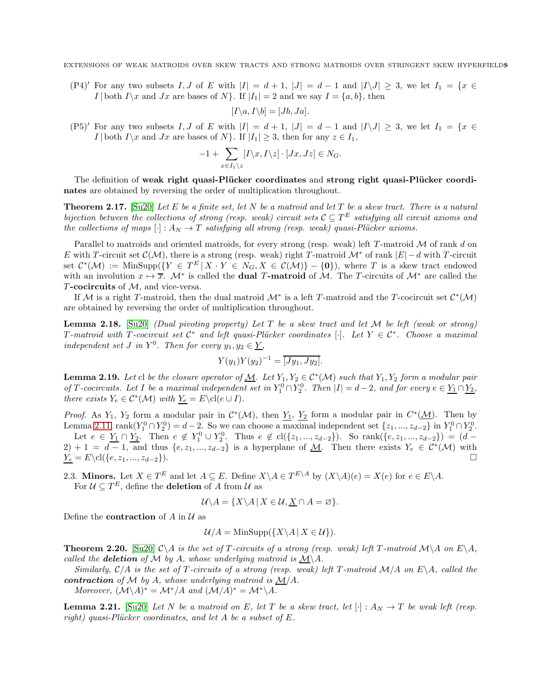(P4)' For any two subsets I, J of E with  $|I| = d + 1$ ,  $|J| = d - 1$  and  $|I \setminus J| \geq 3$ , we let  $I_1 = \{x \in I_1\}$ I | both I \x and Jx are bases of N }. If  $|I_1| = 2$  and we say  $I = \{a, b\}$ , then

$$
[I\backslash a, I\backslash b] = [Jb, Ja].
$$

(P5)<sup>'</sup> For any two subsets I, J of E with  $|I| = d + 1$ ,  $|J| = d - 1$  and  $|I \setminus J| \geq 3$ , we let  $I_1 = \{x \in$ I | both I\x and Jx are bases of N}. If  $|I_1| \geq 3$ , then for any  $z \in I_1$ ,

$$
-1 + \sum_{x \in I_1 \backslash z} [I \backslash x, I \backslash z] \cdot [Jx, Jz] \in N_G.
$$

The definition of weak right quasi-Plücker coordinates and strong right quasi-Plücker coordinates are obtained by reversing the order of multiplication throughout.

Theorem 2.17. [\[Su20\]](#page-37-3) *Let* E *be a finite set, let* N *be a matroid and let* T *be a skew tract. There is a natural bijection between the collections of strong (resp. weak) circuit sets*  $C \subseteq T^E$  *satisfying all circuit axioms and the collections of maps*  $[\cdot] : A_N \to T$  *satisfying all strong (resp. weak) quasi-Plücker axioms.* 

Parallel to matroids and oriented matroids, for every strong (resp. weak) left  $T$ -matroid  $\mathcal M$  of rank d on E with T-circuit set  $\mathcal{C}(\mathcal{M})$ , there is a strong (resp. weak) right T-matroid  $\mathcal{M}^*$  of rank  $|E| - d$  with T-circuit set  $\mathcal{C}^*(\mathcal{M}) := \text{MinSupp}(\lbrace Y \in T^E | X \cdot Y \in N_G, X \in \mathcal{C}(\mathcal{M}) \rbrace - \{0\}),$  where T is a skew tract endowed with an involution  $x \mapsto \overline{x}$ .  $\mathcal{M}^*$  is called the **dual T-matroid** of M. The T-circuits of  $\mathcal{M}^*$  are called the  $T$ -cocircuits of  $M$ , and vice-versa.

If M is a right T-matroid, then the dual matroid  $\mathcal{M}^*$  is a left T-matroid and the T-cocircuit set  $\mathcal{C}^*(\mathcal{M})$ are obtained by reversing the order of multiplication throughout.

<span id="page-8-1"></span>Lemma 2.18. [\[Su20\]](#page-37-3) *(Dual pivoting property) Let* T *be a skew tract and let* M *be left (weak or strong)*  $T$ *-matroid with*  $T$ *-cocircuit set*  $C^*$  *and left quasi-Plücker coordinates* [·]*. Let*  $Y \in C^*$ *. Choose a maximal independent set J in*  $Y^0$ *. Then for every*  $y_1, y_2 \in \underline{Y}$ *,* 

$$
Y(y_1)Y(y_2)^{-1} = \overline{[Jy_1, Jy_2]}.
$$

<span id="page-8-2"></span>**Lemma 2.19.** Let cl be the closure operator of  $M$ . Let  $Y_1, Y_2 \in C^*(M)$  such that  $Y_1, Y_2$  form a modular pair *of T*-cocircuits. Let *I* be a maximal independent set in  $Y_1^0 \cap Y_2^0$ . Then  $|I| = d - 2$ , and for every  $e \in Y_1 \cap Y_2$ , *there exists*  $Y_e \in C^*(\mathcal{M})$  *with*  $Y_e = E \cdot L(e \cup I)$ *.* 

*Proof.* As  $Y_1$ ,  $Y_2$  form a modular pair in  $C^*(\mathcal{M})$ , then  $Y_1$ ,  $Y_2$  form a modular pair in  $C^*(\mathcal{M})$ . Then by Lemma [2.11,](#page-6-3)  $\text{rank}(Y_1^0 \cap Y_2^0) = d - 2$ . So we can choose a maximal independent set  $\{z_1, ..., z_{d-2}\}$  in  $Y_1^0 \cap Y_2^0$ . Let  $e \in Y_1 \cap Y_2$ . Then  $e \notin Y_1^0 \cup Y_2^0$ . Thus  $e \notin cl({z_1,..., z_{d-2}})$ . So rank $({e, z_1,..., z_{d-2}}) = (d 2) + 1 = d - 1$ , and thus  $\{e, z_1, ..., z_{d-2}\}$  is a hyperplane of  $\underline{M}$ . Then there exists  $Y_e \in C^*(M)$  with  $Y_e = E \cdot \text{cl}(\{e, z_1, ..., z_{d-2}\}).$ 

2.3. Minors. Let  $X \in T^E$  and let  $A \subseteq E$ . Define  $X \setminus A \in T^{E \setminus A}$  by  $(X \setminus A)(e) = X(e)$  for  $e \in E \setminus A$ . For  $\mathcal{U} \subseteq T^E$ , define the **deletion** of A from  $\mathcal{U}$  as

$$
\mathcal{U} \backslash A = \{ X \backslash A \, | \, X \in \mathcal{U}, \underline{X} \cap A = \varnothing \}.
$$

Define the **contraction** of A in  $\mathcal{U}$  as

$$
\mathcal{U}/A = \text{MinSupp}(\{X \setminus A \mid X \in \mathcal{U}\}).
$$

<span id="page-8-0"></span>**Theorem 2.20.** [\[Su20\]](#page-37-3)  $C \setminus A$  *is the set of* T-*circuits of a strong (resp. weak) left* T-matroid  $\mathcal{M} \setminus A$  *on*  $E \setminus A$ *, called the deletion of*  $M$  *by*  $A$ *, whose underlying matroid is*  $M\ A$ *.* 

*Similarly,*  $C/A$  *is the set of* T-*circuits of a strong (resp. weak) left* T-matroid  $M/A$  *on*  $E\setminus A$ *, called the* contraction of M by A, whose underlying matroid is  $M/A$ .

*Moreover,*  $(M \setminus A)^* = M^*/A$  *and*  $(M \setminus A)^* = M^* \setminus A$ *.* 

**Lemma 2.21.** [\[Su20\]](#page-37-3) Let N be a matroid on E, let T be a skew tract, let  $[\cdot]$  :  $A_N \to T$  be weak left (resp. *right)* quasi-Plücker coordinates, and let A be a subset of E.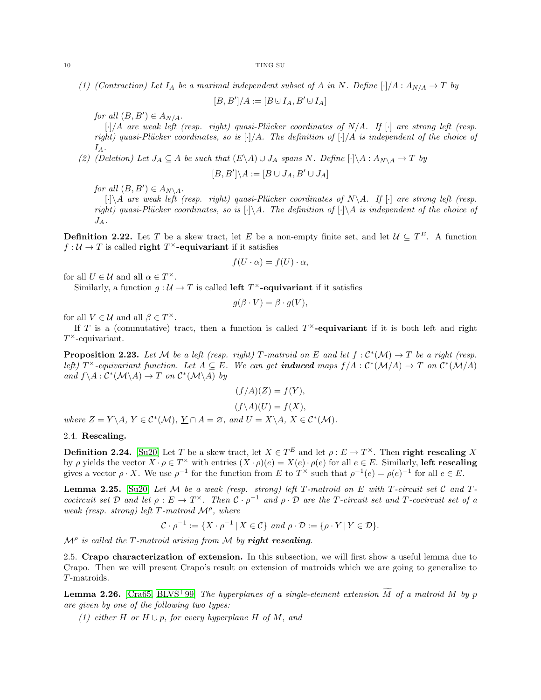*(1) (Contraction) Let*  $I_A$  *be a maximal independent subset of* A *in* N. Define  $[\cdot]/A : A_{N/A} \rightarrow T$  *by* 

 $[B, B']/A := [B \cup I_A, B' \cup I_A]$ 

*for all*  $(B, B') \in A_{N/A}$ .

[·]/A are weak left (resp. right) quasi-Plücker coordinates of N/A. If [·] are strong left (resp. *right) quasi-Pl¨ucker coordinates, so is* [·]/A*. The definition of* [·]/A *is independent of the choice of*  $I_A$ .

*(2) (Deletion)* Let  $J_A \subseteq A$  *be such that*  $(E \setminus A) \cup J_A$  *spans* N. Define  $[\cdot] \setminus A : A_{N \setminus A} \rightarrow T$  *by* 

$$
[B, B'] \backslash A := [B \cup J_A, B' \cup J_A]
$$

*for all*  $(B, B') \in A_{N \setminus A}$ .

 $\lceil \cdot \rceil$  *are weak left (resp. right) quasi-Plücker coordinates of*  $N \setminus A$ *. If*  $\lceil \cdot \rceil$  *are strong left (resp. right)* quasi-Plücker coordinates, so is  $[\cdot] \A$ . The definition of  $[\cdot] \A$  is independent of the choice of  $J_A$ .

**Definition 2.22.** Let T be a skew tract, let E be a non-empty finite set, and let  $\mathcal{U} \subseteq T^E$ . A function  $f: \mathcal{U} \to T$  is called **right**  $T^{\times}$ **-equivariant** if it satisfies

$$
f(U \cdot \alpha) = f(U) \cdot \alpha,
$$

for all  $U \in \mathcal{U}$  and all  $\alpha \in T^{\times}$ .

Similarly, a function  $g: \mathcal{U} \to T$  is called **left**  $T^{\times}$ **-equivariant** if it satisfies

$$
g(\beta \cdot V) = \beta \cdot g(V),
$$

for all  $V \in \mathcal{U}$  and all  $\beta \in T^{\times}$ .

If T is a (commutative) tract, then a function is called  $T^{\times}$ -equivariant if it is both left and right  $T^{\times}$ -equivariant.

**Proposition 2.23.** Let M be a left (resp. right) T-matroid on E and let  $f : C^*(\mathcal{M}) \to T$  be a right (resp. *left)*  $T^{\times}$ -equivariant function. Let  $A \subseteq E$ . We can get **induced** maps  $f/A$  :  $C^*(\mathcal{M}/A) \to T$  on  $C^*(\mathcal{M}/A)$  $and f \ A : C^*(\mathcal{M} \setminus A) \to T$  *on*  $C^*(\mathcal{M} \setminus A)$  *by* 

$$
(f/A)(Z) = f(Y),
$$
  
\n
$$
(f\setminus A)(U) = f(X),
$$
  
\nwhere  $Z = Y \setminus A, Y \in C^*(\mathcal{M}), \underline{Y} \cap A = \emptyset$ , and  $U = X \setminus A, X \in C^*(\mathcal{M}).$ 

## 2.4. Rescaling.

**Definition 2.24.** [\[Su20\]](#page-37-3) Let T be a skew tract, let  $X \in T^E$  and let  $\rho: E \to T^\times$ . Then **right rescaling** X by  $\rho$  yields the vector  $X \cdot \rho \in T^\times$  with entries  $(X \cdot \rho)(e) = X(e) \cdot \rho(e)$  for all  $e \in E$ . Similarly, left rescaling gives a vector  $\rho \cdot X$ . We use  $\rho^{-1}$  for the function from E to  $T^{\times}$  such that  $\rho^{-1}(e) = \rho(e)^{-1}$  for all  $e \in E$ .

<span id="page-9-2"></span>Lemma 2.25. [\[Su20\]](#page-37-3) *Let* M *be a weak (resp. strong) left* T *-matroid on* E *with* T *-circuit set* C *and* T  *cocircuit set*  $D$  *and let*  $\rho : E \to T^{\times}$ *. Then*  $C \cdot \rho^{-1}$  *and*  $\rho \cdot D$  *are the T*-*circuit set and*  $T$ -*cocircuit set of a weak (resp. strong) left* T-matroid  $\mathcal{M}^{\rho}$ , where

$$
\mathcal{C} \cdot \rho^{-1} := \{ X \cdot \rho^{-1} \mid X \in \mathcal{C} \} \text{ and } \rho \cdot \mathcal{D} := \{ \rho \cdot Y \mid Y \in \mathcal{D} \}.
$$

<span id="page-9-0"></span> $\mathcal{M}^{\rho}$  is called the T-matroid arising from  $\mathcal M$  by **right rescaling**.

2.5. Crapo characterization of extension. In this subsection, we will first show a useful lemma due to Crapo. Then we will present Crapo's result on extension of matroids which we are going to generalize to T-matroids.

<span id="page-9-1"></span>**Lemma 2.26.** [\[Cra65,](#page-36-3) [BLVS](#page-36-5)<sup>+</sup>99] *The hyperplanes of a single-element extension*  $\widetilde{M}$  *of a matroid*  $M$  *by*  $p$ *are given by one of the following two types:*

*(1) either* H *or* H ∪ p*, for every hyperplane* H *of* M*, and*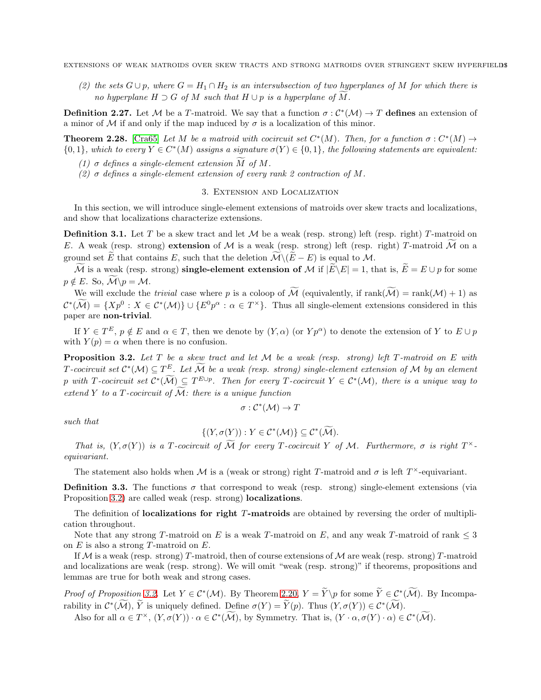*(2) the sets*  $G ∪ p$ *, where*  $G = H_1 ∩ H_2$  *is an intersubsection of two hyperplanes of* M *for which there is no hyperplane*  $H \supset G$  *of*  $M$  *such that*  $H \cup p$  *is a hyperplane of*  $\tilde{M}$ *.* 

**Definition 2.27.** Let M be a T-matroid. We say that a function  $\sigma : C^*(\mathcal{M}) \to T$  defines an extension of a minor of M if and only if the map induced by  $\sigma$  is a localization of this minor.

<span id="page-10-1"></span>**Theorem 2.28.** [\[Cra65\]](#page-36-3) Let M be a matroid with cocircuit set  $C^*(M)$ . Then, for a function  $\sigma : C^*(M) \to$  ${0, 1}$ *, which to every*  $Y \in C^*(M)$  assigns a signature  $\sigma(Y) \in {0, 1}$ *, the following statements are equivalent:* 

- *(1)*  $\sigma$  *defines a single-element extension*  $\overline{M}$  *of*  $\overline{M}$ *.*
- <span id="page-10-0"></span>*(2)* σ *defines a single-element extension of every rank 2 contraction of* M*.*

### 3. Extension and Localization

In this section, we will introduce single-element extensions of matroids over skew tracts and localizations, and show that localizations characterize extensions.

**Definition 3.1.** Let T be a skew tract and let  $M$  be a weak (resp. strong) left (resp. right) T-matroid on E. A weak (resp. strong) extension of M is a weak (resp. strong) left (resp. right) T-matroid M on a ground set E that contains E, such that the deletion  $\mathcal{M}\backslash (E-E)$  is equal to M.

M is a weak (resp. strong) single-element extension of M if  $|\widetilde{E}\setminus E| = 1$ , that is,  $\widetilde{E} = E \cup p$  for some  $p \notin E$ . So,  $\mathcal{M} \backslash p = \mathcal{M}$ .

We will exclude the *trivial* case where p is a coloop of  $\widetilde{M}$  (equivalently, if  $rank(\widetilde{M}) = rank(M) + 1$ ) as  $\mathcal{C}^*(\mathcal{M}) = \{Xp^0 : X \in \mathcal{C}^*(\mathcal{M})\} \cup \{E^0p^{\alpha} : \alpha \in T^{\times}\}.$  Thus all single-element extensions considered in this paper are non-trivial.

If  $Y \in T^E$ ,  $p \notin E$  and  $\alpha \in T$ , then we denote by  $(Y, \alpha)$  (or  $Y p^{\alpha}$ ) to denote the extension of Y to  $E \cup p$ with  $Y(p) = \alpha$  when there is no confusion.

<span id="page-10-2"></span>Proposition 3.2. *Let* T *be a skew tract and let* M *be a weak (resp. strong) left* T *-matroid on* E *with*  $T$ *-cocircuit set*  $C^*(\mathcal{M}) \subseteq T^E$ *. Let*  $\overline{\mathcal{M}}$  *be a weak (resp. strong) single-element extension of*  $\mathcal{M}$  *by an element* p with T-cocircuit set  $\mathcal{C}^*(\mathcal{M}) \subseteq T^{E \cup p}$ . Then for every T-cocircuit  $Y \in \mathcal{C}^*(\mathcal{M})$ , there is a unique way to *extend* Y *to a T*-*cocircuit of*  $\widetilde{M}$ *: there is a unique function* 

$$
\sigma: \mathcal{C}^*(\mathcal{M}) \to T
$$

*such that*

$$
\{(Y,\sigma(Y)):Y\in\mathcal{C}^*(\mathcal{M})\}\subseteq\mathcal{C}^*(\mathcal{M}).
$$

*That is,*  $(Y, \sigma(Y))$  *is a T-cocircuit of* M *for every T-cocircuit* Y *of* M. Furthermore,  $\sigma$  *is right*  $T^{\times}$ *equivariant.*

The statement also holds when M is a (weak or strong) right T-matroid and  $\sigma$  is left  $T^{\times}$ -equivariant.

**Definition 3.3.** The functions  $\sigma$  that correspond to weak (resp. strong) single-element extensions (via Proposition [3.2\)](#page-10-2) are called weak (resp. strong) **localizations**.

The definition of **localizations for right T-matroids** are obtained by reversing the order of multiplication throughout.

Note that any strong T-matroid on E is a weak T-matroid on E, and any weak T-matroid of rank  $\leq$  3 on  $E$  is also a strong T-matroid on  $E$ .

If  $M$  is a weak (resp. strong) T-matroid, then of course extensions of  $M$  are weak (resp. strong) T-matroid and localizations are weak (resp. strong). We will omit "weak (resp. strong)" if theorems, propositions and lemmas are true for both weak and strong cases.

*Proof of Proposition* [3.2.](#page-10-2) Let  $Y \in C^*(\mathcal{M})$ . By Theorem [2.20,](#page-8-0)  $Y = Y\pmb{\downarrow}$  for some  $Y \in C^*(\mathcal{M})$ . By Incomparability in  $C^*(\mathcal{M})$ , Y is uniquely defined. Define  $\sigma(Y) = Y(p)$ . Thus  $(Y, \sigma(Y)) \in C^*(\mathcal{M})$ .

Also for all  $\alpha \in T^{\times}$ ,  $(Y, \sigma(Y)) \cdot \alpha \in C^*(\mathcal{M})$ , by Symmetry. That is,  $(Y \cdot \alpha, \sigma(Y) \cdot \alpha) \in C^*(\mathcal{M})$ .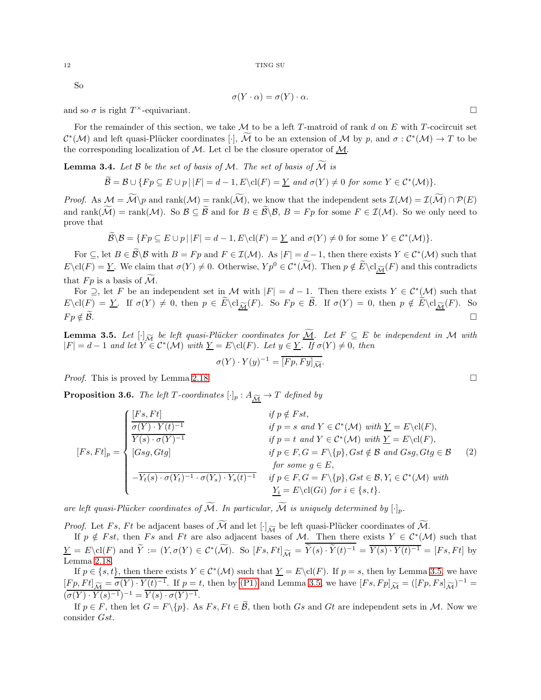So

$$
\sigma(Y \cdot \alpha) = \sigma(Y) \cdot \alpha.
$$

and so  $\sigma$  is right  $T^{\times}$ -equivariant.

For the remainder of this section, we take  $\mathcal M$  to be a left T-matroid of rank d on E with T-cocircuit set  $\mathcal{C}^*(\mathcal{M})$  and left quasi-Plücker coordinates  $[\cdot]$ , M to be an extension of M by p, and  $\sigma : \mathcal{C}^*(\mathcal{M}) \to T$  to be the corresponding localization of  $M$ . Let cl be the closure operator of  $M$ .

<span id="page-11-2"></span>**Lemma 3.4.** Let  $\beta$  be the set of basis of  $\mathcal{M}$ . The set of basis of  $\widetilde{\mathcal{M}}$  is

$$
\widetilde{\mathcal{B}} = \mathcal{B} \cup \{ Fp \subseteq E \cup p \mid |F| = d - 1, E \setminus cl(F) = \underline{Y} \text{ and } \sigma(Y) \neq 0 \text{ for some } Y \in C^*(\mathcal{M}) \}.
$$

*Proof.* As  $\mathcal{M} = \widetilde{\mathcal{M}} \backslash p$  and  $\text{rank}(\mathcal{M}) = \text{rank}(\widetilde{\mathcal{M}})$ , we know that the independent sets  $\mathcal{I}(\mathcal{M}) = \mathcal{I}(\widetilde{\mathcal{M}}) \cap \mathcal{P}(E)$ and rank $(\widetilde{\mathcal{M}})$  = rank $(\mathcal{M})$ . So  $\mathcal{B} \subseteq \widetilde{\mathcal{B}}$  and for  $B \in \widetilde{\mathcal{B}} \backslash \mathcal{B}$ ,  $B = Fp$  for some  $F \in \mathcal{I}(\mathcal{M})$ . So we only need to prove that

$$
\widetilde{\mathcal{B}} \setminus \mathcal{B} = \{ Fp \subseteq E \cup p \mid |F| = d - 1, E \setminus \text{cl}(F) = \underline{Y} \text{ and } \sigma(Y) \neq 0 \text{ for some } Y \in C^*(\mathcal{M}) \}.
$$

For  $\subseteq$ , let  $B \in \mathcal{B} \setminus \mathcal{B}$  with  $B = Fp$  and  $F \in \mathcal{I}(\mathcal{M})$ . As  $|F| = d - 1$ , then there exists  $Y \in \mathcal{C}^*(\mathcal{M})$  such that  $E\backslash \text{cl}(F) = \underline{Y}$ . We claim that  $\sigma(Y) \neq 0$ . Otherwise,  $Yp^0 \in C^*(\widetilde{\mathcal{M}})$ . Then  $p \notin \widetilde{E}\backslash \text{cl}_{\widetilde{\mathcal{M}}}(F)$  and this contradicts that  $Fp$  is a basis of  $\widetilde{\mathcal{M}}$ .

For  $\supseteq$ , let F be an independent set in M with  $|F| = d - 1$ . Then there exists  $Y \in C^*(\mathcal{M})$  such that  $E\setminus \text{cl}(F) = \underline{Y}$ . If  $\sigma(Y) \neq 0$ , then  $p \in \widetilde{E} \setminus \text{cl}_{\widetilde{\mathcal{M}}}(F)$ . So  $Fp \in \widetilde{\mathcal{B}}$ . If  $\sigma(Y) = 0$ , then  $p \notin \widetilde{E} \setminus \text{cl}_{\widetilde{\mathcal{M}}}(F)$ . So  $Fp \notin \widetilde{\mathcal{B}}$ .  $F p \notin \widetilde{\mathcal{B}}.$ 

<span id="page-11-0"></span>**Lemma 3.5.** Let  $[\cdot]$ <sup> $\tilde{M}$ </sup> *be left quasi-Plücker coordinates for*  $\tilde{M}$ *. Let*  $F \subseteq E$  *be independent in*  $M$  *with*  $|F| = d - 1$  and let  $Y \in C^*(\mathcal{M})$  with  $\underline{Y} = E \text{cl}(F)$ *. Let*  $y \in \underline{Y}$ *. If*  $\sigma(Y) \neq 0$ *, then* 

$$
\sigma(Y) \cdot Y(y)^{-1} = \overline{[Fp, Fy]_{\widetilde{\mathcal{M}}}}.
$$

*Proof.* This is proved by Lemma [2.18.](#page-8-1) □

<span id="page-11-1"></span>**Proposition 3.6.** *The left T-coordinates*  $[\cdot]_p : A_{\widetilde{M}} \to T$  *defined by* 

$$
[Fs, Ft]_p = \begin{cases} [Fs, Ft] & \text{if } p \notin Fst, \\ \frac{\sigma(Y) \cdot Y(t)^{-1}}{Y(s) \cdot \sigma(Y)^{-1}} & \text{if } p = s \text{ and } Y \in C^*(\mathcal{M}) \text{ with } \underline{Y} = E \backslash \text{cl}(F), \\ [Gsg, Gtg] & \text{if } p \in I \text{ and } Y \in C^*(\mathcal{M}) \text{ with } \underline{Y} = E \backslash \text{cl}(F), \\ [Gsg, Gtg] & \text{if } p \in F, G = F \backslash \{p\}, Gst \notin \mathcal{B} \text{ and } Gsg, Gtg \in \mathcal{B} \\ \text{for some } g \in E, \\ -\overline{Y_t(s) \cdot \sigma(Y_t)^{-1} \cdot \sigma(Y_s) \cdot Y_s(t)^{-1}} & \text{if } p \in F, G = F \backslash \{p\}, Gst \in \mathcal{B}, Y_i \in C^*(\mathcal{M}) \text{ with } \\ \underline{Y_i} = E \backslash \text{cl}(Gi) \text{ for } i \in \{s, t\}. \end{cases} (2)
$$

are left quasi-Plücker coordinates of  $\widetilde{M}$ *. In particular,*  $\widetilde{M}$  is uniquely determined by  $[\cdot]_p$ *.* 

*Proof.* Let Fs, Ft be adjacent bases of M and let  $[\cdot]_{\widetilde{M}}$  be left quasi-Plücker coordinates of M.<br>If  $p \notin Fst$ , then Fs and Ft are also adjacent bases of M. Then there exists  $Y \in C^*(M)$  such that  $\underline{Y} = E \cdot \text{cl}(F)$  and  $Y := (Y, \sigma(Y) \in C^*(\mathcal{M})$ . So  $[Fs, Ft]_{\widetilde{\mathcal{M}}} = Y(s) \cdot Y(t)^{-1} = Y(s) \cdot Y(t)^{-1} = [Fs, Ft]$  by Lemma [2.18.](#page-8-1)

If  $p \in \{s, t\}$ , then there exists  $Y \in C^*(\mathcal{M})$  such that  $\underline{Y} = E\backslash cl(F)$ . If  $p = s$ , then by Lemma [3.5,](#page-11-0) we have  $[Fp, Ft]_{\widetilde{\mathcal{M}}} = \overline{\sigma(Y) \cdot Y(t)^{-1}}$ . If  $p = t$ , then by [\(P1\)](#page-7-2) and Lemma [3.5,](#page-11-0) we have  $[Fs, Fp]_{\widetilde{\mathcal{M}}} = ([Fp, Fs]_{\widetilde{\mathcal{M}}})^{-1} =$  $(\overline{\sigma(Y)\cdot Y(s)^{-1}})^{-1} = \overline{Y(s)\cdot \sigma(Y)^{-1}}.$ 

If  $p \in F$ , then let  $G = F\backslash \{p\}$ . As  $Fs, Ft \in \mathcal{B}$ , then both  $Gs$  and  $Gt$  are independent sets in  $\mathcal{M}$ . Now we consider Gst.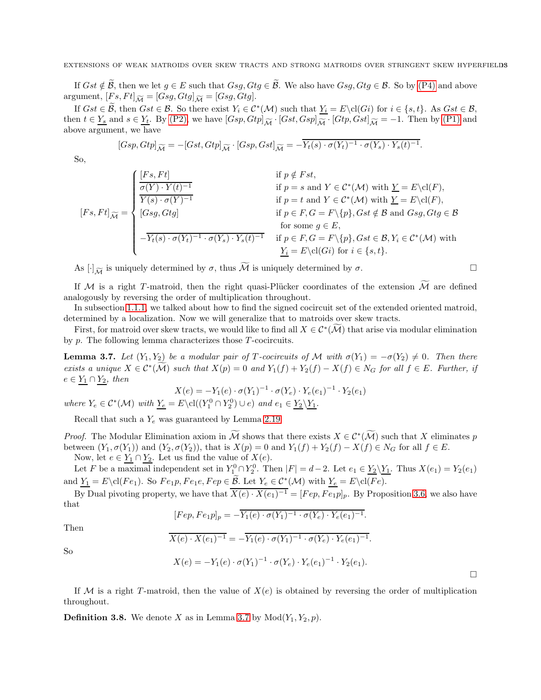If  $Gst \notin \mathcal{B}$ , then we let  $g \in E$  such that  $Gsg, Gtg \in \mathcal{B}$ . We also have  $Gsg, Gtg \in \mathcal{B}$ . So by [\(P4\)](#page-7-6) and above argument,  $[Fs, Ft]_{\widetilde{\mathcal{M}}} = [Gsg, Gtg]_{\widetilde{\mathcal{M}}} = [Gsg, Gtg].$ 

If  $Gst \in \mathcal{B}$ , then  $Gst \in \mathcal{B}$ . So there exist  $Y_i \in C^*(\mathcal{M})$  such that  $Y_i = E\backslash cl(G_i)$  for  $i \in \{s, t\}$ . As  $Gst \in \mathcal{B}$ , then  $t \in Y_s$  and  $s \in Y_t$ . By [\(P2\),](#page-7-3) we have  $[Gsp, Gtp]_{\widetilde{\mathcal{M}}} \cdot [Gst, Gsp]_{\widetilde{\mathcal{M}}} \cdot [Gtp, Gst]_{\widetilde{\mathcal{M}}} = -1$ . Then by [\(P1\)](#page-7-2) and above argument, we have

$$
[Gsp, Gtp]_{\widetilde{\mathcal{M}}} = -[Gst, Gtp]_{\widetilde{\mathcal{M}}} \cdot [Gsp, Gst]_{\widetilde{\mathcal{M}}} = -\overline{Y_t(s) \cdot \sigma(Y_t)^{-1} \cdot \sigma(Y_s) \cdot Y_s(t)^{-1}}.
$$

So,

$$
[Fs, Ft]_{\widetilde{\mathcal{M}}} = \begin{cases} \frac{[Fs, Ft]}{\sigma(Y) \cdot Y(t)^{-1}} & \text{if } p \notin Fst, \\ \frac{\overline{\sigma(Y) \cdot Y(t)^{-1}}}{Y(s) \cdot \sigma(Y)^{-1}} & \text{if } p = s \text{ and } Y \in \mathcal{C}^*(\mathcal{M}) \text{ with } \underline{Y} = E \backslash \text{cl}(F), \\ [Gsg, Gtg] & \text{if } p \in F, G = F \backslash \{p\}, Gst \notin \mathcal{B} \text{ and } Gsg, Gtg \in \mathcal{B} \\ \text{for some } g \in E, \\ -\overline{Y_t(s) \cdot \sigma(Y_t)^{-1} \cdot \sigma(Y_s) \cdot Y_s(t)^{-1}} & \text{if } p \in F, G = F \backslash \{p\}, Gst \in \mathcal{B}, Y_i \in \mathcal{C}^*(\mathcal{M}) \text{ with } \\ \frac{Y_i}{Y_i} = E \backslash \text{cl}(Gi) \text{ for } i \in \{s, t\}. \end{cases}
$$

As  $[\cdot]_{\widetilde{\mathcal{M}}}$  is uniquely determined by  $\sigma$ , thus  $\widetilde{\mathcal{M}}$  is uniquely determined by  $\sigma$ .

If M is a right T-matroid, then the right quasi-Plücker coordinates of the extension  $\widetilde{\mathcal{M}}$  are defined analogously by reversing the order of multiplication throughout.

In subsection [1.1.1,](#page-1-2) we talked about how to find the signed cocircuit set of the extended oriented matroid, determined by a localization. Now we will generalize that to matroids over skew tracts.

First, for matroid over skew tracts, we would like to find all  $X \in C^*(\mathcal{M})$  that arise via modular elimination by  $p$ . The following lemma characterizes those  $T$ -cocircuits.

<span id="page-12-0"></span>**Lemma 3.7.** *Let*  $(Y_1, Y_2)$  *be a modular pair of* T-*cocircuits of* M *with*  $\sigma(Y_1) = -\sigma(Y_2) \neq 0$ *. Then there exists a unique*  $X \in C^*(\mathcal{M})$  *such that*  $X(p) = 0$  *and*  $Y_1(f) + Y_2(f) - X(f) \in N_G$  *for all*  $f \in E$ *. Further, if*  $e \in Y_1 \cap Y_2$ , then

$$
X(e) = -Y_1(e) \cdot \sigma(Y_1)^{-1} \cdot \sigma(Y_e) \cdot Y_e(e_1)^{-1} \cdot Y_2(e_1)
$$

*where*  $Y_e \in C^*(\mathcal{M})$  *with*  $Y_e = E \cdot cl((Y_1^0 \cap Y_2^0) \cup e)$  *and*  $e_1 \in Y_2 \setminus Y_1$ *.* 

Recall that such a  $Y_e$  was guaranteed by Lemma [2.19.](#page-8-2)

*Proof.* The Modular Elimination axiom in M shows that there exists  $X \in C^*(\mathcal{M})$  such that X eliminates p between  $(Y_1, \sigma(Y_1))$  and  $(Y_2, \sigma(Y_2))$ , that is  $X(p) = 0$  and  $Y_1(f) + Y_2(f) - X(f) \in N_G$  for all  $f \in E$ .

Now, let  $e \in Y_1 \cap Y_2$ . Let us find the value of  $X(e)$ .

Let F be a maximal independent set in  $Y_1^0 \cap Y_2^0$ . Then  $|F| = d-2$ . Let  $e_1 \in \underline{Y_2 \setminus Y_1}$ . Thus  $X(e_1) = Y_2(e_1)$ and  $Y_1 = E \cdot \text{cl}(Fe_1)$ . So  $Fe_1p, Fe_1e, Fe_2 \in \mathcal{B}$ . Let  $Y_e \in C^*(\mathcal{M})$  with  $Y_e = E \cdot \text{cl}(Fe)$ .

By Dual pivoting property, we have that  $\overline{X(e) \cdot X(e_1)^{-1}} = [Fep, Fe_1p]_p$ . By Proposition [3.6,](#page-11-1) we also have that

$$
[Fep, Fe_1p]_p = -\overline{Y_1(e) \cdot \sigma(Y_1)^{-1} \cdot \sigma(Y_e) \cdot Y_e(e_1)^{-1}}.
$$

Then So

$$
X(e) \cdot X(e_1)^{-1} = -Y_1(e) \cdot \sigma(Y_1)^{-1} \cdot \sigma(Y_e) \cdot Y_e(e_1)^{-1}.
$$

 $X(e) = -Y_1(e) \cdot \sigma(Y_1)^{-1} \cdot \sigma(Y_e) \cdot Y_e(e_1)^{-1} \cdot Y_2(e_1).$ 

If M is a right T-matroid, then the value of  $X(e)$  is obtained by reversing the order of multiplication throughout.

**Definition 3.8.** We denote X as in Lemma [3.7](#page-12-0) by  $Mod(Y_1, Y_2, p)$ .

 $\Box$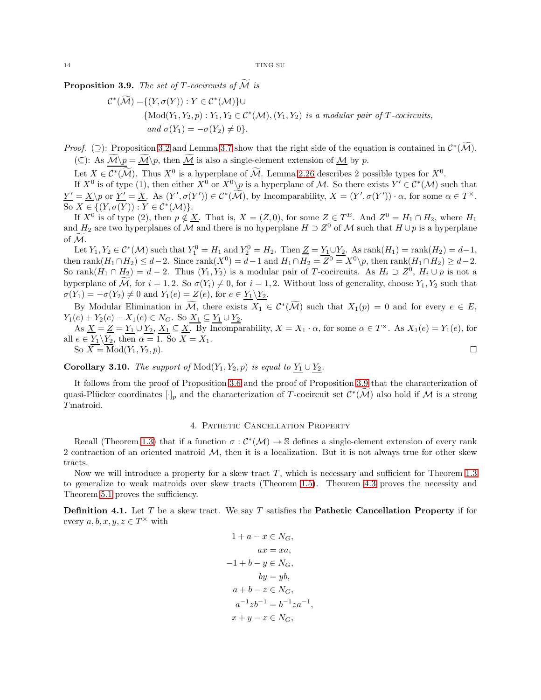<span id="page-13-1"></span>Proposition 3.9. *The set of T-cocircuits of*  $\tilde{M}$  *is* 

$$
\mathcal{C}^*(\mathcal{M}) = \{ (Y, \sigma(Y)) : Y \in \mathcal{C}^*(\mathcal{M}) \} \cup
$$
  
\n
$$
\{ \text{Mod}(Y_1, Y_2, p) : Y_1, Y_2 \in \mathcal{C}^*(\mathcal{M}), (Y_1, Y_2) \text{ is a modular pair of } T\text{-cocircuits,}
$$
  
\n
$$
\text{and } \sigma(Y_1) = -\sigma(Y_2) \neq 0 \}.
$$

*Proof.* (2): Proposition [3.2](#page-10-2) and Lemma [3.7](#page-12-0) show that the right side of the equation is contained in  $\mathcal{C}^*(\mathcal{M})$ . (⊆): As  $\widetilde{\mathcal{M}}\backslash p = \widetilde{\mathcal{M}}\backslash p$ , then  $\widetilde{\mathcal{M}}$  is also a single-element extension of  $\mathcal{M}$  by p.

Let  $X \in C^*(\mathcal{M})$ . Thus  $X^0$  is a hyperplane of M. Lemma [2.26](#page-9-1) describes 2 possible types for  $X^0$ .

If  $X^0$  is of type (1), then either  $X^0$  or  $X^0\backslash p$  is a hyperplane of M. So there exists  $Y' \in C^*(\mathcal{M})$  such that  $\underline{Y'} = \underline{X} \backslash p$  or  $\underline{Y'} = \underline{X}$ . As  $(Y', \sigma(Y')) \in C^*(\mathcal{M})$ , by Incomparability,  $X = (Y', \sigma(Y')) \cdot \alpha$ , for some  $\alpha \in T^{\times}$ . So  $X \in \{ (Y, \sigma(Y)) : Y \in C^*(\mathcal{M}) \}.$ 

If  $X^0$  is of type (2), then  $p \notin \underline{X}$ . That is,  $X = (Z, 0)$ , for some  $Z \in T^E$ . And  $Z^0 = H_1 \cap H_2$ , where  $H_1$ and  $H_2$  are two hyperplanes of M and there is no hyperplane  $H \supset Z^0$  of M such that  $H \cup p$  is a hyperplane of  $\overline{\mathcal{M}}$ .

Let  $Y_1, Y_2 \in C^*(\mathcal{M})$  such that  $Y_1^0 = H_1$  and  $Y_2^0 = H_2$ . Then  $\underline{Z} = \underline{Y_1} \cup \underline{Y_2}$ . As  $\text{rank}(H_1) = \text{rank}(H_2) = d-1$ , then  $rank(H_1 \cap H_2) \leq d-2$ . Since  $rank(X^0) = d-1$  and  $H_1 \cap H_2 = Z^0 = X^0 \backslash p$ , then  $rank(H_1 \cap H_2) \geq d-2$ . So rank $(H_1 \cap H_2) = d - 2$ . Thus  $(Y_1, Y_2)$  is a modular pair of T-cocircuits. As  $H_i \supset Z^0$ ,  $H_i \cup p$  is not a hyperplane of  $\mathcal{M}$ , for  $i = 1, 2$ . So  $\sigma(Y_i) \neq 0$ , for  $i = 1, 2$ . Without loss of generality, choose  $Y_1, Y_2$  such that  $\sigma(Y_1) = -\sigma(Y_2) \neq 0$  and  $Y_1(e) = Z(e)$ , for  $e \in Y_1 \backslash Y_2$ .

By Modular Elimination in M, there exists  $X_1 \in C^*(\mathcal{M})$  such that  $X_1(p) = 0$  and for every  $e \in E$ ,  $Y_1(e) + Y_2(e) - X_1(e) \in N_G$ . So  $\underline{X_1} \subseteq \underline{Y_1} \cup \underline{Y_2}$ .

As  $\underline{X} = \underline{Z} = \underline{Y_1} \cup \underline{Y_2}, X_1 \subseteq \underline{X}$ . By Incomparability,  $X = X_1 \cdot \alpha$ , for some  $\alpha \in T^{\times}$ . As  $X_1(e) = Y_1(e)$ , for all  $e \in Y_1 \backslash Y_2$ , then  $\alpha = 1$ . So  $X = X_1$ . So  $\overline{X} = \text{Mod}(Y_1, Y_2, p).$ 

<span id="page-13-3"></span>Corollary 3.10. *The support of*  $Mod(Y_1, Y_2, p)$  *is equal to*  $Y_1 \cup Y_2$ *.* 

It follows from the proof of Proposition [3.6](#page-11-1) and the proof of Proposition [3.9](#page-13-1) that the characterization of quasi-Plücker coordinates  $[\cdot]_p$  and the characterization of T-cocircuit set  $\mathcal{C}^*(\mathcal{M})$  also hold if M is a strong T matroid.

## 4. Pathetic Cancellation Property

<span id="page-13-0"></span>Recall (Theorem [1.3\)](#page-2-1) that if a function  $\sigma : C^*(\mathcal{M}) \to \mathbb{S}$  defines a single-element extension of every rank 2 contraction of an oriented matroid  $M$ , then it is a localization. But it is not always true for other skew tracts.

Now we will introduce a property for a skew tract  $T$ , which is necessary and sufficient for Theorem [1.3](#page-2-1) to generalize to weak matroids over skew tracts (Theorem [1.5\)](#page-4-1). Theorem [4.3](#page-14-0) proves the necessity and Theorem [5.1](#page-18-1) proves the sufficiency.

<span id="page-13-2"></span>**Definition 4.1.** Let T be a skew tract. We say T satisfies the **Pathetic Cancellation Property** if for every  $a, b, x, y, z \in T^{\times}$  with

$$
1 + a - x \in N_G,
$$
  
\n
$$
ax = xa,
$$
  
\n
$$
-1 + b - y \in N_G,
$$
  
\n
$$
by = yb,
$$
  
\n
$$
a + b - z \in N_G,
$$
  
\n
$$
a^{-1}zb^{-1} = b^{-1}za^{-1},
$$
  
\n
$$
x + y - z \in N_G,
$$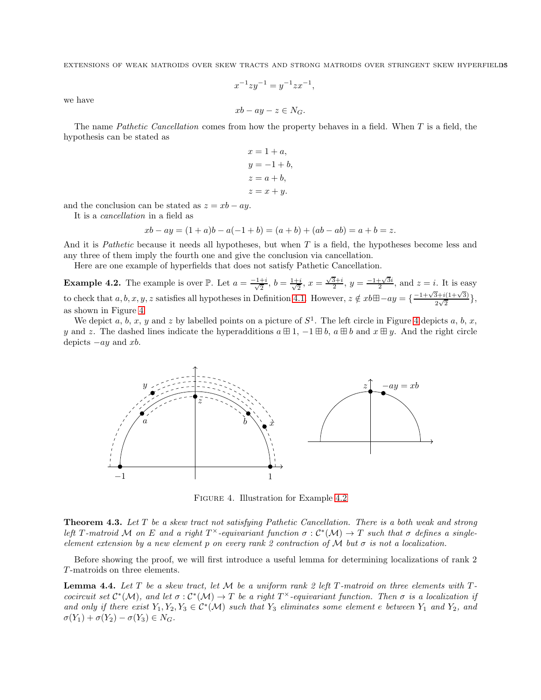$$
x^{-1}zy^{-1} = y^{-1}zx^{-1},
$$

we have

$$
xb-ay-z\in N_G.
$$

The name *Pathetic Cancellation* comes from how the property behaves in a field. When T is a field, the hypothesis can be stated as

$$
x = 1 + a,
$$
  
\n
$$
y = -1 + b,
$$
  
\n
$$
z = a + b,
$$
  
\n
$$
z = x + y.
$$

and the conclusion can be stated as  $z = xb - ay$ .

It is a *cancellation* in a field as

$$
xb - ay = (1 + a)b - a(-1 + b) = (a + b) + (ab - ab) = a + b = z.
$$

And it is *Pathetic* because it needs all hypotheses, but when T is a field, the hypotheses become less and any three of them imply the fourth one and give the conclusion via cancellation.

Here are one example of hyperfields that does not satisfy Pathetic Cancellation.

<span id="page-14-2"></span>**Example 4.2.** The example is over  $\mathbb{P}$ . Let  $a = \frac{-1+i}{\sqrt{2}}$  $\frac{+i}{2}, b = \frac{1+i}{\sqrt{2}}$  $\frac{x-i}{2}$ ,  $x = \frac{\sqrt{3}+i}{2}$ ,  $y = \frac{-1+\sqrt{3}i}{2}$ , and  $z = i$ . It is easy to check that  $a, b, x, y, z$  satisfies all hypotheses in Definition [4.1.](#page-13-2) However,  $z \notin xb \boxplus -ay = \{\frac{-1+\sqrt{3}+i(1+\sqrt{3})}{2\sqrt{3}}\}$  $\frac{2\sqrt{2}}{2\sqrt{2}}\},$ as shown in Figure [4.](#page-14-1)

We depict a, b, x, y and z by labelled points on a picture of  $S^1$ . The left circle in Figure [4](#page-14-1) depicts a, b, x, y and z. The dashed lines indicate the hyperadditions  $a \boxplus 1$ ,  $-1 \boxplus b$ ,  $a \boxplus b$  and  $x \boxplus y$ . And the right circle depicts  $-ay$  and xb.

<span id="page-14-1"></span>

FIGURE 4. Illustration for Example [4.2](#page-14-2)

<span id="page-14-0"></span>Theorem 4.3. *Let* T *be a skew tract not satisfying Pathetic Cancellation. There is a both weak and strong left* T-matroid M on E and a right  $T^{\times}$ -equivariant function  $\sigma : C^*(\mathcal{M}) \to T$  such that  $\sigma$  defines a single*element extension by a new element* p *on every rank 2 contraction of* M *but* σ *is not a localization.*

Before showing the proof, we will first introduce a useful lemma for determining localizations of rank 2 T -matroids on three elements.

<span id="page-14-3"></span>**Lemma 4.4.** Let T be a skew tract, let M be a uniform rank 2 left T-matroid on three elements with T*cocircuit set*  $C^*(\mathcal{M})$ , and let  $\sigma : C^*(\mathcal{M}) \to T$  be a right  $T^{\times}$ -equivariant function. Then  $\sigma$  is a localization if and only if there exist  $Y_1, Y_2, Y_3 \in C^*(\mathcal{M})$  such that  $Y_3$  eliminates some element e between  $Y_1$  and  $Y_2$ , and  $\sigma(Y_1) + \sigma(Y_2) - \sigma(Y_3) \in N_G$ .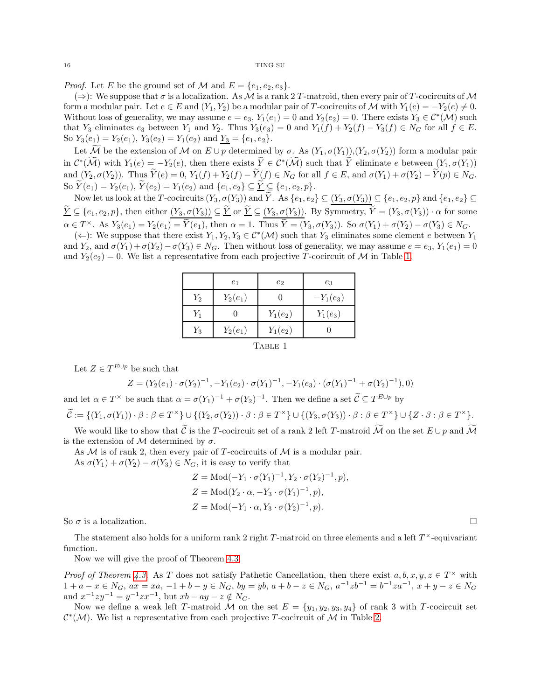*Proof.* Let E be the ground set of M and  $E = \{e_1, e_2, e_3\}.$ 

 $(\Rightarrow)$ : We suppose that  $\sigma$  is a localization. As M is a rank 2 T-matroid, then every pair of T-cocircuits of M form a modular pair. Let  $e \in E$  and  $(Y_1, Y_2)$  be a modular pair of T-cocircuits of M with  $Y_1(e) = -Y_2(e) \neq 0$ . Without loss of generality, we may assume  $e = e_3$ ,  $Y_1(e_1) = 0$  and  $Y_2(e_2) = 0$ . There exists  $Y_3 \in C^*(\mathcal{M})$  such that Y<sub>3</sub> eliminates  $e_3$  between Y<sub>1</sub> and Y<sub>2</sub>. Thus Y<sub>3</sub> $(e_3) = 0$  and Y<sub>1</sub> $(f) + Y_2(f) - Y_3(f) \in N_G$  for all  $f \in E$ . So  $Y_3(e_1) = Y_2(e_1)$ ,  $Y_3(e_2) = Y_1(e_2)$  and  $Y_3 = \{e_1, e_2\}$ .

Let  $\overline{\mathcal{M}}$  be the extension of  $\mathcal M$  on  $E \cup p$  determined by  $\sigma$ . As  $(Y_1, \sigma(Y_1)), (Y_2, \sigma(Y_2))$  form a modular pair in  $\mathcal{C}^*(\mathcal{M})$  with  $Y_1(e) = -Y_2(e)$ , then there exists  $Y \in \mathcal{C}^*(\mathcal{M})$  such that Y eliminate e between  $(Y_1, \sigma(Y_1))$ and  $(Y_2, \sigma(Y_2))$ . Thus  $\widetilde{Y}(e) = 0$ ,  $Y_1(f) + Y_2(f) - \widetilde{Y}(f) \in N_G$  for all  $f \in E$ , and  $\sigma(Y_1) + \sigma(Y_2) - \widetilde{Y}(p) \in N_G$ . So  $\widetilde{Y}(e_1) = Y_2(e_1), \widetilde{Y}(e_2) = Y_1(e_2)$  and  $\{e_1, e_2\} \subseteq \widetilde{Y} \subseteq \{e_1, e_2, p\}.$ 

Now let us look at the T-cocircuits  $(Y_3, \sigma(Y_3))$  and  $\widetilde{Y}$ . As  $\{e_1, e_2\} \subseteq (Y_3, \sigma(Y_3)) \subseteq \{e_1, e_2, p\}$  and  $\{e_1, e_2\} \subseteq$  $\widetilde{Y} \subseteq \{e_1, e_2, p\}$ , then either  $(Y_3, \sigma(Y_3)) \subseteq \widetilde{Y}$  or  $\widetilde{Y} \subseteq (Y_3, \sigma(Y_3))$ . By Symmetry,  $\widetilde{Y} = (Y_3, \sigma(Y_3)) \cdot \alpha$  for some  $\alpha \in T^{\times}$ . As  $Y_3(e_1) = Y_2(e_1) = Y(e_1)$ , then  $\alpha = 1$ . Thus  $Y = (Y_3, \sigma(Y_3))$ . So  $\sigma(Y_1) + \sigma(Y_2) - \sigma(Y_3) \in N_G$ .

<span id="page-15-0"></span> $(\Leftarrow)$ : We suppose that there exist  $Y_1, Y_2, Y_3 \in C^*(\mathcal{M})$  such that  $Y_3$  eliminates some element e between  $Y_1$ and  $Y_2$ , and  $\sigma(Y_1) + \sigma(Y_2) - \sigma(Y_3) \in N_G$ . Then without loss of generality, we may assume  $e = e_3$ ,  $Y_1(e_1) = 0$ and  $Y_2(e_2) = 0$ . We list a representative from each projective T-cocircuit of M in Table [1.](#page-15-0)

|        | e <sub>1</sub> | $e_2$      | $e_3$       |  |  |
|--------|----------------|------------|-------------|--|--|
| $Y_2$  | $Y_2(e_1)$     |            | $-Y_1(e_3)$ |  |  |
| $Y_1$  |                | $Y_1(e_2)$ | $Y_1(e_3)$  |  |  |
| $Y_3$  | $Y_2(e_1)$     | $Y_1(e_2)$ |             |  |  |
| 'TABLE |                |            |             |  |  |

Let  $Z \in T^{E \cup p}$  be such that

$$
Z = (Y_2(e_1) \cdot \sigma(Y_2)^{-1}, -Y_1(e_2) \cdot \sigma(Y_1)^{-1}, -Y_1(e_3) \cdot (\sigma(Y_1)^{-1} + \sigma(Y_2)^{-1}), 0)
$$

and let  $\alpha \in T^{\times}$  be such that  $\alpha = \sigma(Y_1)^{-1} + \sigma(Y_2)^{-1}$ . Then we define a set  $\mathcal{C} \subseteq T^{E \cup p}$  by

$$
\widetilde{\mathcal{C}} := \{ (Y_1, \sigma(Y_1)) \cdot \beta : \beta \in T^\times \} \cup \{ (Y_2, \sigma(Y_2)) \cdot \beta : \beta \in T^\times \} \cup \{ (Y_3, \sigma(Y_3)) \cdot \beta : \beta \in T^\times \} \cup \{ Z \cdot \beta : \beta \in T^\times \}.
$$

We would like to show that  $\tilde{\mathcal{C}}$  is the T-cocircuit set of a rank 2 left T-matroid  $\tilde{\mathcal{M}}$  on the set  $E \cup p$  and  $\tilde{\mathcal{M}}$ is the extension of  $M$  determined by  $\sigma$ .

As  $M$  is of rank 2, then every pair of T-cocircuits of  $M$  is a modular pair.

As  $\sigma(Y_1) + \sigma(Y_2) - \sigma(Y_3) \in N_G$ , it is easy to verify that

$$
Z = \text{Mod}(-Y_1 \cdot \sigma(Y_1)^{-1}, Y_2 \cdot \sigma(Y_2)^{-1}, p),
$$
  
\n
$$
Z = \text{Mod}(Y_2 \cdot \alpha, -Y_3 \cdot \sigma(Y_1)^{-1}, p),
$$
  
\n
$$
Z = \text{Mod}(-Y_1 \cdot \alpha, Y_3 \cdot \sigma(Y_2)^{-1}, p).
$$

So  $\sigma$  is a localization.

The statement also holds for a uniform rank 2 right  $T$ -matroid on three elements and a left  $T^{\times}$ -equivariant function.

Now we will give the proof of Theorem [4.3.](#page-14-0)

*Proof of Theorem [4.3.](#page-14-0)* As T does not satisfy Pathetic Cancellation, then there exist  $a, b, x, y, z \in T^{\times}$  with  $1 + a - x \in N_G$ ,  $ax = xa$ ,  $-1 + b - y \in N_G$ ,  $by = yb$ ,  $a + b - z \in N_G$ ,  $a^{-1}zb^{-1} = b^{-1}za^{-1}$ ,  $x + y - z \in N_G$ and  $x^{-1}zy^{-1} = y^{-1}zx^{-1}$ , but  $xb - ay - z \notin N_G$ .

Now we define a weak left T-matroid M on the set  $E = \{y_1, y_2, y_3, y_4\}$  of rank 3 with T-cocircuit set  $\mathcal{C}^*(\mathcal{M})$ . We list a representative from each projective T-cocircuit of M in Table [2.](#page-16-0)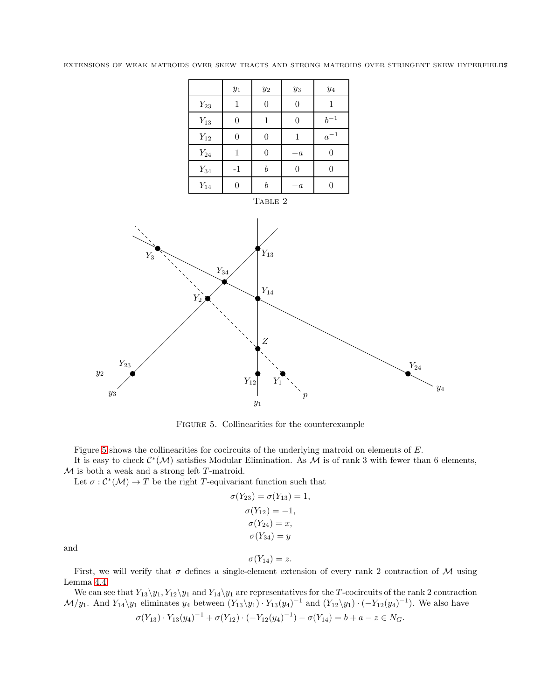<span id="page-16-0"></span>

|                    | $y_1\,$        | $\mathcal{Y}2$   | $y_3$    | $y_4$      |
|--------------------|----------------|------------------|----------|------------|
| $Y_{23}$           | 1              | $\Omega$         | $\Omega$ | 1          |
| $Y_{13}$           | 0              | 1                | $\Omega$ | $b^{-1}\,$ |
| $Y_{12}$           | $\overline{0}$ | 0                | 1        | $a^{-1}$   |
| $\mathcal{Y}_{24}$ | 1              | $\theta$         | $-a$     | 0          |
| $Y_{34}$           | $-1$           | $\boldsymbol{b}$ | $\Omega$ | 0          |
| $\mathcal{Y}_{14}$ | 0              | h                | $-a$     |            |
|                    |                | TABLE 2          |          |            |

<span id="page-16-1"></span>

Figure 5. Collinearities for the counterexample

Figure [5](#page-16-1) shows the collinearities for cocircuits of the underlying matroid on elements of E.

It is easy to check  $\mathcal{C}^*(\mathcal{M})$  satisfies Modular Elimination. As  $\mathcal M$  is of rank 3 with fewer than 6 elements,  $M$  is both a weak and a strong left  $T$ -matroid.

Let  $\sigma: \mathcal{C}^*(\mathcal{M}) \to T$  be the right T-equivariant function such that

$$
\sigma(Y_{23}) = \sigma(Y_{13}) = 1,
$$
  
\n
$$
\sigma(Y_{12}) = -1,
$$
  
\n
$$
\sigma(Y_{24}) = x,
$$
  
\n
$$
\sigma(Y_{34}) = y
$$

and

$$
\sigma(Y_{14})=z.
$$

First, we will verify that  $\sigma$  defines a single-element extension of every rank 2 contraction of M using Lemma [4.4.](#page-14-3)

We can see that  $Y_{13}\y_1, Y_{12}\y_1$  and  $Y_{14}\y_1$  are representatives for the T-cocircuits of the rank 2 contraction  $\mathcal{M}/y_1$ . And  $Y_{14}\y_1$  eliminates  $y_4$  between  $(Y_{13}\y_1) \cdot Y_{13}(y_4)^{-1}$  and  $(Y_{12}\y_1) \cdot (-Y_{12}(y_4)^{-1})$ . We also have  $\sigma(Y_{13}) \cdot Y_{13}(y_4)^{-1} + \sigma(Y_{12}) \cdot (-Y_{12}(y_4)^{-1}) - \sigma(Y_{14}) = b + a - z \in N_G.$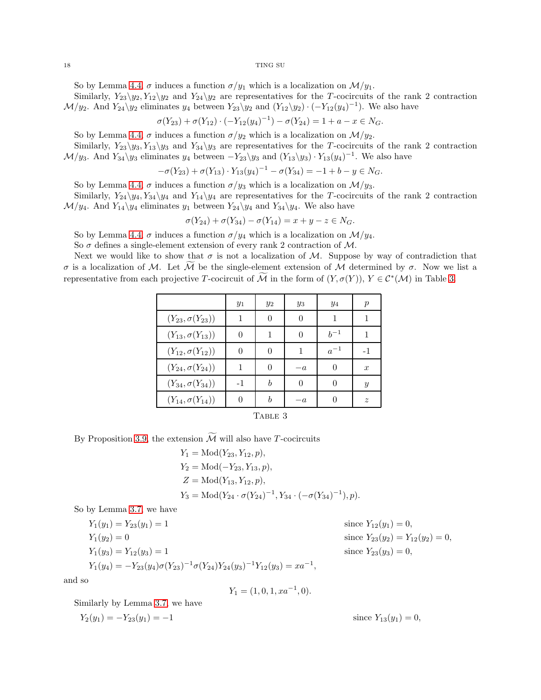So by Lemma [4.4,](#page-14-3)  $\sigma$  induces a function  $\sigma/y_1$  which is a localization on  $\mathcal{M}/y_1$ .

Similarly,  $Y_{23}\y_2, Y_{12}\y_2$  and  $Y_{24}\y_2$  are representatives for the T-cocircuits of the rank 2 contraction  $\mathcal{M}/y_2$ . And  $Y_{24}\y_2$  eliminates  $y_4$  between  $Y_{23}\y_2$  and  $(Y_{12}\y_2)\cdot(-Y_{12}(y_4)^{-1})$ . We also have

$$
\sigma(Y_{23}) + \sigma(Y_{12}) \cdot (-Y_{12}(y_4)^{-1}) - \sigma(Y_{24}) = 1 + a - x \in N_G.
$$

So by Lemma [4.4,](#page-14-3)  $\sigma$  induces a function  $\sigma/y_2$  which is a localization on  $\mathcal{M}/y_2$ .

Similarly,  $Y_{23}\y_3, Y_{13}\y_3$  and  $Y_{34}\y_3$  are representatives for the T-cocircuits of the rank 2 contraction  $\mathcal{M}/y_3$ . And  $Y_{34}\y_3$  eliminates  $y_4$  between  $-Y_{23}\y_3$  and  $(Y_{13}\y_3)\cdot Y_{13}(y_4)^{-1}$ . We also have

$$
-\sigma(Y_{23}) + \sigma(Y_{13}) \cdot Y_{13}(y_4)^{-1} - \sigma(Y_{34}) = -1 + b - y \in N_G.
$$

So by Lemma [4.4,](#page-14-3)  $\sigma$  induces a function  $\sigma/y_3$  which is a localization on  $\mathcal{M}/y_3$ .

Similarly,  $Y_{24}\y_4, Y_{34}\y_4$  and  $Y_{14}\y_4$  are representatives for the T-cocircuits of the rank 2 contraction  $\mathcal{M}/y_4$ . And  $Y_{14}\y_4$  eliminates  $y_1$  between  $Y_{24}\y_4$  and  $Y_{34}\y_4$ . We also have

$$
\sigma(Y_{24}) + \sigma(Y_{34}) - \sigma(Y_{14}) = x + y - z \in N_G.
$$

So by Lemma [4.4,](#page-14-3)  $\sigma$  induces a function  $\sigma/y_4$  which is a localization on  $\mathcal{M}/y_4$ .

So  $\sigma$  defines a single-element extension of every rank 2 contraction of M.

<span id="page-17-0"></span>Next we would like to show that  $\sigma$  is not a localization of M. Suppose by way of contradiction that σ is a localization of M. Let M be the single-element extension of M determined by σ. Now we list a representative from each projective T-cocircuit of M in the form of  $(Y, \sigma(Y))$ ,  $Y \in C^*(\mathcal{M})$  in Table [3.](#page-17-0)

|                            | $y_1$    | $y_2$            | $y_3$ | $y_4$    | $\,p$            |  |  |
|----------------------------|----------|------------------|-------|----------|------------------|--|--|
| $(Y_{23}, \sigma(Y_{23}))$ | 1        | $\Omega$         | 0     | 1        | 1                |  |  |
| $(Y_{13}, \sigma(Y_{13}))$ | 0        |                  | 0     | $h^{-1}$ |                  |  |  |
| $(Y_{12}, \sigma(Y_{12}))$ | $\theta$ | $\Omega$         | 1     | $a^{-1}$ | $-1$             |  |  |
| $(Y_{24}, \sigma(Y_{24}))$ |          | $\left( \right)$ | $-a$  | 0        | $\boldsymbol{x}$ |  |  |
| $(Y_{34}, \sigma(Y_{34}))$ | $-1$     | h                | 0     | $\Omega$ | $\mathcal{Y}$    |  |  |
| $(Y_{14}, \sigma(Y_{14}))$ | 0        | h                | $-a$  |          | $\boldsymbol{z}$ |  |  |
| TABLE 3                    |          |                  |       |          |                  |  |  |

By Proposition [3.9,](#page-13-1) the extension  $\widetilde{\mathcal{M}}$  will also have T-cocircuits

$$
Y_1 = \text{Mod}(Y_{23}, Y_{12}, p),
$$
  
\n
$$
Y_2 = \text{Mod}(-Y_{23}, Y_{13}, p),
$$
  
\n
$$
Z = \text{Mod}(Y_{13}, Y_{12}, p),
$$
  
\n
$$
Y_3 = \text{Mod}(Y_{24} \cdot \sigma(Y_{24})^{-1}, Y_{34} \cdot (-\sigma(Y_{34})^{-1}), p).
$$

So by Lemma [3.7,](#page-12-0) we have

$$
Y_1(y_1) = Y_{23}(y_1) = 1
$$
  
\n
$$
Y_1(y_2) = 0
$$
  
\n
$$
Y_1(y_3) = Y_{12}(y_3) = 1
$$
  
\n
$$
Y_1(y_4) = -Y_{23}(y_4)\sigma(Y_{23})^{-1}\sigma(Y_{24})Y_{24}(y_3)^{-1}Y_{12}(y_3) = xa^{-1},
$$
  
\nsince  $Y_{23}(y_3) = 0$ ,  
\nsince  $Y_{23}(y_3) = 0$ ,  
\nsince  $Y_{23}(y_3) = 0$ ,

and so

$$
Y_1 = (1, 0, 1, xa^{-1}, 0).
$$

Similarly by Lemma [3.7,](#page-12-0) we have

$$
Y_2(y_1) = -Y_{23}(y_1) = -1
$$
 since  $Y_{13}(y_1) = 0$ ,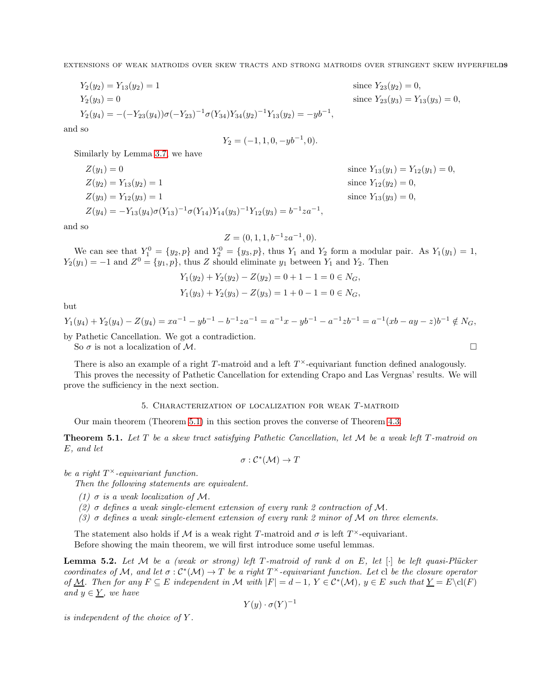,

$$
Y_2(y_2) = Y_{13}(y_2) = 1
$$
  
\n
$$
Y_2(y_3) = 0
$$
  
\n
$$
Y_2(y_4) = -(-Y_{23}(y_4))\sigma(-Y_{23})^{-1}\sigma(Y_{34})Y_{34}(y_2)^{-1}Y_{13}(y_2) = -yb^{-1}
$$

and so

$$
Y_2 = (-1, 1, 0, -yb^{-1}, 0).
$$

Similarly by Lemma [3.7,](#page-12-0) we have

$$
Z(y_1) = 0
$$
  
\n
$$
Z(y_2) = Y_{13}(y_2) = 1
$$
  
\n
$$
Z(y_3) = Y_{12}(y_3) = 1
$$
  
\n
$$
Z(y_4) = -Y_{13}(y_4)\sigma(Y_{13})^{-1}\sigma(Y_{14})Y_{14}(y_3)^{-1}Y_{12}(y_3) = b^{-1}za^{-1},
$$

since  $Y_{13}(y_1) = Y_{12}(y_1) = 0$ , since  $Y_{12}(y_2) = 0$ , since  $Y_{13}(y_3) = 0$ ,

since  $Y_{23}(y_3) = Y_{13}(y_3) = 0$ ,

since  $Y_{23}(y_2) = 0$ ,

and so

$$
Z = (0, 1, 1, b^{-1}za^{-1}, 0).
$$

We can see that  $Y_1^0 = \{y_2, p\}$  and  $Y_2^0 = \{y_3, p\}$ , thus  $Y_1$  and  $Y_2$  form a modular pair. As  $Y_1(y_1) = 1$ ,  $Y_2(y_1) = -1$  and  $Z^0 = \{y_1, p\}$ , thus Z should eliminate  $y_1$  between  $Y_1$  and  $Y_2$ . Then

$$
Y_1(y_2) + Y_2(y_2) - Z(y_2) = 0 + 1 - 1 = 0 \in N_G,
$$
  

$$
Y_1(y_3) + Y_2(y_3) - Z(y_3) = 1 + 0 - 1 = 0 \in N_G,
$$

but

 $Y_1(y_4) + Y_2(y_4) - Z(y_4) = x a^{-1} - y b^{-1} - b^{-1} z a^{-1} = a^{-1} x - y b^{-1} - a^{-1} z b^{-1} = a^{-1} (x b - a y - z) b^{-1} \notin N_G,$ by Pathetic Cancellation. We got a contradiction.

So  $\sigma$  is not a localization of M.

There is also an example of a right T-matroid and a left  $T^{\times}$ -equivariant function defined analogously.

<span id="page-18-0"></span>This proves the necessity of Pathetic Cancellation for extending Crapo and Las Vergnas' results. We will prove the sufficiency in the next section.

## 5. CHARACTERIZATION OF LOCALIZATION FOR WEAK T-MATROID

Our main theorem (Theorem [5.1\)](#page-18-1) in this section proves the converse of Theorem [4.3.](#page-14-0)

<span id="page-18-1"></span>Theorem 5.1. *Let* T *be a skew tract satisfying Pathetic Cancellation, let* M *be a weak left* T *-matroid on* E*, and let*

$$
\sigma: \mathcal{C}^*(\mathcal{M}) \to T
$$

*be a right* T <sup>×</sup>*-equivariant function.*

*Then the following statements are equivalent.*

- *(1)*  $\sigma$  *is a weak localization of*  $\mathcal{M}$ *.*
- *(2)* σ *defines a weak single-element extension of every rank 2 contraction of* M*.*
- *(3)* σ *defines a weak single-element extension of every rank 2 minor of* M *on three elements.*

The statement also holds if M is a weak right T-matroid and  $\sigma$  is left  $T^{\times}$ -equivariant. Before showing the main theorem, we will first introduce some useful lemmas.

**Lemma 5.2.** Let M be a (weak or strong) left T-matroid of rank d on E, let  $[\cdot]$  be left quasi-Plücker *coordinates of* M, and let  $\sigma : C^*(\mathcal{M}) \to T$  be a right  $T^{\times}$ -equivariant function. Let cl be the closure operator *of*  $\underline{\mathcal{M}}$ *. Then for any*  $F \subseteq E$  *independent in*  $\mathcal{M}$  *with*  $|F| = d - 1$ ,  $Y \in C^*(\mathcal{M})$ ,  $y \in E$  *such that*  $\underline{Y} = E \setminus cl(F)$ *and*  $y \in Y$ *, we have* 

$$
Y(y) \cdot \sigma(Y)^{-1}
$$

*is independent of the choice of* Y *.*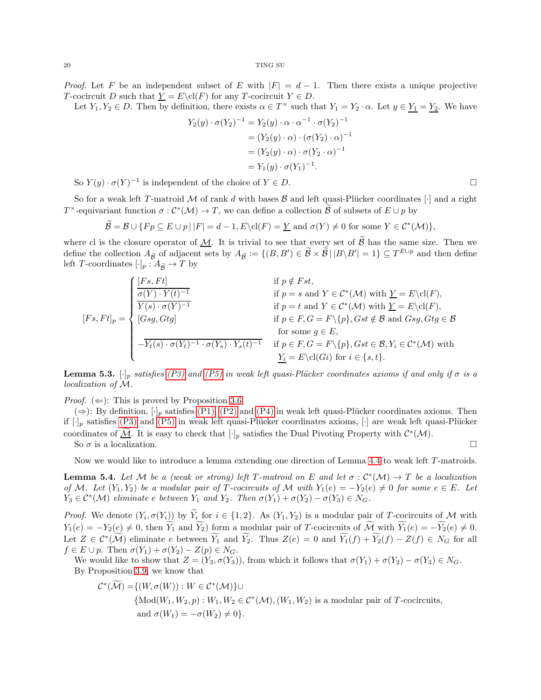*Proof.* Let F be an independent subset of E with  $|F| = d - 1$ . Then there exists a unique projective T-cocircuit D such that  $\underline{Y} = E \cdot cl(F)$  for any T-cocircuit  $Y \in D$ .

Let  $Y_1, Y_2 \in D$ . Then by definition, there exists  $\alpha \in T^{\times}$  such that  $Y_1 = Y_2 \cdot \alpha$ . Let  $y \in Y_1 = Y_2$ . We have

$$
Y_2(y) \cdot \sigma(Y_2)^{-1} = Y_2(y) \cdot \alpha \cdot \alpha^{-1} \cdot \sigma(Y_2)^{-1}
$$
  
=  $(Y_2(y) \cdot \alpha) \cdot (\sigma(Y_2) \cdot \alpha)^{-1}$   
=  $(Y_2(y) \cdot \alpha) \cdot \sigma(Y_2 \cdot \alpha)^{-1}$   
=  $Y_1(y) \cdot \sigma(Y_1)^{-1}$ .

So  $Y(y) \cdot \sigma(Y)^{-1}$  is independent of the choice of  $Y \in D$ .

So for a weak left T-matroid M of rank d with bases  $\mathcal B$  and left quasi-Plücker coordinates [·] and a right  $T^{\times}$ -equivariant function  $\sigma : C^*(\mathcal{M}) \to T$ , we can define a collection  $\mathcal{B}$  of subsets of  $E \cup p$  by

$$
\widetilde{\mathcal{B}} = \mathcal{B} \cup \{ Fp \subseteq E \cup p \mid |F| = d - 1, E \setminus cl(F) = \underline{Y} \text{ and } \sigma(Y) \neq 0 \text{ for some } Y \in C^*(\mathcal{M}) \},
$$

where cl is the closure operator of  $M$ . It is trivial to see that every set of  $\beta$  has the same size. Then we define the collection  $A_{\tilde{\mathcal{B}}}$  of adjacent sets by  $A_{\tilde{\mathcal{B}}} := \{(B, B') \in \tilde{\mathcal{B}} \times \tilde{\mathcal{B}} \mid |B \setminus B'| = 1\} \subseteq T^{E \cup p}$  and then define left T-coordinates  $[\cdot]_p : A_{\widetilde{B}} \to T$  by

$$
[Fs, Ft]_p = \begin{cases} \frac{[Fs, Ft]}{\sigma(Y) \cdot Y(t)^{-1}} & \text{if } p \notin Fst, \\ \frac{\overline{\sigma(Y) \cdot Y(t)^{-1}}}{Y(s) \cdot \sigma(Y)^{-1}} & \text{if } p = s \text{ and } Y \in C^*(\mathcal{M}) \text{ with } \underline{Y} = E \backslash \text{cl}(F), \\ [Gsg, Gtg] & \text{if } p \in F, G = F \backslash \{p\}, Gst \notin \mathcal{B} \text{ and } Gsg, Gtg \in \mathcal{B} \\ \text{for some } g \in E, \\ -\overline{Y_t(s) \cdot \sigma(Y_t)^{-1} \cdot \sigma(Y_s) \cdot Y_s(t)^{-1}} & \text{if } p \in F, G = F \backslash \{p\}, Gst \in \mathcal{B}, Y_i \in C^*(\mathcal{M}) \text{ with } \\ \frac{Y_i}{Y_i} = E \backslash \text{cl}(Gi) \text{ for } i \in \{s, t\}. \end{cases}
$$

<span id="page-19-0"></span>**Lemma 5.3.**  $[\cdot]_p$  *satisfies* [\(P3\)](#page-7-4) and [\(P5\)](#page-7-7) in weak left quasi-Plücker coordinates axioms if and only if  $\sigma$  is a *localization of* M*.*

*Proof.* ( $\Leftarrow$ ): This is proved by Proposition [3.6.](#page-11-1)

 $(\Rightarrow)$ : By definition,  $[\cdot]_p$  satisfies [\(P1\),](#page-7-2) [\(P2\)](#page-7-3) and [\(P4\)](#page-7-6) in weak left quasi-Plücker coordinates axioms. Then if  $[\cdot]_p$  satisfies [\(P3\)](#page-7-4) and [\(P5\)](#page-7-7) in weak left quasi-Plücker coordinates axioms,  $[\cdot]$  are weak left quasi-Plücker coordinates of <u>M</u>. It is easy to check that  $[\cdot]_p$  satisfies the Dual Pivoting Property with  $\mathcal{C}^*(\mathcal{M})$ .

So  $\sigma$  is a localization.

Now we would like to introduce a lemma extending one direction of Lemma [4.4](#page-14-3) to weak left T-matroids.

<span id="page-19-1"></span>**Lemma 5.4.** Let M be a (weak or strong) left T-matroid on E and let  $\sigma : C^*(\mathcal{M}) \to T$  be a localization *of* M. Let  $(Y_1, Y_2)$  be a modular pair of T *-cocircuits of* M with  $Y_1(e) = -Y_2(e) \neq 0$  *for some*  $e \in E$ *. Let*  $Y_3 \in C^*(\mathcal{M})$  *eliminate e between*  $Y_1$  *and*  $Y_2$ *. Then*  $\sigma(Y_1) + \sigma(Y_2) - \sigma(Y_3) \in N_G$ *.* 

*Proof.* We denote  $(Y_i, \sigma(Y_i))$  by  $Y_i$  for  $i \in \{1, 2\}$ . As  $(Y_1, Y_2)$  is a modular pair of T-cocircuits of M with  $Y_1(e) = -Y_2(e) \neq 0$ , then  $\widetilde{Y_1}$  and  $\widetilde{Y_2}$ ) form a modular pair of T-cocircuits of  $\widetilde{\mathcal{M}}$  with  $\widetilde{Y_1}(e) = -\widetilde{Y_2}(e) \neq 0$ . Let  $Z \in C^*(\mathcal{M})$  eliminate e between  $Y_1$  and  $Y_2$ . Thus  $Z(e) = 0$  and  $Y_1(f) + Y_2(f) - Z(f) \in N_G$  for all  $f \in E \cup p$ . Then  $\sigma(Y_1) + \sigma(Y_2) - Z(p) \in N_G$ .

We would like to show that  $Z = (Y_3, \sigma(Y_3))$ , from which it follows that  $\sigma(Y_1) + \sigma(Y_2) - \sigma(Y_3) \in N_G$ . By Proposition [3.9,](#page-13-1) we know that

$$
\mathcal{C}^*(\widetilde{\mathcal{M}}) = \{(W, \sigma(W)) : W \in \mathcal{C}^*(\mathcal{M})\} \cup
$$
  
\n
$$
\{\text{Mod}(W_1, W_2, p) : W_1, W_2 \in \mathcal{C}^*(\mathcal{M}), (W_1, W_2) \text{ is a modular pair of } T\text{-cocircuits,}
$$
  
\nand  $\sigma(W_1) = -\sigma(W_2) \neq 0\}.$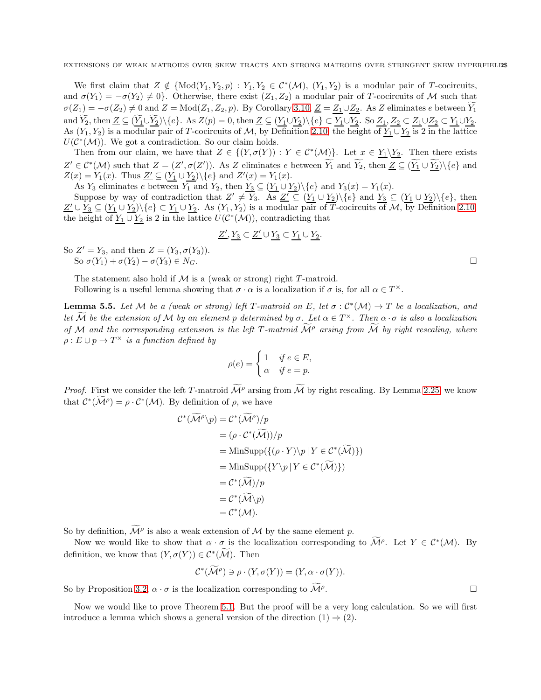We first claim that  $Z \notin \{Mod(Y_1, Y_2, p) : Y_1, Y_2 \in C^*(\mathcal{M}), (Y_1, Y_2) \text{ is a modular pair of } T\text{-cocircuits},\}$ and  $\sigma(Y_1) = -\sigma(Y_2) \neq 0$ . Otherwise, there exist  $(Z_1, Z_2)$  a modular pair of T-cocircuits of M such that  $\sigma(Z_1) = -\sigma(Z_2) \neq 0$  and  $Z = \text{Mod}(Z_1, Z_2, p)$ . By Corollary [3.10,](#page-13-3)  $\underline{Z} = Z_1 \cup Z_2$ . As Z eliminates e between  $\widetilde{Y_1}$ and  $Y_2$ , then  $\underline{Z} \subseteq (\underline{Y_1} \cup \underline{Y_2}) \setminus \{e\}$ . As  $Z(p) = 0$ , then  $\underline{Z} \subseteq (\underline{Y_1} \cup \underline{Y_2}) \setminus \{e\} \subset \underline{Y_1} \cup \underline{Y_2}$ . So  $\underline{Z_1}$ ,  $\underline{Z_2} \subset \underline{Z_1} \cup \underline{Z_2} \subset \underline{Y_1} \cup \underline{Y_2}$ . As  $(Y_1, Y_2)$  is a modular pair of T-cocircuits of M, by Definition [2.10,](#page-6-4) the height of  $Y_1 \cup Y_2$  is 2 in the lattice  $U(\mathcal{C}^*(\mathcal{M}))$ . We got a contradiction. So our claim holds.

Then from our claim, we have that  $Z \in \{ (Y, \sigma(Y)) : Y \in C^*(\mathcal{M}) \}$ . Let  $x \in Y_1 \backslash Y_2$ . Then there exists  $Z' \in C^*(\mathcal{M})$  such that  $Z = (Z', \sigma(Z'))$ . As Z eliminates e between  $Y_1$  and  $Y_2$ , then  $Z \subseteq (\underline{Y_1} \cup \underline{Y_2})\backslash \{e\}$  and  $Z(x) = Y_1(x)$ . Thus  $\underline{Z'} \subseteq (\underline{Y_1} \cup \underline{Y_2}) \setminus \{e\}$  and  $Z'(x) = Y_1(x)$ .

As  $Y_3$  eliminates e between  $Y_1$  and  $Y_2$ , then  $Y_3 \subseteq (\underline{Y_1} \cup \underline{Y_2}) \setminus \{e\}$  and  $Y_3(x) = Y_1(x)$ . Suppose by way of contradiction that  $Z' \neq Y_3$ . As  $\underline{Z'} \subseteq (\underline{Y_1} \cup \underline{Y_2})\backslash \{e\}$  and  $\underline{Y_3} \subseteq (\underline{Y_1} \cup \underline{Y_2})\backslash \{e\}$ , then  $\underline{Z'} \cup \underline{Y_3} \subseteq (\underline{Y_1} \cup \underline{Y_2}) \setminus \{e\} \subset \underline{Y_1} \cup \underline{Y_2}$ . As  $(Y_1, Y_2)$  is a modular pair of T-cocircuits of M, by Definition [2.10,](#page-6-4) the height of  $\underline{Y_1} \cup \underline{Y_2}$  is 2 in the lattice  $U(\mathcal{C}^*(\mathcal{M}))$ , contradicting that

$$
\underline{Z'},\underline{Y_3}\subset \underline{Z'}\cup \underline{Y_3}\subset \underline{Y_1}\cup \underline{Y_2}.
$$

So  $Z' = Y_3$ , and then  $Z = (Y_3, \sigma(Y_3)).$ So  $\sigma(Y_1) + \sigma(Y_2) - \sigma(Y_3) \in N_G$ .

The statement also hold if  $M$  is a (weak or strong) right T-matroid.

Following is a useful lemma showing that  $\sigma \cdot \alpha$  is a localization if  $\sigma$  is, for all  $\alpha \in T^{\times}$ .

<span id="page-20-0"></span>**Lemma 5.5.** Let M be a (weak or strong) left T-matroid on E, let  $\sigma : C^*(\mathcal{M}) \to T$  be a localization, and *let* M *be the extension of* M *by an element* p *determined by*  $\sigma$ . Let  $\alpha \in T^\times$ . Then  $\alpha \cdot \sigma$  *is also a localization of* M and the corresponding extension is the left T-matroid  $\overline{\mathcal{M}}^{\rho}$  arsing from  $\overline{\mathcal{M}}$  by right rescaling, where  $\rho: E \cup p \to T^\times$  *is a function defined by* 

$$
\rho(e) = \begin{cases} 1 & \text{if } e \in E, \\ \alpha & \text{if } e = p. \end{cases}
$$

*Proof.* First we consider the left T-matroid  $\widetilde{\mathcal{M}}^{\rho}$  arsing from  $\widetilde{\mathcal{M}}$  by right rescaling. By Lemma [2.25,](#page-9-2) we know that  $C^*(\mathcal{M}^\rho) = \rho \cdot C^*(\mathcal{M})$ . By definition of  $\rho$ , we have

$$
\mathcal{C}^*(\widetilde{\mathcal{M}}^{\rho})p = \mathcal{C}^*(\widetilde{\mathcal{M}}^{\rho})/p
$$
  
=  $(\rho \cdot \mathcal{C}^*(\widetilde{\mathcal{M}}))/p$   
= MinSupp({ $(\rho \cdot Y)\backslash p | Y \in \mathcal{C}^*(\widetilde{\mathcal{M}})$ })  
= MinSupp({ $Y\backslash p | Y \in \mathcal{C}^*(\widetilde{\mathcal{M}})$ })  
=  $\mathcal{C}^*(\widetilde{\mathcal{M}})/p$   
=  $\mathcal{C}^*(\widetilde{\mathcal{M}}\backslash p)$   
=  $\mathcal{C}^*(\mathcal{M}).$ 

So by definition,  $\mathcal{M}^{\rho}$  is also a weak extension of  $\mathcal M$  by the same element  $p$ .

Now we would like to show that  $\alpha \cdot \sigma$  is the localization corresponding to  $\mathcal{M}^{\rho}$ . Let  $Y \in \mathcal{C}^*(\mathcal{M})$ . By definition, we know that  $(Y, \sigma(Y)) \in C^*(\mathcal{M})$ . Then

$$
\mathcal{C}^*(\widetilde{\mathcal{M}}^\rho) \ni \rho \cdot (Y, \sigma(Y)) = (Y, \alpha \cdot \sigma(Y)).
$$

So by Proposition [3.2,](#page-10-2)  $\alpha \cdot \sigma$  is the localization corresponding to  $\widetilde{\mathcal{M}}^{\rho}$ . . В последните поставите на производите на применении в село в село в село в село в село в село в село в село <br>В село в село в село в село в село в село в село в село в село в село в село в село в село в село в село в сел

Now we would like to prove Theorem [5.1.](#page-18-1) But the proof will be a very long calculation. So we will first introduce a lemma which shows a general version of the direction  $(1) \Rightarrow (2)$ .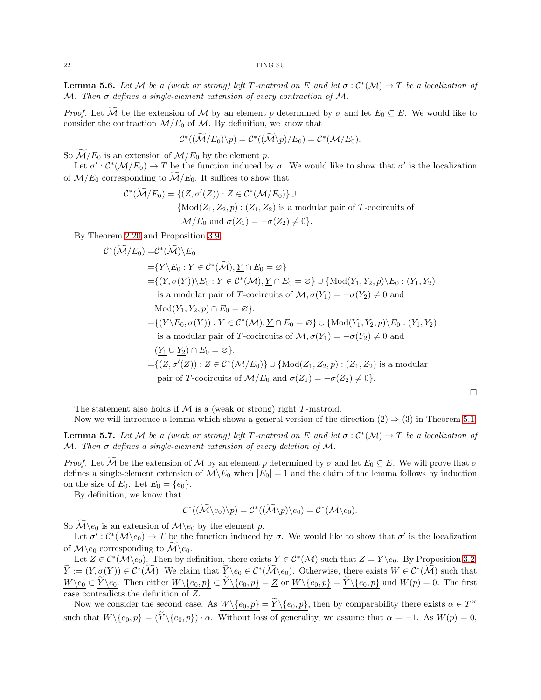<span id="page-21-0"></span>**Lemma 5.6.** Let M be a (weak or strong) left T-matroid on E and let  $\sigma : C^*(\mathcal{M}) \to T$  be a localization of M*. Then* σ *defines a single-element extension of every contraction of* M*.*

*Proof.* Let  $\widetilde{M}$  be the extension of M by an element p determined by  $\sigma$  and let  $E_0 \subseteq E$ . We would like to consider the contraction  $\mathcal{M}/E_0$  of  $\mathcal{M}$ . By definition, we know that

$$
\mathcal{C}^*((\widetilde{\mathcal{M}}/E_0)\backslash p)=\mathcal{C}^*((\widetilde{\mathcal{M}}\backslash p)/E_0)=\mathcal{C}^*(\mathcal{M}/E_0).
$$

So  $\widetilde{\mathcal{M}}/E_0$  is an extension of  $\mathcal{M}/E_0$  by the element p.

Let  $\sigma' : C^*(\mathcal{M}/E_0) \to T$  be the function induced by  $\sigma$ . We would like to show that  $\sigma'$  is the localization of  $\mathcal{M}/E_0$  corresponding to  $\mathcal{M}/E_0$ . It suffices to show that

$$
\mathcal{C}^*(\widetilde{\mathcal{M}}/E_0) = \{ (Z, \sigma'(Z)) : Z \in \mathcal{C}^*(\mathcal{M}/E_0) \} \cup
$$
  
\n
$$
\{ \text{Mod}(Z_1, Z_2, p) : (Z_1, Z_2) \text{ is a modular pair of } T\text{-cocircuits of}
$$
  
\n
$$
\mathcal{M}/E_0 \text{ and } \sigma(Z_1) = -\sigma(Z_2) \neq 0 \}.
$$

By Theorem [2.20](#page-8-0) and Proposition [3.9,](#page-13-1)

$$
\mathcal{C}^*(\mathcal{M}/E_0) = \mathcal{C}^*(\mathcal{M}) \setminus E_0
$$
  
\n
$$
= \{ Y \setminus E_0 : Y \in \mathcal{C}^*(\widetilde{\mathcal{M}}), \underline{Y} \cap E_0 = \varnothing \}
$$
  
\n
$$
= \{ (Y, \sigma(Y)) \setminus E_0 : Y \in \mathcal{C}^*(\mathcal{M}), \underline{Y} \cap E_0 = \varnothing \} \cup \{ \text{Mod}(Y_1, Y_2, p) \setminus E_0 : (Y_1, Y_2) \text{ is a modular pair of } T\text{-cocircuits of } \mathcal{M}, \sigma(Y_1) = -\sigma(Y_2) \neq 0 \text{ and }
$$
  
\n
$$
\underline{\text{Mod}(Y_1, Y_2, p)} \cap E_0 = \varnothing \}.
$$
  
\n
$$
= \{ (Y \setminus E_0, \sigma(Y)) : Y \in \mathcal{C}^*(\mathcal{M}), \underline{Y} \cap E_0 = \varnothing \} \cup \{ \text{Mod}(Y_1, Y_2, p) \setminus E_0 : (Y_1, Y_2) \text{ is a modular pair of } T\text{-cocircuits of } \mathcal{M}, \sigma(Y_1) = -\sigma(Y_2) \neq 0 \text{ and }
$$
  
\n
$$
(\underline{Y_1} \cup \underline{Y_2}) \cap E_0 = \varnothing \}.
$$
  
\n
$$
= \{ (Z, \sigma'(Z)) : Z \in \mathcal{C}^*(\mathcal{M}/E_0) \} \cup \{ \text{Mod}(Z_1, Z_2, p) : (Z_1, Z_2) \text{ is a modular pair of } T\text{-cocircuits of } \mathcal{M}/E_0 \text{ and } \sigma(Z_1) = -\sigma(Z_2) \neq 0 \}.
$$

The statement also holds if  $M$  is a (weak or strong) right  $T$ -matroid.

Now we will introduce a lemma which shows a general version of the direction  $(2) \Rightarrow (3)$  in Theorem [5.1.](#page-18-1)

 $\Box$ 

<span id="page-21-1"></span>**Lemma 5.7.** Let M be a (weak or strong) left T-matroid on E and let  $\sigma : C^*(\mathcal{M}) \to T$  be a localization of M*. Then* σ *defines a single-element extension of every deletion of* M*.*

*Proof.* Let M be the extension of M by an element p determined by  $\sigma$  and let  $E_0 \subseteq E$ . We will prove that  $\sigma$ defines a single-element extension of  $\mathcal{M}\backslash E_0$  when  $|E_0|=1$  and the claim of the lemma follows by induction on the size of  $E_0$ . Let  $E_0 = \{e_0\}$ .

By definition, we know that

$$
\mathcal{C}^*((\mathcal{M}\backslash e_0)\backslash p)=\mathcal{C}^*((\mathcal{M}\backslash p)\backslash e_0)=\mathcal{C}^*(\mathcal{M}\backslash e_0).
$$

So  $\widetilde{\mathcal{M}}\backslash e_0$  is an extension of  $\mathcal{M}\backslash e_0$  by the element p.

Let  $\sigma' : C^*(\mathcal{M}\setminus e_0) \to T$  be the function induced by  $\sigma$ . We would like to show that  $\sigma'$  is the localization of  $\mathcal{M}\backslash e_0$  corresponding to  $\mathcal{M}\backslash e_0$ .

Let  $Z \in C^*(\mathcal{M}\backslash e_0)$ . Then by definition, there exists  $Y \in C^*(\mathcal{M})$  such that  $Z = Y \backslash e_0$ . By Proposition [3.2,](#page-10-2)  $Y := (Y, \underline{\sigma}(Y)) \in C^*(\mathcal{M})$ . We claim that  $Y \geq 0 \in C^*(\mathcal{M} \setminus e_0)$ . Otherwise, there exists  $W \in C^*(\mathcal{M})$  such that  $W\backslash e_0 \subset \widetilde{Y}\backslash e_0$ . Then either  $W\backslash\{e_0, p\} \subset \widetilde{Y}\backslash\{e_0, p\} = \underline{Z}$  or  $W\backslash\{e_0, p\} = \widetilde{Y}\backslash\{e_0, p\}$  and  $W(p) = 0$ . The first case contradicts the definition of Z.

Now we consider the second case. As  $W \setminus \{e_0, p\} = Y \setminus \{e_0, p\}$ , then by comparability there exists  $\alpha \in T^{\times}$ such that  $W\setminus\{e_0, p\} = (\widetilde{Y}\setminus\{e_0, p\}) \cdot \alpha$ . Without loss of generality, we assume that  $\alpha = -1$ . As  $W(p) = 0$ ,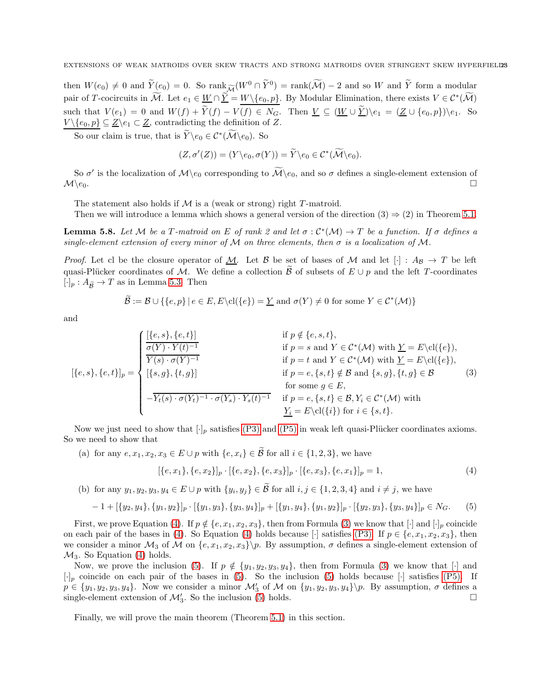then  $W(e_0) \neq 0$  and  $\widetilde{Y}(e_0) = 0$ . So  $\text{rank}_{\widetilde{\mathcal{M}}}(W^0 \cap \widetilde{Y}^0) = \text{rank}(\widetilde{\mathcal{M}}) - 2$  and so W and  $\widetilde{Y}$  form a modular pair of T-cocircuits in M. Let  $e_1 \in \underline{W} \cap \underline{Y} = \underline{W \setminus \{e_0, p\}}$ . By Modular Elimination, there exists  $V \in C^*(\mathcal{M})$ such that  $V(e_1) = 0$  and  $W(f) + \widetilde{Y}(f) - V(f) \in N_G$ . Then  $\underline{V} \subseteq (\underline{W} \cup \widetilde{\underline{Y}})\backslash e_1 = (\underline{Z} \cup \{e_0, p\})\backslash e_1$ . So  $V \setminus \{e_0, p\} \subseteq \underline{Z} \setminus e_1 \subset \underline{Z}$ , contradicting the definition of Z.

So our claim is true, that is  $Y \e_0 \in C^*(\mathcal{M} \e_0)$ . So

$$
(Z, \sigma'(Z)) = (Y \setminus e_0, \sigma(Y)) = \widetilde{Y} \setminus e_0 \in C^*(\mathcal{M} \setminus e_0).
$$

So  $\sigma'$  is the localization of  $\mathcal{M}\backslash e_0$  corresponding to  $\mathcal{M}\backslash e_0$ , and so  $\sigma$  defines a single-element extension of  $\mathcal{M}\backslash e_0$ .

The statement also holds if  $M$  is a (weak or strong) right  $T$ -matroid.

Then we will introduce a lemma which shows a general version of the direction  $(3) \Rightarrow (2)$  in Theorem [5.1.](#page-18-1)

<span id="page-22-3"></span>**Lemma 5.8.** Let M be a T-matroid on E of rank 2 and let  $\sigma : C^*(\mathcal{M}) \to T$  be a function. If  $\sigma$  defines a *single-element extension of every minor of*  $M$  *on three elements, then*  $\sigma$  *is a localization of*  $M$ *.* 

*Proof.* Let cl be the closure operator of <u>M</u>. Let B be set of bases of M and let  $[\cdot]$  :  $A_{\mathcal{B}} \to T$  be left quasi-Plücker coordinates of M. We define a collection B of subsets of  $E \cup p$  and the left T-coordinates  $[\cdot]_p : A_{\widetilde{B}} \to T$  as in Lemma [5.3.](#page-19-0) Then

$$
\mathcal{B} := \mathcal{B} \cup \{ \{e, p\} \mid e \in E, E \setminus cl(\{e\}) = \underline{Y} \text{ and } \sigma(Y) \neq 0 \text{ for some } Y \in C^*(\mathcal{M}) \}
$$

and

<span id="page-22-1"></span>
$$
[\{e,s\},\{e,t\}]_p = \begin{cases} \frac{[\{e,s\},\{e,t\}]}{\sigma(Y)\cdot Y(t)^{-1}} & \text{if } p \notin \{e,s,t\}, \\ \frac{\overline{\sigma(Y)\cdot Y(t)^{-1}}}{Y(s)\cdot \sigma(Y)^{-1}} & \text{if } p = s \text{ and } Y \in \mathcal{C}^*(\mathcal{M}) \text{ with } \underline{Y} = E \backslash \mathrm{cl}(\{e\}), \\ [\{s,g\},\{t,g\}] & \text{if } p = e,\{s,t\} \notin \mathcal{B} \text{ and } \{s,g\},\{t,g\} \in \mathcal{B} \\ \text{for some } g \in E, \\ -\overline{Y_t(s)\cdot \sigma(Y_t)^{-1}\cdot \sigma(Y_s)\cdot Y_s(t)^{-1}} & \text{if } p = e,\{s,t\} \in \mathcal{B}, Y_i \in \mathcal{C}^*(\mathcal{M}) \text{ with} \\ \frac{Y_i}{Y_i} = E \backslash \mathrm{cl}(\{i\}) & \text{for } i \in \{s,t\}. \end{cases} (3)
$$

Now we just need to show that  $[\cdot]_p$  satisfies [\(P3\)](#page-7-4) and [\(P5\)](#page-7-7) in weak left quasi-Plücker coordinates axioms. So we need to show that

(a) for any  $e, x_1, x_2, x_3 \in E \cup p$  with  $\{e, x_i\} \in \widetilde{\mathcal{B}}$  for all  $i \in \{1, 2, 3\}$ , we have

<span id="page-22-0"></span>
$$
[\{e, x_1\}, \{e, x_2\}]_p \cdot [\{e, x_2\}, \{e, x_3\}]_p \cdot [\{e, x_3\}, \{e, x_1\}]_p = 1,
$$
\n(4)

(b) for any  $y_1, y_2, y_3, y_4 \in E \cup p$  with  $\{y_i, y_j\} \in \mathcal{B}$  for all  $i, j \in \{1, 2, 3, 4\}$  and  $i \neq j$ , we have

<span id="page-22-2"></span>
$$
-1+ [\{y_2, y_4\}, \{y_1, y_2\}]_p \cdot [\{y_1, y_3\}, \{y_3, y_4\}]_p + [\{y_1, y_4\}, \{y_1, y_2\}]_p \cdot [\{y_2, y_3\}, \{y_3, y_4\}]_p \in N_G.
$$
 (5)

First, we prove Equation [\(4\)](#page-22-0). If  $p \notin \{e, x_1, x_2, x_3\}$ , then from Formula [\(3\)](#page-22-1) we know that  $[\cdot]$  and  $[\cdot]_p$  coincide on each pair of the bases in [\(4\)](#page-22-0). So Equation (4) holds because [·] satisfies [\(P3\).](#page-7-4) If  $p \in \{e, x_1, x_2, x_3\}$ , then we consider a minor  $\mathcal{M}_3$  of  $\mathcal{M}$  on  $\{e, x_1, x_2, x_3\}$ , By assumption,  $\sigma$  defines a single-element extension of  $\mathcal{M}_3$ . So Equation [\(4\)](#page-22-0) holds.

Now, we prove the inclusion [\(5\)](#page-22-2). If  $p \notin \{y_1, y_2, y_3, y_4\}$ , then from Formula [\(3\)](#page-22-1) we know that [·] and  $[\cdot]_p$  coincide on each pair of the bases in [\(5\)](#page-22-2). So the inclusion (5) holds because  $[\cdot]$  satisfies [\(P5\).](#page-7-7) If  $p \in \{y_1, y_2, y_3, y_4\}$ . Now we consider a minor  $\mathcal{M}'_3$  of  $\mathcal M$  on  $\{y_1, y_2, y_3, y_4\}\$ . By assumption,  $\sigma$  defines a single-element extension of  $\mathcal{M}'_3$ . So the inclusion [\(5\)](#page-22-2) holds.

Finally, we will prove the main theorem (Theorem [5.1\)](#page-18-1) in this section.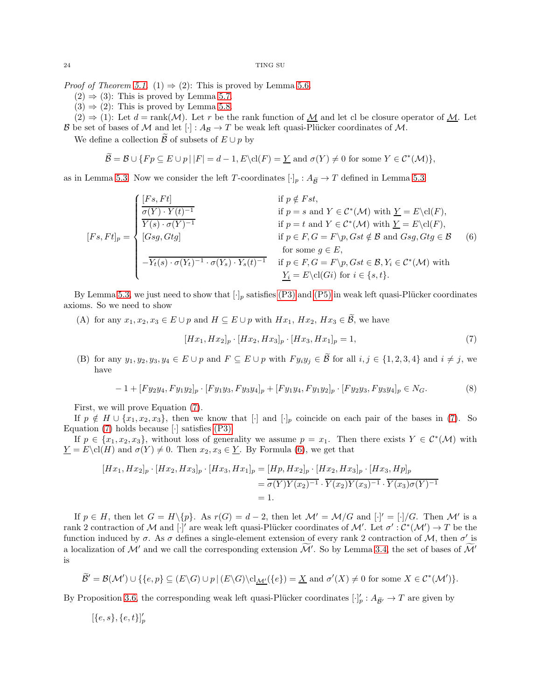*Proof of Theorem [5.1.](#page-18-1)* (1)  $\Rightarrow$  (2): This is proved by Lemma [5.6.](#page-21-0)

- $(2) \Rightarrow (3)$ : This is proved by Lemma [5.7.](#page-21-1)
- $(3) \Rightarrow (2)$ : This is proved by Lemma [5.8.](#page-22-3)

 $\mathbf{L}$ 

 $(2) \Rightarrow (1)$ : Let  $d = \text{rank}(\mathcal{M})$ . Let r be the rank function of  $M$  and let cl be closure operator of  $M$ . Let B be set of bases of M and let  $[\cdot] : A_{\mathcal{B}} \to T$  be weak left quasi-Plücker coordinates of M.

We define a collection  $\tilde{\mathcal{B}}$  of subsets of  $E \cup p$  by

$$
\mathcal{B} = \mathcal{B} \cup \{ Fp \subseteq E \cup p \mid |F| = d - 1, E \setminus cl(F) = \underline{Y} \text{ and } \sigma(Y) \neq 0 \text{ for some } Y \in C^*(\mathcal{M}) \},
$$

as in Lemma [5.3.](#page-19-0) Now we consider the left T-coordinates  $[\cdot]_p : A_{\widetilde{B}} \to T$  defined in Lemma [5.3:](#page-19-0)

<span id="page-23-1"></span>
$$
[Fs, Ft]_p = \begin{cases} \frac{[Fs, Ft]}{\sigma(Y) \cdot Y(t)^{-1}} & \text{if } p \notin Fst, \\ \frac{\overline{\sigma(Y) \cdot Y(t)^{-1}}}{Y(s) \cdot \sigma(Y)^{-1}} & \text{if } p = s \text{ and } Y \in C^*(\mathcal{M}) \text{ with } \underline{Y} = E \backslash \text{cl}(F), \\ [Gsg, Gtg] & \text{if } p \in F, G = F \backslash p, Gst \notin \mathcal{B} \text{ and } Gsg, Gtg \in \mathcal{B} \\ \text{for some } g \in E, \\ -\overline{Y_t(s) \cdot \sigma(Y_t)^{-1} \cdot \sigma(Y_s) \cdot Y_s(t)^{-1}} & \text{if } p \in F, G = F \backslash p, Gst \in \mathcal{B}, Y_i \in C^*(\mathcal{M}) \text{ with} \\ \frac{Y_i}{Y_i} = E \backslash \text{cl}(Gi) \text{ for } i \in \{s, t\}. \end{cases} (6)
$$

By Lemma [5.3,](#page-19-0) we just need to show that  $[\cdot]_p$  satisfies [\(P3\)](#page-7-4) and [\(P5\)](#page-7-7) in weak left quasi-Plücker coordinates axioms. So we need to show

(A) for any  $x_1, x_2, x_3 \in E \cup p$  and  $H \subseteq E \cup p$  with  $Hx_1, Hx_2, Hx_3 \in \widetilde{\mathcal{B}}$ , we have

<span id="page-23-0"></span>
$$
[Hx_1, Hx_2]_p \cdot [Hx_2, Hx_3]_p \cdot [Hx_3, Hx_1]_p = 1,\t\t(7)
$$

(B) for any  $y_1, y_2, y_3, y_4 \in E \cup p$  and  $F \subseteq E \cup p$  with  $F y_i y_j \in \widetilde{\mathcal{B}}$  for all  $i, j \in \{1, 2, 3, 4\}$  and  $i \neq j$ , we have

<span id="page-23-2"></span>
$$
-1 + [F y_2 y_4, F y_1 y_2]_p \cdot [F y_1 y_3, F y_3 y_4]_p + [F y_1 y_4, F y_1 y_2]_p \cdot [F y_2 y_3, F y_3 y_4]_p \in N_G.
$$
\n
$$
(8)
$$

First, we will prove Equation [\(7\)](#page-23-0).

If  $p \notin H \cup \{x_1, x_2, x_3\}$ , then we know that  $[\cdot]$  and  $[\cdot]_p$  coincide on each pair of the bases in [\(7\)](#page-23-0). So Equation [\(7\)](#page-23-0) holds because [·] satisfies [\(P3\).](#page-7-4)

If  $p \in \{x_1, x_2, x_3\}$ , without loss of generality we assume  $p = x_1$ . Then there exists  $Y \in C^*(\mathcal{M})$  with  $\underline{Y} = E \cdot cl(H)$  and  $\sigma(Y) \neq 0$ . Then  $x_2, x_3 \in \underline{Y}$ . By Formula [\(6\)](#page-23-1), we get that

$$
[Hx_1, Hx_2]_p \cdot [Hx_2, Hx_3]_p \cdot [Hx_3, Hx_1]_p = [Hp, Hx_2]_p \cdot [Hx_2, Hx_3]_p \cdot [Hx_3, Hp]_p
$$
  
=  $\overline{\sigma(Y)Y(x_2)^{-1}} \cdot \overline{Y(x_2)Y(x_3)^{-1}} \cdot \overline{Y(x_3)\sigma(Y)^{-1}}$   
= 1.

If  $p \in H$ , then let  $G = H \setminus \{p\}$ . As  $r(G) = d - 2$ , then let  $\mathcal{M}' = \mathcal{M}/G$  and  $[\cdot]' = [\cdot]/G$ . Then  $\mathcal{M}'$  is a rank 2 contraction of M and  $[\cdot]'$  are weak left quasi-Plücker coordinates of M'. Let  $\sigma': \mathcal{C}^*(\mathcal{M}') \to T$  be the function induced by  $\sigma$ . As  $\sigma$  defines a single-element extension of every rank 2 contraction of M, then  $\sigma'$  is a localization of M' and we call the corresponding extension M'. So by Lemma [3.4,](#page-11-2) the set of bases of M' is

$$
\widetilde{\mathcal{B}}' = \mathcal{B}(\mathcal{M}') \cup \{\{e, p\} \subseteq (E \setminus G) \cup p \mid (E \setminus G) \setminus cl_{\mathcal{M}'}(\{e\}) = \underline{X} \text{ and } \sigma'(X) \neq 0 \text{ for some } X \in \mathcal{C}^*(\mathcal{M}')\}.
$$

By Proposition [3.6,](#page-11-1) the corresponding weak left quasi-Plücker coordinates  $[\cdot]'_p : A_{\widetilde{\mathcal{B}}'} \to T$  are given by

$$
[\{e,s\},\{e,t\}]_p'
$$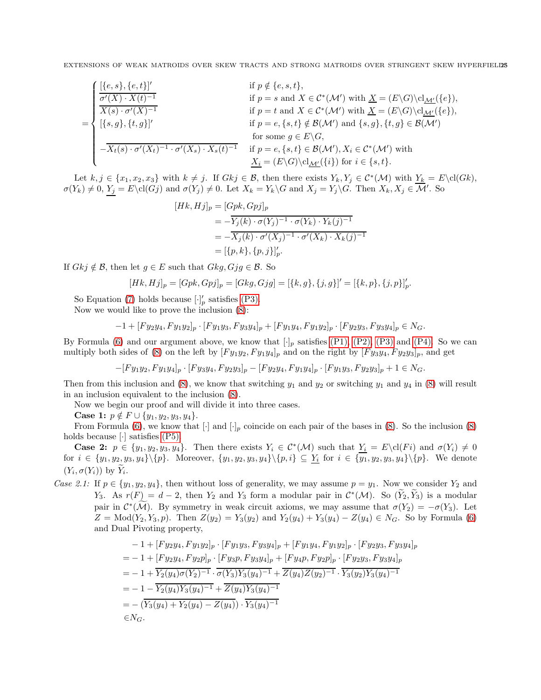$$
= \begin{cases} \frac{[\{e,s\},\{e,t\}]'}{\sigma'(X)\cdot X(t)^{-1}} & \text{if } p \notin \{e,s,t\}, \\ \frac{\overline{\sigma'(X)\cdot X(t)^{-1}}}{X(s)\cdot \sigma'(X)^{-1}} & \text{if } p = s \text{ and } X \in \mathcal{C}^*(\mathcal{M}') \text{ with } \underline{X} = (E\backslash G)\backslash \text{cl}_{\underline{\mathcal{M}'}(\{e\})}, \\ \frac{[\{s,g\},\{t,g\}]'}{[\{s,g\},\{t,g\}]} & \text{if } p = e, \{s,t\} \notin \mathcal{B}(\mathcal{M}') \text{ and } \{s,g\}, \{t,g\} \in \mathcal{B}(\mathcal{M}'), \\ -\overline{X_t(s)\cdot \sigma'(X_t)^{-1}\cdot \sigma'(X_s)\cdot X_s(t)^{-1}} & \text{if } p = e, \{s,t\} \in \mathcal{B}(\mathcal{M}'), X_i \in \mathcal{C}^*(\mathcal{M}') \text{ with } \\ \frac{X_i}{\sigma'} = (E\backslash G)\backslash \text{cl}_{\underline{\mathcal{M}'}(\{i\})} & \text{for } i \in \{s,t\}. \end{cases}
$$

Let  $k, j \in \{x_1, x_2, x_3\}$  with  $k \neq j$ . If  $Gkj \in \mathcal{B}$ , then there exists  $Y_k, Y_j \in C^*(\mathcal{M})$  with  $Y_k = E\backslash cl(Gk)$ ,  $\sigma(Y_k) \neq 0, Y_j = E\cdot\text{cl}(G_j)$  and  $\sigma(Y_j) \neq 0$ . Let  $X_k = Y_k\cdot G$  and  $X_j = Y_j\cdot G$ . Then  $X_k, X_j \in \mathcal{M}'$ . So

$$
[Hk, Hj]_p = [Gpk, Gpj]_p
$$
  
=  $-\overline{Y_j(k) \cdot \sigma(Y_j)^{-1} \cdot \sigma(Y_k) \cdot Y_k(j)^{-1}}$   
=  $-\overline{X_j(k) \cdot \sigma'(X_j)^{-1} \cdot \sigma'(X_k) \cdot X_k(j)^{-1}}$   
=  $[\{p, k\}, \{p, j\}]_p^{\prime}$ .

If  $Gkj \notin \mathcal{B}$ , then let  $g \in E$  such that  $Gkg, Gjg \in \mathcal{B}$ . So

$$
[Hk, Hj]_p = [Gpk, Gpj]_p = [Gkg, Gjg] = [\{k, g\}, \{j, g\}]' = [\{k, p\}, \{j, p\}]'_p.
$$

So Equation [\(7\)](#page-23-0) holds because  $[\cdot]'_p$  satisfies [\(P3\).](#page-7-4)

Now we would like to prove the inclusion [\(8\)](#page-23-2):

$$
-1+[Fy_2y_4, Fy_1y_2]_p \cdot [Fy_1y_3, Fy_3y_4]_p + [Fy_1y_4, Fy_1y_2]_p \cdot [Fy_2y_3, Fy_3y_4]_p \in N_G.
$$

By Formula [\(6\)](#page-23-1) and our argument above, we know that  $[\cdot]_p$  satisfies [\(P1\),](#page-7-2) [\(P2\),](#page-7-3) [\(P3\)](#page-7-4) and [\(P4\).](#page-7-6) So we can multiply both sides of [\(8\)](#page-23-2) on the left by  $[F y_1 y_2, F y_1 y_4]_p$  and on the right by  $[F y_3 y_4, F y_2 y_3]_p$ , and get

$$
-[Fy_1y_2, Fy_1y_4]_p \cdot [Fy_3y_4, Fy_2y_3]_p - [Fy_2y_4, Fy_1y_4]_p \cdot [Fy_1y_3, Fy_2y_3]_p + 1 \in N_G.
$$

Then from this inclusion and [\(8\)](#page-23-2), we know that switching  $y_1$  and  $y_2$  or switching  $y_1$  and  $y_4$  in (8) will result in an inclusion equivalent to the inclusion [\(8\)](#page-23-2).

Now we begin our proof and will divide it into three cases.

Case 1:  $p \notin F \cup \{y_1, y_2, y_3, y_4\}.$ 

From Formula [\(6\)](#page-23-1), we know that  $[\cdot]$  and  $[\cdot]_p$  coincide on each pair of the bases in [\(8\)](#page-23-2). So the inclusion (8) holds because [ $\cdot$ ] satisfies [\(P5\).](#page-7-7)

**Case 2:**  $p \in \{y_1, y_2, y_3, y_4\}$ . Then there exists  $Y_i \in C^*(\mathcal{M})$  such that  $Y_i = E \text{cl}(Fi)$  and  $\sigma(Y_i) \neq 0$ for  $i \in \{y_1, y_2, y_3, y_4\} \backslash \{p\}$ . Moreover,  $\{y_1, y_2, y_3, y_4\} \backslash \{p, i\} \subseteq Y_i$  for  $i \in \{y_1, y_2, y_3, y_4\} \backslash \{p\}$ . We denote  $(Y_i, \sigma(Y_i))$  by  $Y_i$ .

*Case 2.1:* If  $p \in \{y_1, y_2, y_4\}$ , then without loss of generality, we may assume  $p = y_1$ . Now we consider  $Y_2$  and Y<sub>3</sub>. As  $r(F) = d - 2$ , then Y<sub>2</sub> and Y<sub>3</sub> form a modular pair in  $C^*(\mathcal{M})$ . So  $(Y_2, Y_3)$  is a modular pair in  $\mathcal{C}^*(\mathcal{M})$ . By symmetry in weak circuit axioms, we may assume that  $\sigma(Y_2) = -\sigma(Y_3)$ . Let  $Z = \text{Mod}(Y_2, Y_3, p)$ . Then  $Z(y_2) = Y_3(y_2)$  and  $Y_2(y_4) + Y_3(y_4) - Z(y_4) \in N_G$ . So by Formula [\(6\)](#page-23-1) and Dual Pivoting property,

$$
-1 + [F y_2 y_4, F y_1 y_2]_p \cdot [F y_1 y_3, F y_3 y_4]_p + [F y_1 y_4, F y_1 y_2]_p \cdot [F y_2 y_3, F y_3 y_4]_p
$$
  
\n
$$
= -1 + [F y_2 y_4, F y_2 p]_p \cdot [F y_3 p, F y_3 y_4]_p + [F y_4 p, F y_2 p]_p \cdot [F y_2 y_3, F y_3 y_4]_p
$$
  
\n
$$
= -1 + \overline{Y_2(y_4) \sigma(Y_2)^{-1}} \cdot \overline{\sigma(Y_3) Y_3(y_4)^{-1}} + \overline{Z(y_4) Z(y_2)^{-1}} \cdot \overline{Y_3(y_2) Y_3(y_4)^{-1}}
$$
  
\n
$$
= -1 - \overline{Y_2(y_4) Y_3(y_4)^{-1}} + \overline{Z(y_4) Y_3(y_4)^{-1}}
$$
  
\n
$$
= -(\overline{Y_3(y_4) + Y_2(y_4) - Z(y_4)}) \cdot \overline{Y_3(y_4)^{-1}}
$$
  
\n
$$
\in N_G.
$$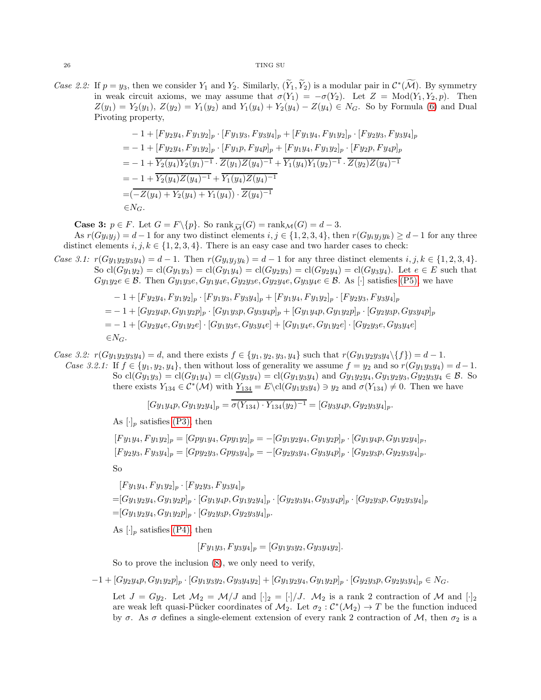*Case 2.2:* If  $p = y_3$ , then we consider  $Y_1$  and  $Y_2$ . Similarly,  $(Y_1, Y_2)$  is a modular pair in  $\mathcal{C}^*(\mathcal{M})$ . By symmetry in weak circuit axioms, we may assume that  $\sigma(Y_1) = -\sigma(Y_2)$ . Let  $Z = \text{Mod}(Y_1, Y_2, p)$ . Then  $Z(y_1) = Y_2(y_1)$ ,  $Z(y_2) = Y_1(y_2)$  and  $Y_1(y_4) + Y_2(y_4) - Z(y_4) \in N_G$ . So by Formula [\(6\)](#page-23-1) and Dual Pivoting property,

$$
-1 + [F y_2 y_4, F y_1 y_2]_p \cdot [F y_1 y_3, F y_3 y_4]_p + [F y_1 y_4, F y_1 y_2]_p \cdot [F y_2 y_3, F y_3 y_4]_p
$$
  
\n
$$
= -1 + [F y_2 y_4, F y_1 y_2]_p \cdot [F y_1 p, F y_4 p]_p + [F y_1 y_4, F y_1 y_2]_p \cdot [F y_2 p, F y_4 p]_p
$$
  
\n
$$
= -1 + \overline{Y_2(y_4) Y_2(y_1)^{-1}} \cdot \overline{Z(y_1) Z(y_4)^{-1}} + \overline{Y_1(y_4) Y_1(y_2)^{-1}} \cdot \overline{Z(y_2) Z(y_4)^{-1}}
$$
  
\n
$$
= -1 + \overline{Y_2(y_4) Z(y_4)^{-1}} + \overline{Y_1(y_4) Z(y_4)^{-1}}
$$
  
\n
$$
= (-Z(y_4) + Y_2(y_4) + Y_1(y_4)) \cdot \overline{Z(y_4)^{-1}}
$$
  
\n
$$
\in N_G.
$$

**Case 3:**  $p \in F$ . Let  $G = F \setminus \{p\}$ . So rank $\widetilde{M}(G) = \text{rank}_{\mathcal{M}}(G) = d - 3$ .

As  $r(Gy_iy_j) = d-1$  for any two distinct elements  $i, j \in \{1, 2, 3, 4\}$ , then  $r(Gy_iy_jy_k) \geq d-1$  for any three distinct elements  $i, j, k \in \{1, 2, 3, 4\}$ . There is an easy case and two harder cases to check:

- *Case 3.1:*  $r(Gy_1y_2y_3y_4) = d 1$ . Then  $r(Gy_iy_jy_k) = d 1$  for any three distinct elements  $i, j, k \in \{1, 2, 3, 4\}$ . So  $cl(Gy_1y_2) = cl(Gy_1y_3) = cl(Gy_1y_4) = cl(Gy_2y_3) = cl(Gy_2y_4) = cl(Gy_3y_4)$ . Let  $e \in E$  such that  $Gy_1y_2e \in \mathcal{B}$ . Then  $Gy_1y_3e, Gy_1y_4e, Gy_2y_3e, Gy_2y_4e, Gy_3y_4e \in \mathcal{B}$ . As  $[\cdot]$  satisfies [\(P5\),](#page-7-7) we have
	- $-1 + [F y_2 y_4, F y_1 y_2]_p \cdot [F y_1 y_3, F y_3 y_4]_p + [F y_1 y_4, F y_1 y_2]_p \cdot [F y_2 y_3, F y_3 y_4]_p$  $=-1+[Gy_2y_4p,Gy_1y_2p]_p\cdot[Gy_1y_3p,Gy_3y_4p]_p+[Gy_1y_4p,Gy_1y_2p]_p\cdot[Gy_2y_3p,Gy_3y_4p]_p$  $= -1 + [Gy_2y_4e, Gy_1y_2e] \cdot [Gy_1y_3e, Gy_3y_4e] + [Gy_1y_4e, Gy_1y_2e] \cdot [Gy_2y_3e, Gy_3y_4e]$  $\in N_G$ .

*Case 3.2:*  $r(Gy_1y_2y_3y_4) = d$ , and there exists  $f \in \{y_1, y_2, y_3, y_4\}$  such that  $r(Gy_1y_2y_3y_4\setminus\{f\}) = d - 1$ . *Case 3.2.1:* If  $f \in \{y_1, y_2, y_4\}$ , then without loss of generality we assume  $f = y_2$  and so  $r(Gy_1y_3y_4) = d - 1$ . So  $cl(Gy_1y_3) = cl(Gy_1y_4) = cl(Gy_3y_4) = cl(Gy_1y_3y_4)$  and  $Gy_1y_2y_4$ ,  $Gy_1y_2y_3$ ,  $Gy_2y_3y_4 \in \mathcal{B}$ . So there exists  $Y_{134} \in C^*(\mathcal{M})$  with  $Y_{134} = E \clot (Gy_1y_3y_4) \ni y_2$  and  $\sigma(Y_{134}) \neq 0$ . Then we have

$$
[Gy_1y_4p, Gy_1y_2y_4]_p = \overline{\sigma(Y_{134}) \cdot Y_{134}(y_2)^{-1}} = [Gy_3y_4p, Gy_2y_3y_4]_p.
$$

As  $[\cdot]_p$  satisfies [\(P3\),](#page-7-4) then

$$
[Fy_1y_4, Fy_1y_2]_p = [Gpy_1y_4, Gpy_1y_2]_p = -[Gy_1y_2y_4, Gy_1y_2p]_p \cdot [Gy_1y_4p, Gy_1y_2y_4]_p,
$$
  
\n
$$
[Fy_2y_3, Fy_3y_4]_p = [Gpy_2y_3, Gpy_3y_4]_p = -[Gy_2y_3y_4, Gy_3y_4p]_p \cdot [Gy_2y_3p, Gy_2y_3y_4]_p.
$$
  
\nSo

 $[F y_1 y_4, F y_1 y_2]_p \cdot [F y_2 y_3, F y_3 y_4]_p$  $=[Gy_1y_2y_4, Gy_1y_2p]_p \cdot [Gy_1y_4p, Gy_1y_2y_4]_p \cdot [Gy_2y_3y_4, Gy_3y_4p]_p \cdot [Gy_2y_3p, Gy_2y_3y_4]_p$  $=[Gy_1y_2y_4, Gy_1y_2p]_p \cdot [Gy_2y_3p, Gy_2y_3y_4]_p.$ 

As  $[\cdot]_p$  satisfies [\(P4\),](#page-7-6) then

 $[F y_1 y_3, F y_3 y_4]_p = [G y_1 y_3 y_2, G y_3 y_4 y_2].$ 

So to prove the inclusion [\(8\)](#page-23-2), we only need to verify,

 $-1 + [Gy_2y_4p, Gy_1y_2p]_p \cdot [Gy_1y_3y_2, Gy_3y_4y_2] + [Gy_1y_2y_4, Gy_1y_2p]_p \cdot [Gy_2y_3p, Gy_2y_3y_4]_p \in N_G.$ 

Let  $J = Gy_2$ . Let  $\mathcal{M}_2 = \mathcal{M}/J$  and  $[\cdot]_2 = [\cdot]/J$ .  $\mathcal{M}_2$  is a rank 2 contraction of  $\mathcal M$  and  $[\cdot]_2$ are weak left quasi-Pücker coordinates of  $M_2$ . Let  $\sigma_2$  :  $\mathcal{C}^*(\mathcal{M}_2) \to T$  be the function induced by  $\sigma$ . As  $\sigma$  defines a single-element extension of every rank 2 contraction of M, then  $\sigma_2$  is a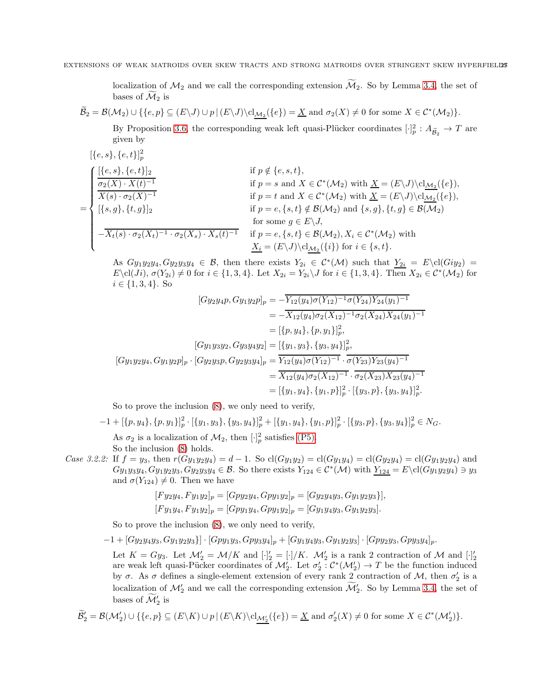localization of  $\mathcal{M}_2$  and we call the corresponding extension  $\widetilde{\mathcal{M}}_2$ . So by Lemma [3.4,](#page-11-2) the set of bases of  $\mathcal{M}_2$  is

 $\mathcal{B}_2 = \mathcal{B}(\mathcal{M}_2) \cup \{\{e, p\} \subseteq (E \setminus J) \cup p \mid (E \setminus J) \setminus cl_{\mathcal{M}_2}(\{e\}) = \underline{X} \text{ and } \sigma_2(X) \neq 0 \text{ for some } X \in C^*(\mathcal{M}_2) \}.$ By Proposition [3.6,](#page-11-1) the corresponding weak left quasi-Plücker coordinates  $[\cdot]_p^2 : A_{\widetilde{\mathcal{B}}_2} \to T$  are given by

$$
\begin{aligned}\n[\{e, s\}, \{e, t\}]_{p}^{2} &\qquad \text{if } p \notin \{e, s, t\}, \\
\frac{\sigma_{2}(X) \cdot X(t)^{-1}}{X(s) \cdot \sigma_{2}(X)^{-1}} &\qquad \text{if } p = s \text{ and } X \in \mathcal{C}^{*}(\mathcal{M}_{2}) \text{ with } \underline{X} = (E \setminus J) \setminus \text{cl}_{\underline{\mathcal{M}}_{2}}(\{e\}), \\
[\{s, g\}, \{t, g\}]_{2} &\qquad \text{if } p = e, \{s, t\} \notin \mathcal{B}(\mathcal{M}_{2}) \text{ and } \{s, g\}, \{t, g\} \in \mathcal{B}(\mathcal{M}_{2}) \\
\frac{\sigma_{2}(X) \cdot X(t)^{-1}}{X(s) \cdot \sigma_{2}(X_{t})^{-1} \cdot \sigma_{2}(X_{s}) \cdot X_{s}(t)^{-1}} &\qquad \text{if } p = e, \{s, t\} \notin \mathcal{B}(\mathcal{M}_{2}) \text{ and } \{s, g\}, \{t, g\} \in \mathcal{B}(\mathcal{M}_{2}) \\
&\qquad \text{for some } g \in E \setminus J, \\
-\overline{X_{t}(s) \cdot \sigma_{2}(X_{t})^{-1} \cdot \sigma_{2}(X_{s}) \cdot X_{s}(t)^{-1}} &\qquad \text{if } p = e, \{s, t\} \in \mathcal{B}(\mathcal{M}_{2}), X_{i} \in \mathcal{C}^{*}(\mathcal{M}_{2}) \text{ with } \underline{X_{i}} = (E \setminus J) \setminus \text{cl}_{\underline{\mathcal{M}}_{2}}(\{i\}) \text{ for } i \in \{s, t\}.\n\end{aligned}
$$

As  $Gy_1y_2y_4, Gy_2y_3y_4 \in \mathcal{B}$ , then there exists  $Y_{2i} \in C^*(\mathcal{M})$  such that  $Y_{2i} = E \setminus cl(Giy_2)$  $E\setminus \text{cl}(J_i), \sigma(Y_{2i}) \neq 0 \text{ for } i \in \{1,3,4\}.$  Let  $X_{2i} = Y_{2i}\setminus J$  for  $i \in \{1,3,4\}.$  Then  $X_{2i} \in \mathcal{C}^*(\mathcal{M}_2)$  for  $i \in \{1, 3, 4\}$ . So

$$
[Gy_2y_4p, Gy_1y_2p]_p = -Y_{12}(y_4)\sigma(Y_{12})^{-1}\sigma(Y_{24})Y_{24}(y_1)^{-1}
$$
  
\n
$$
= -\overline{X_{12}(y_4)\sigma_2(X_{12})^{-1}\sigma_2(X_{24})X_{24}(y_1)^{-1}}
$$
  
\n
$$
= [\{p, y_4\}, \{p, y_1\}]_p^2,
$$
  
\n
$$
[Gy_1y_3y_2, Gy_3y_4y_2] = [\{y_1, y_3\}, \{y_3, y_4\}]_p^2,
$$
  
\n
$$
[Gy_1y_2y_4, Gy_1y_2p]_p \cdot [Gy_2y_3p, Gy_2y_3y_4]_p = \overline{Y_{12}(y_4)\sigma(Y_{12})^{-1}} \cdot \overline{\sigma(Y_{23})Y_{23}(y_4)^{-1}}
$$
  
\n
$$
= \overline{X_{12}(y_4)\sigma_2(X_{12})^{-1}} \cdot \overline{\sigma_2(X_{23})X_{23}(y_4)^{-1}}
$$
  
\n
$$
= [\{y_1, y_4\}, \{y_1, p\}]_p^2 \cdot [\{y_3, p\}, \{y_3, y_4\}]_p^2.
$$

So to prove the inclusion [\(8\)](#page-23-2), we only need to verify,

 $2 \times 22$ 

$$
-1 + [\{p, y_4\}, \{p, y_1\}]_p^2 \cdot [\{y_1, y_3\}, \{y_3, y_4\}]_p^2 + [\{y_1, y_4\}, \{y_1, p\}]_p^2 \cdot [\{y_3, p\}, \{y_3, y_4\}]_p^2 \in N_G.
$$
  
As  $\sigma_2$  is a localization of  $\mathcal{M}_2$ , then  $[\cdot]_p^2$  satisfies (P5).  
So the inclusion (8) holds.

*Case 3.2.2:* If  $f = y_3$ , then  $r(Gy_1y_2y_4) = d - 1$ . So  $cl(Gy_1y_2) = cl(Gy_1y_4) = cl(Gy_2y_4) = cl(Gy_1y_2y_4)$  and  $G_{y_1y_3y_4}, G_{y_1y_2y_3}, G_{y_2y_3y_4} \in \mathcal{B}$ . So there exists  $Y_{124} \in C^*(\mathcal{M})$  with  $Y_{124} = E \cdot \text{cl}(G_{y_1y_2y_4}) \ni y_3$ and  $\sigma(Y_{124}) \neq 0$ . Then we have

$$
[Fy_2y_4, Fy_1y_2]_p = [Gpy_2y_4, Gpy_1y_2]_p = [Gy_2y_4y_3, Gy_1y_2y_3)],
$$
  

$$
[Fy_1y_4, Fy_1y_2]_p = [Gpy_1y_4, Gpy_1y_2]_p = [Gy_1y_4y_3, Gy_1y_2y_3].
$$

So to prove the inclusion [\(8\)](#page-23-2), we only need to verify,

 $[-1 + [Gyzy_4y_3, Gy_1y_2y_3] \cdot [Gpy_1y_3, Gy_3y_4]_p + [Gy_1y_4y_3, Gy_1y_2y_3] \cdot [Gpy_2y_3, Gpy_3y_4]_p.$ 

Let  $K = Gy_3$ . Let  $\mathcal{M}'_2 = \mathcal{M}/K$  and  $[\cdot]'_2 = [\cdot]/K$ .  $\mathcal{M}'_2$  is a rank 2 contraction of  $\mathcal{M}$  and  $[\cdot]'_2$  are weak left quasi-Pücker coordinates of  $\mathcal{M}'_2$ . Let  $\sigma'_2 : \mathcal{C}^*(\mathcal{M}'_2) \to T$  be the function induce by  $\sigma$ . As  $\sigma$  defines a single-element extension of every rank 2 contraction of M, then  $\sigma'_2$  is a localization of  $\mathcal{M}'_2$  and we call the corresponding extension  $\mathcal{M}'_2$ . So by Lemma [3.4,](#page-11-2) the set of bases of  $\mathcal{M}'_2$  is

$$
\widetilde{\mathcal{B}}_2' = \mathcal{B}(\mathcal{M}_2') \cup \{\{e, p\} \subseteq (E \setminus K) \cup p \mid (E \setminus K) \setminus \mathrm{cl}_{\mathcal{M}_2'}(\{e\}) = \underline{X} \text{ and } \sigma_2'(X) \neq 0 \text{ for some } X \in \mathcal{C}^*(\mathcal{M}_2')\}.
$$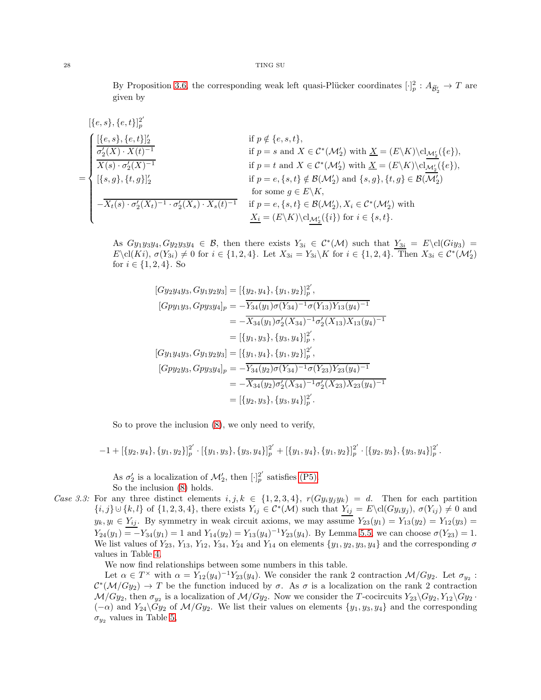By Proposition [3.6,](#page-11-1) the corresponding weak left quasi-Plücker coordinates  $[\cdot]_p^2: A_{\widetilde{\mathcal{B}}'_2} \to T$  are given by

$$
\begin{aligned} &[\{e,s\},\{e,t\}]_{p}^{2'}\\ &=\begin{cases} &[\{e,s\},\{e,t\}]_{2}' & \text{if } p\notin \{e,s,t\},\\ &\frac{\sigma_{2}'(X)\cdot X(t)^{-1}}{X(s)\cdot \sigma_{2}'(X)^{-1}} & \text{if } p=s \text{ and } X\in \mathcal{C}^{*}(\mathcal{M}_{2}') \text{ with } \underline{X}=(E\backslash K)\backslash\text{cl}_{\underline{\mathcal{M}_{2}'}}(\{e\}),\\ &[\{s,g\},\{t,g\}]_{2}' & \text{if } p=e,\{s,t\}\notin \mathcal{B}(\mathcal{M}_{2}') \text{ and } \{s,g\},\{t,g\}\in \mathcal{B}(\overline{\mathcal{M}_{2}'})\\ &\text{for some } g\in E\backslash K,\\ -\overline{X_{t}(s)\cdot \sigma_{2}'(X_{t})^{-1}\cdot \sigma_{2}'(X_{s})\cdot X_{s}(t)^{-1}} & \text{if } p=e,\{s,t\}\in \mathcal{B}(\mathcal{M}_{2}'), X_{i}\in \mathcal{C}^{*}(\mathcal{M}_{2}') \text{ with}\\ &\underline{X_{i}}=(E\backslash K)\backslash\text{cl}_{\underline{\mathcal{M}_{2}'}(\{i\})} \text{ for } i\in \{s,t\}. \end{cases}\end{aligned}
$$

As  $Gy_1y_3y_4, Gy_2y_3y_4 \in \mathcal{B}$ , then there exists  $Y_{3i} \in C^*(\mathcal{M})$  such that  $Y_{3i} = E \cdot \text{cl}(Giy_3) =$  $E\setminus \text{cl}(Ki), \sigma(Y_{3i}) \neq 0 \text{ for } i \in \{1, 2, 4\}.$  Let  $X_{3i} = Y_{3i}\setminus K$  for  $i \in \{1, 2, 4\}.$  Then  $X_{3i} \in \mathcal{C}^*(\mathcal{M}_2')$ for  $i \in \{1, 2, 4\}$ . So

$$
[Gy_2y_4y_3, Gy_1y_2y_3] = [{y_2, y_4}, {y_1, y_2}]_p^{2'},
$$
  
\n
$$
[Gpy_1y_3, Gpy_3y_4]_p = -\overline{Y_{34}(y_1)\sigma(Y_{34})^{-1}\sigma(Y_{13})Y_{13}(y_4)^{-1}}
$$
  
\n
$$
= -\overline{X_{34}(y_1)\sigma'_2(X_{34})^{-1}\sigma'_2(X_{13})X_{13}(y_4)^{-1}}
$$
  
\n
$$
= [{y_1, y_3}, {y_3, y_4}]_p^{2'},
$$
  
\n
$$
[Gy_1y_4y_3, Gy_1y_2y_3] = [{y_1, y_4}, {y_1, y_2}]_p^{2'},
$$
  
\n
$$
[Gpy_2y_3, Gpy_3y_4]_p = -\overline{Y_{34}(y_2)\sigma(Y_{34})^{-1}\sigma(Y_{23})Y_{23}(y_4)^{-1}}
$$
  
\n
$$
= -\overline{X_{34}(y_2)\sigma'_2(X_{34})^{-1}\sigma'_2(X_{23})X_{23}(y_4)^{-1}}
$$
  
\n
$$
= [{y_2, y_3}, {y_3, y_4}]_p^{2'}.
$$

So to prove the inclusion [\(8\)](#page-23-2), we only need to verify,

 $-1+[\{y_2,y_4\},\{y_1,y_2\}]_p^{2'}$  $p^2 \cdot \left[ \{y_1, y_3\}, \{y_3, y_4\} \right]_p^{2'} + \left[ \{y_1, y_4\}, \{y_1, y_2\} \right]_p^{2'}$  $_{p}^{2^{\prime}}\cdot\lbrack\{y_{2},y_{3}\},\{y_{3},y_{4}\}]_{p}^{2^{\prime}}$  $_p^2$  .

As  $\sigma'_2$  is a localization of  $\mathcal{M}'_2$ , then  $[\cdot]_p^{2'}$  $_p^2$  satisfies [\(P5\).](#page-7-7) So the inclusion [\(8\)](#page-23-2) holds.

*Case 3.3:* For any three distinct elements  $i, j, k \in \{1, 2, 3, 4\}$ ,  $r(Gy_iy_jy_k) = d$ . Then for each partition  $\{i, j\} \cup \{k, l\}$  of  $\{1, 2, 3, 4\}$ , there exists  $Y_{ij} \in C^*(\mathcal{M})$  such that  $Y_{ij} = E \backslash cl(Gy_iy_j)$ ,  $\sigma(Y_{ij}) \neq 0$  and  $y_k, y_l \in Y_{ij}$ . By symmetry in weak circuit axioms, we may assume  $Y_{23}(y_1) = Y_{13}(y_2) = Y_{12}(y_3)$  $Y_{24}(y_1) = -Y_{34}(y_1) = 1$  and  $Y_{14}(y_2) = Y_{13}(y_4)^{-1}Y_{23}(y_4)$ . By Lemma [5.5,](#page-20-0) we can choose  $\sigma(Y_{23}) = 1$ . We list values of  $Y_{23}$ ,  $Y_{13}$ ,  $Y_{12}$ ,  $Y_{34}$ ,  $Y_{24}$  and  $Y_{14}$  on elements  $\{y_1, y_2, y_3, y_4\}$  and the corresponding  $\sigma$ values in Table [4.](#page-28-0)

We now find relationships between some numbers in this table.

Let  $\alpha \in T^{\times}$  with  $\alpha = Y_{12}(y_4)^{-1}Y_{23}(y_4)$ . We consider the rank 2 contraction  $\mathcal{M}/G_{y_2}$ . Let  $\sigma_{y_2}$ :  $\mathcal{C}^*(\mathcal{M}/Gy_2) \to T$  be the function induced by  $\sigma$ . As  $\sigma$  is a localization on the rank 2 contraction  $\mathcal{M}/Gy_2$ , then  $\sigma_{y_2}$  is a localization of  $\mathcal{M}/Gy_2$ . Now we consider the T-cocircuits  $Y_{23}\backslash Gy_2, Y_{12}\backslash Gy_2$ .  $(-\alpha)$  and  $Y_{24}\backslash Gy_2$  of  $\mathcal{M}/Gy_2$ . We list their values on elements  $\{y_1, y_3, y_4\}$  and the corresponding  $\sigma_{u_2}$  values in Table [5,](#page-28-1)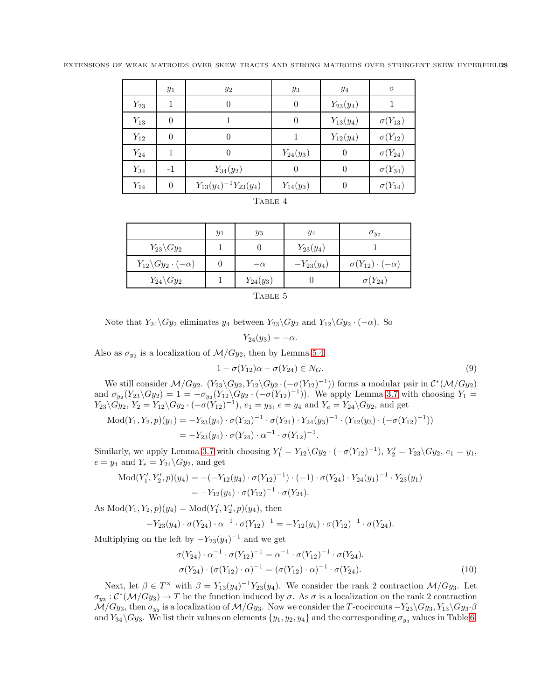<span id="page-28-0"></span>

|  |  |  |  |  |  | EXTENSIONS OF WEAK MATROIDS OVER SKEW TRACTS AND STRONG MATROIDS OVER STRINGENT SKEW HYPERFIELDS |
|--|--|--|--|--|--|--------------------------------------------------------------------------------------------------|
|  |  |  |  |  |  |                                                                                                  |

|          | $y_1$    | $y_2$                         | $y_3$          | $y_4$          | $\sigma$         |
|----------|----------|-------------------------------|----------------|----------------|------------------|
| $Y_{23}$ | 1        | $\overline{0}$                | $\overline{0}$ | $Y_{23}(y_4)$  |                  |
| $Y_{13}$ | 0        |                               | $\overline{0}$ | $Y_{13}(y_4)$  | $\sigma(Y_{13})$ |
| $Y_{12}$ | 0        | $\theta$                      |                | $Y_{12}(y_4)$  | $\sigma(Y_{12})$ |
| $Y_{24}$ |          | $\theta$                      | $Y_{24}(y_3)$  | $\overline{0}$ | $\sigma(Y_{24})$ |
| $Y_{34}$ | $-1$     | $Y_{34}(y_2)$                 | $\theta$       | $\theta$       | $\sigma(Y_{34})$ |
| $Y_{14}$ | $\theta$ | $Y_{13}(y_4)^{-1}Y_{23}(y_4)$ | $Y_{14}(y_3)$  | $\theta$       | $\sigma(Y_{14})$ |

| . . |  |
|-----|--|
|-----|--|

<span id="page-28-1"></span>

|                                        | $y_1$ | $y_3$         | $y_4$          | $\sigma_{u_2}$                 |  |
|----------------------------------------|-------|---------------|----------------|--------------------------------|--|
| $Y_{23}\backslash Gy_2$                |       |               | $Y_{23}(y_4)$  |                                |  |
| $Y_{12}\backslash Gy_2\cdot (-\alpha)$ |       | $-\alpha$     | $-Y_{23}(y_4)$ | $\sigma(Y_{12})\cdot(-\alpha)$ |  |
| $Y_{24}\backslash Gy_2$                |       | $Y_{24}(y_3)$ |                | $\sigma(Y_{24})$               |  |
| $T_{\text{ADID}}$ $\zeta$              |       |               |                |                                |  |

'TABLE 5

Note that  $Y_{24}\backslash Gy_2$  eliminates  $y_4$  between  $Y_{23}\backslash Gy_2$  and  $Y_{12}\backslash Gy_2 \cdot (-\alpha)$ . So

$$
Y_{24}(y_3) = -\alpha.
$$

Also as  $\sigma_{y_2}$  is a localization of  $\mathcal{M}/G_{y_2}$ , then by Lemma [5.4](#page-19-1)

<span id="page-28-2"></span>
$$
1 - \sigma(Y_{12})\alpha - \sigma(Y_{24}) \in N_G. \tag{9}
$$

We still consider  $\mathcal{M}/Gy_2$ .  $(Y_{23}\backslash Gy_2, Y_{12}\backslash Gy_2 \cdot (-\sigma(Y_{12})^{-1}))$  forms a modular pair in  $\mathcal{C}^*(\mathcal{M}/Gy_2)$ and  $\sigma_{y_2}(Y_{23}\backslash Gy_2) = 1 = -\sigma_{y_2}(Y_{12}\backslash Gy_2 \cdot (-\sigma(Y_{12})^{-1}))$ . We apply Lemma [3.7](#page-12-0) with choosing  $Y_1 =$  $Y_{23}\backslash Gy_2, Y_2=Y_{12}\backslash Gy_2\cdot (-\sigma(Y_{12})^{-1}), e_1=y_3, e=y_4 \text{ and } Y_e=Y_{24}\backslash Gy_2, \text{ and get}$ 

$$
\begin{aligned} \text{Mod}(Y_1, Y_2, p)(y_4) &= -Y_{23}(y_4) \cdot \sigma(Y_{23})^{-1} \cdot \sigma(Y_{24}) \cdot Y_{24}(y_3)^{-1} \cdot (Y_{12}(y_3) \cdot (-\sigma(Y_{12})^{-1})) \\ &= -Y_{23}(y_4) \cdot \sigma(Y_{24}) \cdot \alpha^{-1} \cdot \sigma(Y_{12})^{-1} .\end{aligned}
$$

Similarly, we apply Lemma [3.7](#page-12-0) with choosing  $Y'_1 = Y_{12} \setminus Gy_2 \cdot (-\sigma(Y_{12})^{-1}), Y'_2 = Y_{23} \setminus Gy_2, e_1 = y_1$ ,  $e = y_4$  and  $Y_e = Y_{24} \backslash Gy_2$ , and get

Mod
$$
(Y'_1, Y'_2, p)(y_4) = -(-Y_{12}(y_4) \cdot \sigma(Y_{12})^{-1}) \cdot (-1) \cdot \sigma(Y_{24}) \cdot Y_{24}(y_1)^{-1} \cdot Y_{23}(y_1)
$$
  
=  $-Y_{12}(y_4) \cdot \sigma(Y_{12})^{-1} \cdot \sigma(Y_{24}).$ 

As  $Mod(Y_1, Y_2, p)(y_4) = Mod(Y'_1, Y'_2, p)(y_4)$ , then

$$
-Y_{23}(y_4)\cdot \sigma(Y_{24})\cdot \alpha^{-1}\cdot \sigma(Y_{12})^{-1}=-Y_{12}(y_4)\cdot \sigma(Y_{12})^{-1}\cdot \sigma(Y_{24}).
$$

Multiplying on the left by  $-Y_{23}(y_4)^{-1}$  and we get

<span id="page-28-3"></span>
$$
\sigma(Y_{24}) \cdot \alpha^{-1} \cdot \sigma(Y_{12})^{-1} = \alpha^{-1} \cdot \sigma(Y_{12})^{-1} \cdot \sigma(Y_{24}).
$$
  
\n
$$
\sigma(Y_{24}) \cdot (\sigma(Y_{12}) \cdot \alpha)^{-1} = (\sigma(Y_{12}) \cdot \alpha)^{-1} \cdot \sigma(Y_{24}).
$$
\n(10)

Next, let  $\beta \in T^{\times}$  with  $\beta = Y_{13}(y_4)^{-1}Y_{23}(y_4)$ . We consider the rank 2 contraction  $\mathcal{M}/Gy_3$ . Let  $\sigma_{y_3}: C^*(\mathcal{M}/Gy_3) \to T$  be the function induced by  $\sigma$ . As  $\sigma$  is a localization on the rank 2 contraction  $\mathcal{M}/Gy_3$ , then  $\sigma_{ys}$  is a localization of  $\mathcal{M}/Gy_3$ . Now we consider the T-cocircuits  $-Y_{23}\setminus Gy_3, Y_{13}\setminus Gy_3 \cdot \beta$ and  $Y_{34}\backslash Gy_3$ . We list their values on elements  $\{y_1, y_2, y_4\}$  and the corresponding  $\sigma_{y_3}$  values in Table [6.](#page-29-0)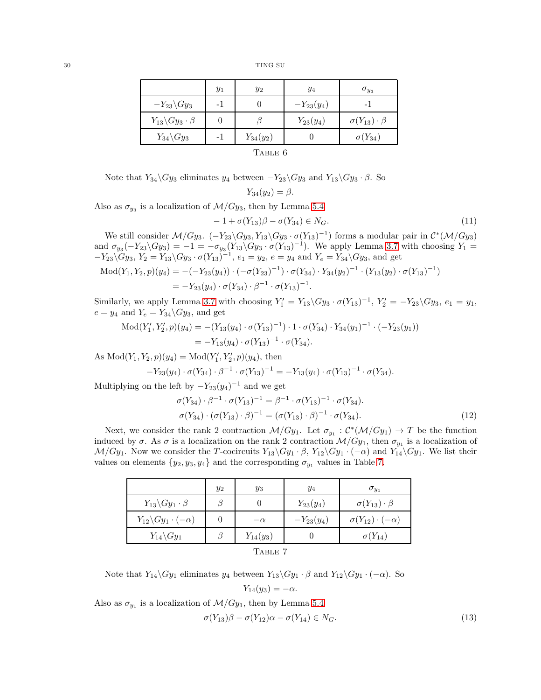<span id="page-29-0"></span>

|                                    | $y_1$ | $y_2$         | $y_4$          | $\sigma_{y_3}$             |  |  |
|------------------------------------|-------|---------------|----------------|----------------------------|--|--|
| $-Y_{23}\backslash Gy_3$           |       |               | $-Y_{23}(y_4)$ |                            |  |  |
| $Y_{13}\backslash Gy_3\cdot \beta$ |       |               | $Y_{23}(y_4)$  | $\sigma(Y_{13})\cdot\beta$ |  |  |
| $Y_{34}\backslash Gy_3$            |       | $Y_{34}(y_2)$ |                | $\sigma(Y_{34})$           |  |  |
|                                    |       |               |                |                            |  |  |

| A BL |  |
|------|--|
|------|--|

Note that  $Y_{34}\backslash Gy_3$  eliminates  $y_4$  between  $-Y_{23}\backslash Gy_3$  and  $Y_{13}\backslash Gy_3 \cdot \beta$ . So

$$
Y_{34}(y_2)=\beta.
$$

Also as  $\sigma_{y_3}$  is a localization of  $\mathcal{M}/G_{y_3}$ , then by Lemma [5.4](#page-19-1)

<span id="page-29-2"></span>
$$
-1 + \sigma(Y_{13})\beta - \sigma(Y_{34}) \in N_G. \tag{11}
$$

We still consider  $\mathcal{M}/Gy_3$ .  $(-Y_{23}\backslash Gy_3, Y_{13}\backslash Gy_3 \cdot \sigma(Y_{13})^{-1})$  forms a modular pair in  $\mathcal{C}^*(\mathcal{M}/Gy_3)$ and  $\sigma_{y_3}(-Y_{23}\backslash Gy_3) = -1 = -\sigma_{y_3}(Y_{13}\backslash Gy_3 \cdot \sigma(Y_{13})^{-1})$ . We apply Lemma [3.7](#page-12-0) with choosing  $Y_1 =$  $-Y_{23}\backslash Gy_3, Y_2=Y_{13}\backslash Gy_3 \cdot \sigma(Y_{13})^{-1}, e_1=y_2, e=y_4 \text{ and } Y_e=Y_{34}\backslash Gy_3, \text{ and get}$ 

$$
\begin{aligned} \text{Mod}(Y_1, Y_2, p)(y_4) &= -(-Y_{23}(y_4)) \cdot (-\sigma(Y_{23})^{-1}) \cdot \sigma(Y_{34}) \cdot Y_{34}(y_2)^{-1} \cdot (Y_{13}(y_2) \cdot \sigma(Y_{13})^{-1}) \\ &= -Y_{23}(y_4) \cdot \sigma(Y_{34}) \cdot \beta^{-1} \cdot \sigma(Y_{13})^{-1} .\end{aligned}
$$

Similarly, we apply Lemma [3.7](#page-12-0) with choosing  $Y'_1 = Y_{13} \backslash Gy_3 \cdot \sigma(Y_{13})^{-1}$ ,  $Y'_2 = -Y_{23} \backslash Gy_3$ ,  $e_1 = y_1$ ,  $e = y_4$  and  $Y_e = Y_{34} \backslash Gy_3$ , and get

$$
\begin{aligned} \text{Mod}(Y_1', Y_2', p)(y_4) &= -(Y_{13}(y_4) \cdot \sigma(Y_{13})^{-1}) \cdot 1 \cdot \sigma(Y_{34}) \cdot Y_{34}(y_1)^{-1} \cdot (-Y_{23}(y_1)) \\ &= -Y_{13}(y_4) \cdot \sigma(Y_{13})^{-1} \cdot \sigma(Y_{34}). \end{aligned}
$$

As  $Mod(Y_1, Y_2, p)(y_4) = Mod(Y'_1, Y'_2, p)(y_4)$ , then

$$
-Y_{23}(y_4)\cdot \sigma(Y_{34})\cdot \beta^{-1}\cdot \sigma(Y_{13})^{-1}=-Y_{13}(y_4)\cdot \sigma(Y_{13})^{-1}\cdot \sigma(Y_{34}).
$$

Multiplying on the left by  $-Y_{23}(y_4)^{-1}$  and we get

$$
\sigma(Y_{34}) \cdot \beta^{-1} \cdot \sigma(Y_{13})^{-1} = \beta^{-1} \cdot \sigma(Y_{13})^{-1} \cdot \sigma(Y_{34}).
$$
  
\n
$$
\sigma(Y_{34}) \cdot (\sigma(Y_{13}) \cdot \beta)^{-1} = (\sigma(Y_{13}) \cdot \beta)^{-1} \cdot \sigma(Y_{34}).
$$
\n(12)

<span id="page-29-1"></span>Next, we consider the rank 2 contraction  $\mathcal{M}/Gy_1$ . Let  $\sigma_{y_1} : C^*(\mathcal{M}/Gy_1) \to T$  be the function induced by  $\sigma$ . As  $\sigma$  is a localization on the rank 2 contraction  $\mathcal{M}/Gy_1$ , then  $\sigma_{y_1}$  is a localization of  $\mathcal{M}/Gy_1$ . Now we consider the T-cocircuits  $Y_{13}\backslash Gy_1 \cdot \beta$ ,  $Y_{12}\backslash Gy_1 \cdot (-\alpha)$  and  $Y_{14}\backslash Gy_1$ . We list their values on elements  $\{y_2, y_3, y_4\}$  and the corresponding  $\sigma_{y_1}$  values in Table [7.](#page-29-1)

|                                        | $y_2$ | $y_3$            | $y_4$          | $\sigma_{y_1}$                 |  |
|----------------------------------------|-------|------------------|----------------|--------------------------------|--|
| $Y_{13}\backslash Gy_1\cdot \beta$     |       | $\left( \right)$ | $Y_{23}(y_4)$  | $\sigma(Y_{13})\cdot\beta$     |  |
| $Y_{12}\backslash Gy_1\cdot (-\alpha)$ |       | $-\alpha$        | $-Y_{23}(y_4)$ | $\sigma(Y_{12})\cdot(-\alpha)$ |  |
| $Y_{14}\backslash Gy_1$                |       | $Y_{14}(y_3)$    |                | $\sigma(Y_{14})$               |  |
| TABLE 7                                |       |                  |                |                                |  |

Note that  $Y_{14}\backslash Gy_1$  eliminates  $y_4$  between  $Y_{13}\backslash Gy_1 \cdot \beta$  and  $Y_{12}\backslash Gy_1 \cdot (-\alpha)$ . So

<span id="page-29-3"></span>
$$
Y_{14}(y_3) = -\alpha.
$$

Also as  $\sigma_{y_1}$  is a localization of  $\mathcal{M}/G_{y_1}$ , then by Lemma [5.4](#page-19-1)

<span id="page-29-4"></span>
$$
\sigma(Y_{13})\beta - \sigma(Y_{12})\alpha - \sigma(Y_{14}) \in N_G. \tag{13}
$$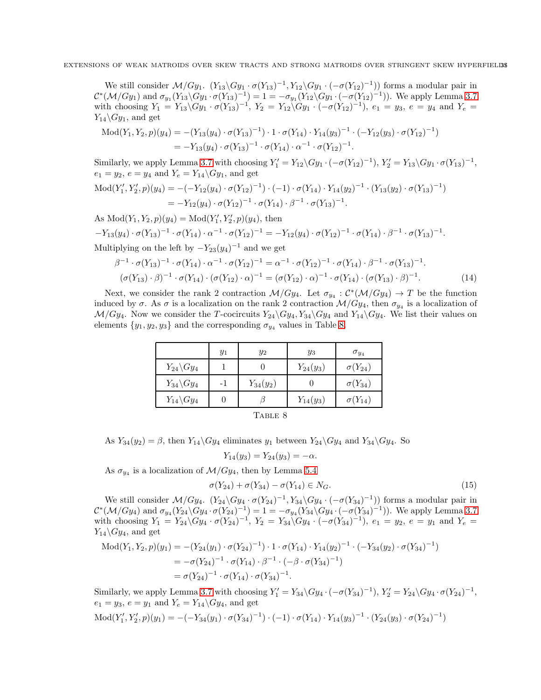We still consider  $\mathcal{M}/Gy_1$ .  $(Y_{13}\backslash Gy_1 \cdot \sigma(Y_{13})^{-1}, Y_{12}\backslash Gy_1 \cdot (-\sigma(Y_{12})^{-1}))$  forms a modular pair in  $\mathcal{C}^*(\mathcal{M}/Gy_1)$  and  $\sigma_{y_1}(Y_{13}\backslash Gy_1 \cdot \sigma(Y_{13})^{-1}) = 1 = -\sigma_{y_1}(Y_{12}\backslash Gy_1 \cdot (-\sigma(Y_{12})^{-1}))$ . We apply Lemma [3.7](#page-12-0) with choosing  $Y_1 = Y_{13} \backslash Gy_1 \cdot \sigma(Y_{13})^{-1}$ ,  $Y_2 = Y_{12} \backslash Gy_1 \cdot (-\sigma(Y_{12})^{-1})$ ,  $e_1 = y_3$ ,  $e = y_4$  and  $Y_e =$  $Y_{14}\backslash Gy_1$ , and get

$$
\begin{split} \text{Mod}(Y_1, Y_2, p)(y_4) &= -(Y_{13}(y_4) \cdot \sigma(Y_{13})^{-1}) \cdot 1 \cdot \sigma(Y_{14}) \cdot Y_{14}(y_3)^{-1} \cdot (-Y_{12}(y_3) \cdot \sigma(Y_{12})^{-1}) \\ &= -Y_{13}(y_4) \cdot \sigma(Y_{13})^{-1} \cdot \sigma(Y_{14}) \cdot \alpha^{-1} \cdot \sigma(Y_{12})^{-1} .\end{split}
$$

Similarly, we apply Lemma [3.7](#page-12-0) with choosing  $Y'_1 = Y_{12} \setminus Gy_1 \cdot (-\sigma(Y_{12})^{-1}), Y'_2 = Y_{13} \setminus Gy_1 \cdot \sigma(Y_{13})^{-1}$ ,  $e_1 = y_2, e = y_4$  and  $Y_e = Y_{14} \backslash Gy_1$ , and get  $\text{Mod}(Y'_1, Y'_2, p)(y_4) = -(-Y_{12}(y_4) \cdot \sigma(Y_{12})^{-1}) \cdot (-1) \cdot \sigma(Y_{14}) \cdot Y_{14}(y_2)^{-1} \cdot (Y_{13}(y_2) \cdot \sigma(Y_{13})^{-1})$  $= -Y_{12}(y_4) \cdot \sigma(Y_{12})^{-1} \cdot \sigma(Y_{14}) \cdot \beta^{-1} \cdot \sigma(Y_{13})^{-1}.$ 

As  $Mod(Y_1, Y_2, p)(y_4) = Mod(Y'_1, Y'_2, p)(y_4)$ , then  $-Y_{13}(y_4)\cdot \sigma(Y_{13})^{-1}\cdot \sigma(Y_{14})\cdot \alpha^{-1}\cdot \sigma(Y_{12})^{-1}=-Y_{12}(y_4)\cdot \sigma(Y_{12})^{-1}\cdot \sigma(Y_{14})\cdot \beta^{-1}\cdot \sigma(Y_{13})^{-1}.$ 

Multiplying on the left by  $-Y_{23}(y_4)^{-1}$  and we get

$$
\beta^{-1} \cdot \sigma(Y_{13})^{-1} \cdot \sigma(Y_{14}) \cdot \alpha^{-1} \cdot \sigma(Y_{12})^{-1} = \alpha^{-1} \cdot \sigma(Y_{12})^{-1} \cdot \sigma(Y_{14}) \cdot \beta^{-1} \cdot \sigma(Y_{13})^{-1}.
$$
  
\n
$$
(\sigma(Y_{13}) \cdot \beta)^{-1} \cdot \sigma(Y_{14}) \cdot (\sigma(Y_{12}) \cdot \alpha)^{-1} = (\sigma(Y_{12}) \cdot \alpha)^{-1} \cdot \sigma(Y_{14}) \cdot (\sigma(Y_{13}) \cdot \beta)^{-1}.
$$
 (14)

<span id="page-30-0"></span>Next, we consider the rank 2 contraction  $\mathcal{M}/Gy_4$ . Let  $\sigma_{y_4}: C^*(\mathcal{M}/Gy_4) \to T$  be the function induced by  $\sigma$ . As  $\sigma$  is a localization on the rank 2 contraction  $\mathcal{M}/Gy_4$ , then  $\sigma_{y_4}$  is a localization of  $\mathcal{M}/Gy_4$ . Now we consider the T-cocircuits  $Y_{24}\backslash Gy_4, Y_{34}\backslash Gy_4$  and  $Y_{14}\backslash Gy_4$ . We list their values on elements  $\{y_1, y_2, y_3\}$  and the corresponding  $\sigma_{y_4}$  values in Table [8.](#page-30-0)

|                                   | $y_1$ | $y_2$         | $y_3$         | $\sigma_{y_4}$   |  |
|-----------------------------------|-------|---------------|---------------|------------------|--|
| $Y_{24}\backslash Gy_4$           |       |               | $Y_{24}(y_3)$ | $\sigma(Y_{24})$ |  |
| $Y_{34}\backslash Gy_4$           |       | $Y_{34}(y_2)$ |               | $\sigma(Y_{34})$ |  |
| $Y_{14}\backslash Gy_4$           |       |               | $Y_{14}(y_3)$ | $\sigma(Y_{14})$ |  |
| $\mathbf{m} \cdot - - \mathbf{m}$ |       |               |               |                  |  |

<span id="page-30-1"></span>

| n.<br>o. |  |
|----------|--|
|----------|--|

As  $Y_{34}(y_2) = \beta$ , then  $Y_{14} \backslash Gy_4$  eliminates  $y_1$  between  $Y_{24} \backslash Gy_4$  and  $Y_{34} \backslash Gy_4$ . So

$$
Y_{14}(y_3) = Y_{24}(y_3) = -\alpha.
$$

As  $\sigma_{y_4}$  is a localization of  $\mathcal{M}/G_{y_4}$ , then by Lemma [5.4](#page-19-1)

<span id="page-30-2"></span>
$$
\sigma(Y_{24}) + \sigma(Y_{34}) - \sigma(Y_{14}) \in N_G. \tag{15}
$$

We still consider  $\mathcal{M}/Gy_4$ .  $(Y_{24}\backslash Gy_4 \cdot \sigma(Y_{24})^{-1}, Y_{34}\backslash Gy_4 \cdot (-\sigma(Y_{34})^{-1}))$  forms a modular pair in  $\mathcal{C}^*(\mathcal{M}/Gy_4)$  and  $\sigma_{y_4}(Y_{24}\backslash Gy_4 \cdot \sigma(Y_{24})^{-1}) = 1 = -\sigma_{y_4}(Y_{34}\backslash Gy_4 \cdot (-\sigma(Y_{34})^{-1}))$ . We apply Lemma [3.7](#page-12-0) with choosing  $Y_1 = Y_{24} \backslash Gy_4 \cdot \sigma(Y_{24})^{-1}$ ,  $Y_2 = Y_{34} \backslash Gy_4 \cdot (-\sigma(Y_{34})^{-1})$ ,  $e_1 = y_2$ ,  $e = y_1$  and  $Y_e =$  $Y_{14}\backslash Gy_4$ , and get

$$
\begin{aligned} \text{Mod}(Y_1, Y_2, p)(y_1) &= -(Y_{24}(y_1) \cdot \sigma(Y_{24})^{-1}) \cdot 1 \cdot \sigma(Y_{14}) \cdot Y_{14}(y_2)^{-1} \cdot (-Y_{34}(y_2) \cdot \sigma(Y_{34})^{-1}) \\ &= -\sigma(Y_{24})^{-1} \cdot \sigma(Y_{14}) \cdot \beta^{-1} \cdot (-\beta \cdot \sigma(Y_{34})^{-1}) \\ &= \sigma(Y_{24})^{-1} \cdot \sigma(Y_{14}) \cdot \sigma(Y_{34})^{-1} .\end{aligned}
$$

Similarly, we apply Lemma [3.7](#page-12-0) with choosing  $Y'_1 = Y_{34} \setminus Gy_4 \cdot (-\sigma(Y_{34})^{-1}), Y'_2 = Y_{24} \setminus Gy_4 \cdot \sigma(Y_{24})^{-1}$ ,  $e_1 = y_3, e = y_1$  and  $Y_e = Y_{14} \backslash Gy_4$ , and get

Mod
$$
(Y'_1, Y'_2, p)(y_1) = -(-Y_{34}(y_1) \cdot \sigma(Y_{34})^{-1}) \cdot (-1) \cdot \sigma(Y_{14}) \cdot Y_{14}(y_3)^{-1} \cdot (Y_{24}(y_3) \cdot \sigma(Y_{24})^{-1})
$$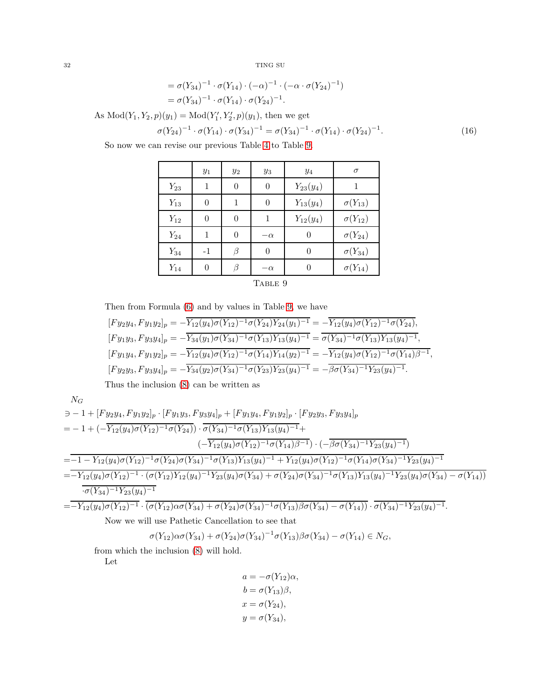$$
= \sigma(Y_{34})^{-1} \cdot \sigma(Y_{14}) \cdot (-\alpha)^{-1} \cdot (-\alpha \cdot \sigma(Y_{24})^{-1})
$$
  
=  $\sigma(Y_{34})^{-1} \cdot \sigma(Y_{14}) \cdot \sigma(Y_{24})^{-1}$ .

As  $Mod(Y_1, Y_2, p)(y_1) = Mod(Y'_1, Y'_2, p)(y_1)$ , then we get

<span id="page-31-1"></span>
$$
\sigma(Y_{24})^{-1} \cdot \sigma(Y_{14}) \cdot \sigma(Y_{34})^{-1} = \sigma(Y_{34})^{-1} \cdot \sigma(Y_{14}) \cdot \sigma(Y_{24})^{-1}.
$$
\n(16)

<span id="page-31-0"></span>So now we can revise our previous Table [4](#page-28-0) to Table [9.](#page-31-0)

| $y_1$    | $y_2$          | $y_3$     | $y_4$         | $\sigma$                             |  |  |
|----------|----------------|-----------|---------------|--------------------------------------|--|--|
| 1        | $\overline{0}$ | $\theta$  | $Y_{23}(y_4)$ |                                      |  |  |
| 0        | 1              | $\theta$  | $Y_{13}(y_4)$ | $\sigma(Y_{13})$                     |  |  |
| $\theta$ | $\overline{0}$ | 1         | $Y_{12}(y_4)$ | $\sigma(Y_{12})$                     |  |  |
| 1        | $\overline{0}$ | $-\alpha$ | $\theta$      | $\sigma(Y_{24})$                     |  |  |
| $-1$     | β              | $\theta$  | $\Omega$      | $\sigma(Y_{34})$<br>$\sigma(Y_{14})$ |  |  |
| $\Omega$ | β              | $-\alpha$ | 0             |                                      |  |  |
|          |                |           |               |                                      |  |  |

TABLE 9

Then from Formula [\(6\)](#page-23-1) and by values in Table [9,](#page-31-0) we have

$$
[Fy_2y_4, Fy_1y_2]_p = -\overline{Y_{12}(y_4)\sigma(Y_{12})^{-1}\sigma(Y_{24})Y_{24}(y_1)^{-1}} = -\overline{Y_{12}(y_4)\sigma(Y_{12})^{-1}\sigma(Y_{24})},
$$
  
\n
$$
[Fy_1y_3, Fy_3y_4]_p = -\overline{Y_{34}(y_1)\sigma(Y_{34})^{-1}\sigma(Y_{13})Y_{13}(y_4)^{-1}} = \overline{\sigma(Y_{34})^{-1}\sigma(Y_{13})Y_{13}(y_4)^{-1}},
$$
  
\n
$$
[Fy_1y_4, Fy_1y_2]_p = -\overline{Y_{12}(y_4)\sigma(Y_{12})^{-1}\sigma(Y_{14})Y_{14}(y_2)^{-1}} = -\overline{Y_{12}(y_4)\sigma(Y_{12})^{-1}\sigma(Y_{14})\beta^{-1}},
$$
  
\n
$$
[Fy_2y_3, Fy_3y_4]_p = -\overline{Y_{34}(y_2)\sigma(Y_{34})^{-1}\sigma(Y_{23})Y_{23}(y_4)^{-1}} = -\overline{\beta\sigma(Y_{34})^{-1}Y_{23}(y_4)^{-1}}.
$$
  
\nThus the inclusion (8) can be written as

Thus the inclusion [\(8\)](#page-23-2) can be written as

$$
N_G
$$
\n
$$
= -1 + [F y_2 y_4, F y_1 y_2]_p \cdot [F y_1 y_3, F y_3 y_4]_p + [F y_1 y_4, F y_1 y_2]_p \cdot [F y_2 y_3, F y_3 y_4]_p
$$
\n
$$
= -1 + (-\overline{Y_{12}(y_4)\sigma(Y_{12})^{-1}\sigma(Y_{24})}) \cdot \overline{\sigma(Y_{34})^{-1}\sigma(Y_{13})Y_{13}(y_4)^{-1}} + (-\overline{Y_{12}(y_4)\sigma(Y_{12})^{-1}\sigma(Y_{14})\beta^{-1}}) \cdot (-\overline{\beta \sigma(Y_{34})^{-1}Y_{23}(y_4)^{-1}})
$$
\n
$$
= -1 - Y_{12}(y_4)\sigma(Y_{12})^{-1}\sigma(Y_{24})\sigma(Y_{34})^{-1}\sigma(Y_{13})Y_{13}(y_4)^{-1} + Y_{12}(y_4)\sigma(Y_{12})^{-1}\sigma(Y_{14})\sigma(Y_{34})^{-1}Y_{23}(y_4)^{-1}
$$
\n
$$
= -Y_{12}(y_4)\sigma(Y_{12})^{-1} \cdot (\sigma(Y_{12})Y_{12}(y_4)^{-1}Y_{23}(y_4)\sigma(Y_{34}) + \sigma(Y_{24})\sigma(Y_{34})^{-1}\sigma(Y_{13})Y_{13}(y_4)^{-1}Y_{23}(y_4)\sigma(Y_{34}) - \sigma(Y_{14}))
$$
\n
$$
\overline{\sigma(Y_{34})^{-1}Y_{23}(y_4)^{-1}}
$$
\n
$$
= -Y_{12}(y_4)\sigma(Y_{12})^{-1} \cdot (\overline{\sigma(Y_{12})\alpha\sigma(Y_{34}) + \sigma(Y_{24})\sigma(Y_{34})^{-1}\sigma(Y_{13})\beta\sigma(Y_{34}) - \sigma(Y_{14}))} \cdot \overline{\sigma(Y_{34})^{-1}Y_{23}(y_4)^{-1}}.
$$

Now we will use Pathetic Cancellation to see that

$$
\sigma(Y_{12})\alpha\sigma(Y_{34}) + \sigma(Y_{24})\sigma(Y_{34})^{-1}\sigma(Y_{13})\beta\sigma(Y_{34}) - \sigma(Y_{14}) \in N_G,
$$

from which the inclusion [\(8\)](#page-23-2) will hold.

Let

$$
a = -\sigma(Y_{12})\alpha,
$$
  
\n
$$
b = \sigma(Y_{13})\beta,
$$
  
\n
$$
x = \sigma(Y_{24}),
$$
  
\n
$$
y = \sigma(Y_{34}),
$$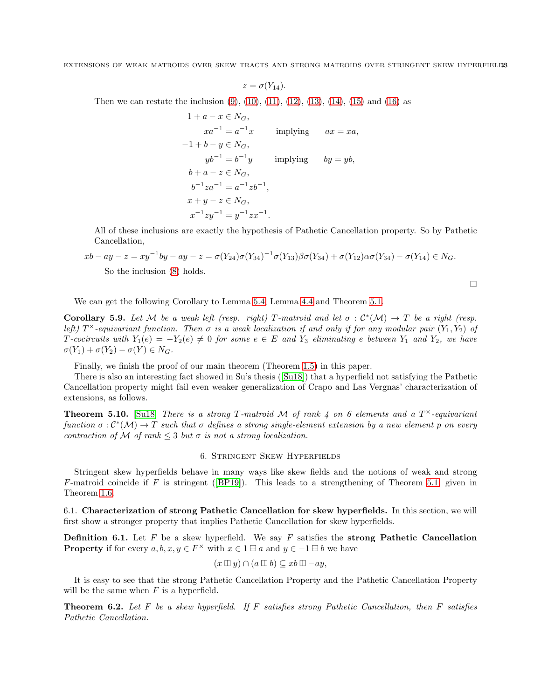$$
z=\sigma(Y_{14}).
$$

Then we can restate the inclusion [\(9\)](#page-28-2), [\(10\)](#page-28-3), [\(11\)](#page-29-2), [\(12\)](#page-29-3), [\(13\)](#page-29-4), [\(14\)](#page-30-1), [\(15\)](#page-30-2) and [\(16\)](#page-31-1) as

$$
1 + a - x \in N_G,
$$
  
\n
$$
xa^{-1} = a^{-1}x \qquad \text{implying} \qquad ax = xa,
$$
  
\n
$$
-1 + b - y \in N_G,
$$
  
\n
$$
yb^{-1} = b^{-1}y \qquad \text{implying} \qquad by = yb,
$$
  
\n
$$
b + a - z \in N_G,
$$
  
\n
$$
b^{-1}za^{-1} = a^{-1}zb^{-1},
$$
  
\n
$$
x + y - z \in N_G,
$$
  
\n
$$
x^{-1}zy^{-1} = y^{-1}zx^{-1}.
$$

All of these inclusions are exactly the hypothesis of Pathetic Cancellation property. So by Pathetic Cancellation,

$$
xb - ay - z = xy^{-1}by - ay - z = \sigma(Y_{24})\sigma(Y_{34})^{-1}\sigma(Y_{13})\beta\sigma(Y_{34}) + \sigma(Y_{12})\alpha\sigma(Y_{34}) - \sigma(Y_{14}) \in N_G.
$$
  
So the inclusion (8) holds.

 $\Box$ 

We can get the following Corollary to Lemma [5.4,](#page-19-1) Lemma [4.4](#page-14-3) and Theorem [5.1.](#page-18-1)

**Corollary 5.9.** Let M be a weak left (resp. right) T-matroid and let  $\sigma : C^*(\mathcal{M}) \to T$  be a right (resp. *left)*  $T^{\times}$ -equivariant function. Then  $\sigma$  is a weak localization if and only if for any modular pair  $(Y_1, Y_2)$  of  $T$ *-cocircuits with*  $Y_1(e) = -Y_2(e) \neq 0$  *for some*  $e \in E$  *and*  $Y_3$  *eliminating*  $e$  *between*  $Y_1$  *and*  $Y_2$ *, we have*  $\sigma(Y_1) + \sigma(Y_2) - \sigma(Y) \in N_G$ .

Finally, we finish the proof of our main theorem (Theorem [1.5\)](#page-4-1) in this paper.

There is also an interesting fact showed in Su's thesis ([\[Su18\]](#page-37-9)) that a hyperfield not satisfying the Pathetic Cancellation property might fail even weaker generalization of Crapo and Las Vergnas' characterization of extensions, as follows.

**Theorem 5.10.** [\[Su18\]](#page-37-9) *There is a strong* T-matroid M of rank  $\ddot{\bf{A}}$  on 6 elements and a  $T^{\times}$ -equivariant  $\mathit{function} \ \sigma : \mathcal{C}^*(\mathcal{M}) \to T$  such that  $\sigma$  defines a strong single-element extension by a new element  $p$  on every *contraction of*  $M$  *of rank*  $\leq$  3 *but*  $\sigma$  *is not a strong localization.* 

## 6. Stringent Skew Hyperfields

<span id="page-32-0"></span>Stringent skew hyperfields behave in many ways like skew fields and the notions of weak and strong F-matroid coincide if F is stringent ([\[BP19\]](#page-36-10)). This leads to a strengthening of Theorem [5.1,](#page-18-1) given in Theorem [1.6.](#page-4-2)

6.1. Characterization of strong Pathetic Cancellation for skew hyperfields. In this section, we will first show a stronger property that implies Pathetic Cancellation for skew hyperfields.

**Definition 6.1.** Let F be a skew hyperfield. We say F satisfies the strong Pathetic Cancellation **Property** if for every  $a, b, x, y \in F^{\times}$  with  $x \in 1 \boxplus a$  and  $y \in -1 \boxplus b$  we have

$$
(x \boxplus y) \cap (a \boxplus b) \subseteq xb \boxplus -ay,
$$

It is easy to see that the strong Pathetic Cancellation Property and the Pathetic Cancellation Property will be the same when  $F$  is a hyperfield.

<span id="page-32-1"></span>Theorem 6.2. *Let* F *be a skew hyperfield. If* F *satisfies strong Pathetic Cancellation, then* F *satisfies Pathetic Cancellation.*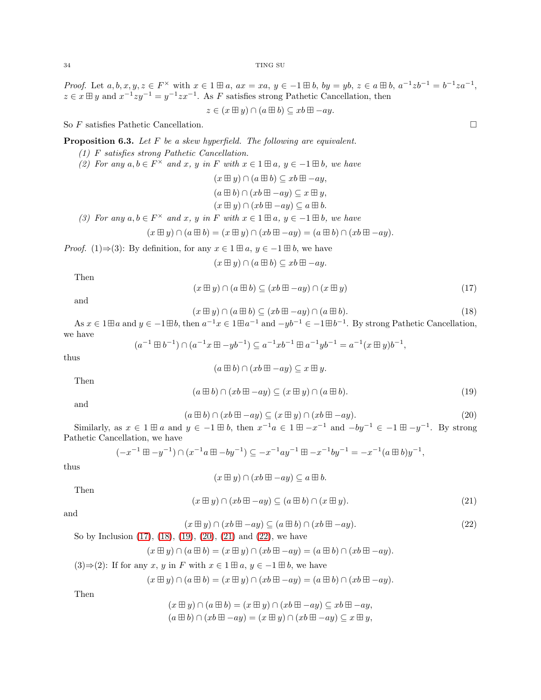*Proof.* Let  $a, b, x, y, z \in F^{\times}$  with  $x \in 1 \boxplus a$ ,  $ax = xa$ ,  $y \in -1 \boxplus b$ ,  $by = yb$ ,  $z \in a \boxplus b$ ,  $a^{-1}zb^{-1} = b^{-1}za^{-1}$ ,  $z \in x \boxplus y$  and  $x^{-1}zy^{-1} = y^{-1}zx^{-1}$ . As F satisfies strong Pathetic Cancellation, then

$$
z \in (x \boxplus y) \cap (a \boxplus b) \subseteq xb \boxplus -ay.
$$

So  $F$  satisfies Pathetic Cancellation.  $\Box$ 

<span id="page-33-6"></span>**Proposition 6.3.** Let 
$$
F
$$
 be a skew hyperfield. The following are equivalent.

- *(1)* F *satisfies strong Pathetic Cancellation.*
- *(2)* For any  $a, b \in F^\times$  and  $x, y$  in  $F$  with  $x \in 1 \boxplus a, y \in -1 \boxplus b$ , we have

 $(x \boxplus y) \cap (a \boxplus b) \subseteq xb \boxplus -ay,$  $(a \boxplus b) \cap (xb \boxplus -ay) \subseteq x \boxplus y,$ 

- $(x \boxplus y) \cap (xb \boxplus -ay) \subseteq a \boxplus b.$
- *(3)* For any  $a, b \in F^\times$  and  $x, y$  in  $F$  with  $x \in 1 \boxplus a, y \in -1 \boxplus b$ , we have

$$
(x \boxplus y) \cap (a \boxplus b) = (x \boxplus y) \cap (xb \boxplus -ay) = (a \boxplus b) \cap (xb \boxplus -ay).
$$

*Proof.* (1)⇒(3): By definition, for any  $x \in 1 \boxplus a, y \in -1 \boxplus b$ , we have

 $(x \boxplus y) \cap (a \boxplus b) \subseteq xb \boxplus -ay.$ 

Then

<span id="page-33-0"></span>
$$
(x \boxplus y) \cap (a \boxplus b) \subseteq (xb \boxplus -ay) \cap (x \boxplus y) \tag{17}
$$

and

<span id="page-33-1"></span>
$$
(x \boxplus y) \cap (a \boxplus b) \subseteq (xb \boxplus -ay) \cap (a \boxplus b). \tag{18}
$$

As  $x \in 1 \boxplus a$  and  $y \in -1 \boxplus b$ , then  $a^{-1}x \in 1 \boxplus a^{-1}$  and  $-yb^{-1} \in -1 \boxplus b^{-1}$ . By strong Pathetic Cancellation, we have

$$
(a^{-1} \boxplus b^{-1}) \cap (a^{-1}x \boxplus -yb^{-1}) \subseteq a^{-1}xb^{-1} \boxplus a^{-1}yb^{-1} = a^{-1}(x \boxplus y)b^{-1},
$$

thus

$$
(a \boxplus b) \cap (xb \boxplus -ay) \subseteq x \boxplus y.
$$

Then

<span id="page-33-2"></span>
$$
(a \boxplus b) \cap (xb \boxplus -ay) \subseteq (x \boxplus y) \cap (a \boxplus b). \tag{19}
$$

and

<span id="page-33-3"></span>
$$
(a \boxplus b) \cap (xb \boxplus -ay) \subseteq (x \boxplus y) \cap (xb \boxplus -ay). \tag{20}
$$

Similarly, as  $x \in 1 \boxplus a$  and  $y \in -1 \boxplus b$ , then  $x^{-1}a \in 1 \boxplus -x^{-1}$  and  $-by^{-1} \in -1 \boxplus -y^{-1}$ . By strong Pathetic Cancellation, we have

$$
(-x^{-1} \boxplus -y^{-1}) \cap (x^{-1}a \boxplus -by^{-1}) \subseteq -x^{-1}ay^{-1} \boxplus -x^{-1}by^{-1} = -x^{-1}(a \boxplus b)y^{-1},
$$

thus

$$
(x \boxplus y) \cap (xb \boxplus -ay) \subseteq a \boxplus b.
$$

Then

<span id="page-33-4"></span>
$$
(x \boxplus y) \cap (xb \boxplus -ay) \subseteq (a \boxplus b) \cap (x \boxplus y). \tag{21}
$$

and

<span id="page-33-5"></span>
$$
(x \boxplus y) \cap (xb \boxplus -ay) \subseteq (a \boxplus b) \cap (xb \boxplus -ay). \tag{22}
$$

So by Inclusion [\(17\)](#page-33-0), [\(18\)](#page-33-1), [\(19\)](#page-33-2), [\(20\)](#page-33-3), [\(21\)](#page-33-4) and [\(22\)](#page-33-5), we have

$$
(x \boxplus y) \cap (a \boxplus b) = (x \boxplus y) \cap (xb \boxplus -ay) = (a \boxplus b) \cap (xb \boxplus -ay).
$$

(3) 
$$
\Rightarrow
$$
 (2): If for any x, y in F with  $x \in 1 \boxplus a, y \in -1 \boxplus b$ , we have

$$
(x \boxplus y) \cap (a \boxplus b) = (x \boxplus y) \cap (xb \boxplus -ay) = (a \boxplus b) \cap (xb \boxplus -ay).
$$

Then

$$
(x \boxplus y) \cap (a \boxplus b) = (x \boxplus y) \cap (xb \boxplus -ay) \subseteq xb \boxplus -ay,
$$
  

$$
(a \boxplus b) \cap (xb \boxplus -ay) = (x \boxplus y) \cap (xb \boxplus -ay) \subseteq x \boxplus y,
$$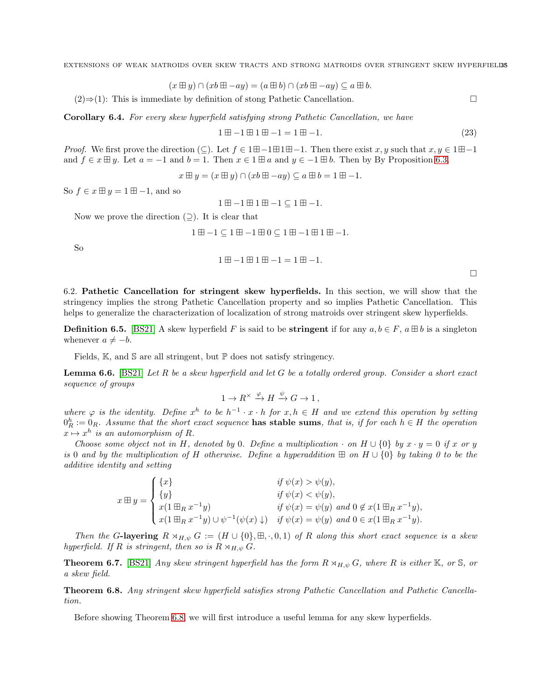$$
(x \boxplus y) \cap (xb \boxplus -ay) = (a \boxplus b) \cap (xb \boxplus -ay) \subseteq a \boxplus b.
$$

 $(2) \Rightarrow (1)$ : This is immediate by definition of stong Pathetic Cancellation. □

Corollary 6.4. *For every skew hyperfield satisfying strong Pathetic Cancellation, we have*

$$
1 \boxplus -1 \boxplus 1 \boxplus -1 = 1 \boxplus -1. \tag{23}
$$

*Proof.* We first prove the direction  $(\subseteq)$ . Let  $f \in 1 \boxplus -1 \boxplus 1 \boxplus -1$ . Then there exist x, y such that  $x, y \in 1 \boxplus -1$ and  $f \in x \boxplus y$ . Let  $a = -1$  and  $b = 1$ . Then  $x \in 1 \boxplus a$  and  $y \in -1 \boxplus b$ . Then by By Proposition [6.3,](#page-33-6)

$$
x \boxplus y = (x \boxplus y) \cap (xb \boxplus -ay) \subseteq a \boxplus b = 1 \boxplus -1.
$$

So  $f \in x \boxplus y = 1 \boxplus -1$ , and so

$$
1\boxplus -1\boxplus 1\boxplus -1\subseteq 1\boxplus -1.
$$

Now we prove the direction  $($  $\supset$ ). It is clear that

$$
1\boxplus -1\subseteq 1\boxplus -1\boxplus 0\subseteq 1\boxplus -1\boxplus 1\boxplus -1.
$$

So

$$
1\boxplus -1\boxplus 1\boxplus -1=1\boxplus -1.
$$

 $\Box$ 

6.2. Pathetic Cancellation for stringent skew hyperfields. In this section, we will show that the stringency implies the strong Pathetic Cancellation property and so implies Pathetic Cancellation. This helps to generalize the characterization of localization of strong matroids over stringent skew hyperfields.

**Definition 6.5.** [\[BS21\]](#page-36-4) A skew hyperfield F is said to be **stringent** if for any  $a, b \in F$ ,  $a \boxplus b$  is a singleton whenever  $a \neq -b$ .

Fields,  $\mathbb{K}$ , and  $\mathbb{S}$  are all stringent, but  $\mathbb{P}$  does not satisfy stringency.

Lemma 6.6. [\[BS21\]](#page-36-4) *Let* R *be a skew hyperfield and let* G *be a totally ordered group. Consider a short exact sequence of groups*

$$
1 \to R^\times \xrightarrow{\varphi} H \xrightarrow{\psi} G \to 1,
$$

where  $\varphi$  is the identity. Define  $x^h$  to be  $h^{-1} \cdot x \cdot h$  for  $x, h \in H$  and we extend this operation by setting  $0_R^h := 0_R$ . Assume that the short exact sequence **has stable sums**, that is, if for each  $h \in H$  the operation  $x \mapsto x^h$  is an automorphism of R.

*Choose some object not in* H, denoted by 0. Define a multiplication  $\cdot$  on H  $\cup$  {0} by  $x \cdot y = 0$  if x or y *is* 0 *and by the multiplication of* H *otherwise. Define a hyperaddition* ⊞ *on* H ∪ {0} *by taking 0 to be the additive identity and setting*

$$
x \boxplus y = \begin{cases} \{x\} & \text{if } \psi(x) > \psi(y), \\ \{y\} & \text{if } \psi(x) < \psi(y), \\ x(1 \boxplus_R x^{-1}y) & \text{if } \psi(x) = \psi(y) \text{ and } 0 \notin x(1 \boxplus_R x^{-1}y), \\ x(1 \boxplus_R x^{-1}y) \cup \psi^{-1}(\psi(x) \downarrow) & \text{if } \psi(x) = \psi(y) \text{ and } 0 \in x(1 \boxplus_R x^{-1}y). \end{cases}
$$

*Then the* G-layering  $R \rtimes_{H,\psi} G := (H \cup \{0\}, \boxplus, \cdot, 0, 1)$  *of* R *along this short exact sequence is a skew hyperfield. If*  $R$  *is stringent, then so is*  $R \rtimes_{H,\psi} G$ *.* 

**Theorem 6.7.** [\[BS21\]](#page-36-4) *Any skew stringent hyperfield has the form*  $R \rtimes_{H,\psi} G$ *, where* R *is either* K*, or* S*, or a skew field.*

<span id="page-34-0"></span>Theorem 6.8. *Any stringent skew hyperfield satisfies strong Pathetic Cancellation and Pathetic Cancellation.*

Before showing Theorem [6.8,](#page-34-0) we will first introduce a useful lemma for any skew hyperfields.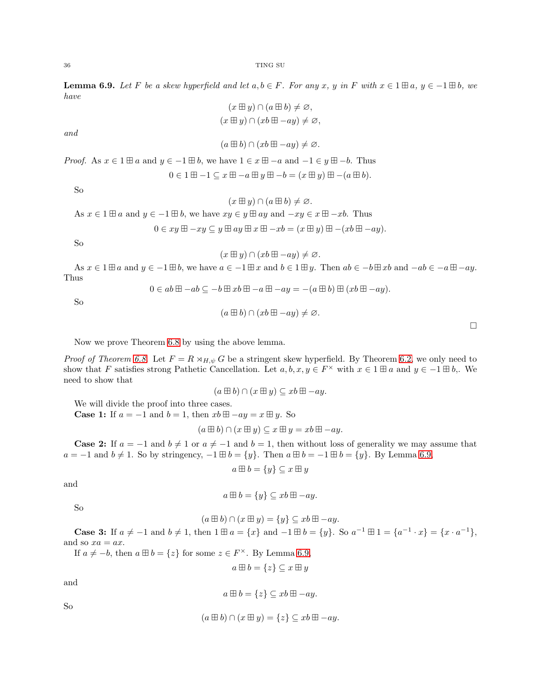<span id="page-35-0"></span>**Lemma 6.9.** Let F be a skew hyperfield and let  $a, b \in F$ . For any x, y in F with  $x \in 1 \boxplus a, y \in -1 \boxplus b$ , we *have*  $($   $\mathbb{H}$   $\mathbb{R}$ 

$$
(x \boxplus y) \cap (a \boxplus b) \neq \varnothing,
$$
  

$$
(x \boxplus y) \cap (xb \boxplus -ay) \neq \varnothing,
$$

*and*

$$
(a \boxplus b) \cap (xb \boxplus -ay) \neq \varnothing.
$$

*Proof.* As  $x \in 1 \boxplus a$  and  $y \in -1 \boxplus b$ , we have  $1 \in x \boxplus -a$  and  $-1 \in y \boxplus -b$ . Thus

$$
0 \in 1 \boxplus -1 \subseteq x \boxplus -a \boxplus y \boxplus -b = (x \boxplus y) \boxplus -(a \boxplus b).
$$

So

$$
(x \boxplus y) \cap (a \boxplus b) \neq \varnothing.
$$
  
As  $x \in 1 \boxplus a$  and  $y \in -1 \boxplus b$ , we have  $xy \in y \boxplus ay$  and  $-xy \in x \boxplus -xb$ . Thus  
 $0 \in xy \boxplus -xy \subseteq y \boxplus ay \boxplus x \boxplus -xb = (x \boxplus y) \boxplus -(xb \boxplus -ay)$ .

So

$$
(x \boxplus y) \cap (xb \boxplus -ay) \neq \varnothing.
$$

As  $x \in 1 \boxplus a$  and  $y \in -1 \boxplus b$ , we have  $a \in -1 \boxplus x$  and  $b \in 1 \boxplus y$ . Then  $ab \in -b \boxplus xb$  and  $-ab \in -a \boxplus -ay$ . Thus

So

$$
0 \in ab \boxplus -ab \subseteq -b \boxplus xb \boxplus -a \boxplus -ay = -(a \boxplus b) \boxplus (xb \boxplus -ay).
$$

$$
(a \boxplus b) \cap (xb \boxplus -ay) \neq \varnothing.
$$

 $\Box$ 

Now we prove Theorem [6.8](#page-34-0) by using the above lemma.

*Proof of Theorem [6.8.](#page-34-0)* Let  $F = R \rtimes_{H,\psi} G$  be a stringent skew hyperfield. By Theorem [6.2,](#page-32-1) we only need to show that F satisfies strong Pathetic Cancellation. Let  $a, b, x, y \in F^\times$  with  $x \in 1 \boxplus a$  and  $y \in -1 \boxplus b$ . We need to show that

$$
(a \boxplus b) \cap (x \boxplus y) \subseteq xb \boxplus -ay.
$$

We will divide the proof into three cases.

**Case 1:** If  $a = -1$  and  $b = 1$ , then  $xb \boxplus -ay = x \boxplus y$ . So

$$
(a \boxplus b) \cap (x \boxplus y) \subseteq x \boxplus y = xb \boxplus -ay.
$$

**Case 2:** If  $a = -1$  and  $b \neq 1$  or  $a \neq -1$  and  $b = 1$ , then without loss of generality we may assume that  $a = -1$  and  $b \neq 1$ . So by stringency,  $-1 \boxplus b = \{y\}$ . Then  $a \boxplus b = -1 \boxplus b = \{y\}$ . By Lemma [6.9,](#page-35-0)

$$
a \boxplus b = \{y\} \subseteq x \boxplus y
$$

and

$$
a \boxplus b = \{y\} \subseteq xb \boxplus -ay.
$$

So

$$
(a \boxplus b) \cap (x \boxplus y) = \{y\} \subseteq xb \boxplus -ay.
$$

**Case 3:** If  $a \neq -1$  and  $b \neq 1$ , then  $1 \boxplus a = \{x\}$  and  $-1 \boxplus b = \{y\}$ . So  $a^{-1} \boxplus 1 = \{a^{-1} \cdot x\} = \{x \cdot a^{-1}\}$ , and so  $xa = ax$ .

If  $a \neq -b$ , then  $a \boxplus b = \{z\}$  for some  $z \in F^{\times}$ . By Lemma [6.9,](#page-35-0)

$$
a \boxplus b = \{z\} \subseteq x \boxplus y
$$

and

$$
a \boxplus b = \{z\} \subseteq xb \boxplus -ay.
$$

So

$$
(a \boxplus b) \cap (x \boxplus y) = \{z\} \subseteq xb \boxplus -ay.
$$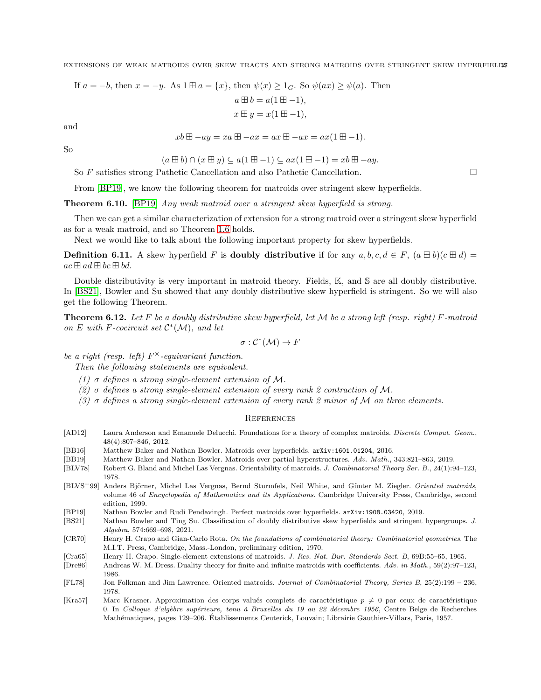If 
$$
a = -b
$$
, then  $x = -y$ . As  $1 \boxplus a = \{x\}$ , then  $\psi(x) \ge 1_G$ . So  $\psi(ax) \ge \psi(a)$ . Then  
\n
$$
a \boxplus b = a(1 \boxplus -1),
$$
\n
$$
x \boxplus y = x(1 \boxplus -1),
$$

and

$$
xb \boxplus -ay = xa \boxplus -ax = ax \boxplus -ax = ax(1 \boxplus -1).
$$

So

 $(a \boxplus b) \cap (x \boxplus y) \subseteq a(1 \boxplus -1) \subseteq ax(1 \boxplus -1) = xb \boxplus -ay.$ 

So F satisfies strong Pathetic Cancellation and also Pathetic Cancellation.

From [\[BP19\]](#page-36-10), we know the following theorem for matroids over stringent skew hyperfields.

Theorem 6.10. [\[BP19\]](#page-36-10) *Any weak matroid over a stringent skew hyperfield is strong.*

Then we can get a similar characterization of extension for a strong matroid over a stringent skew hyperfield as for a weak matroid, and so Theorem [1.6](#page-4-2) holds.

Next we would like to talk about the following important property for skew hyperfields.

**Definition 6.11.** A skew hyperfield F is **doubly distributive** if for any  $a, b, c, d \in F$ ,  $(a \boxplus b)(c \boxplus d) =$  $ac \boxplus ad \boxplus bc \boxplus bd.$ 

Double distributivity is very important in matroid theory. Fields, K, and S are all doubly distributive. In [\[BS21\]](#page-36-4), Bowler and Su showed that any doubly distributive skew hyperfield is stringent. So we will also get the following Theorem.

Theorem 6.12. *Let* F *be a doubly distributive skew hyperfield, let* M *be a strong left (resp. right)* F*-matroid on* E with F-cocircuit set  $C^*(\mathcal{M})$ , and let

$$
\sigma: \mathcal{C}^*(\mathcal{M}) \to F
$$

*be a right (resp. left)* F <sup>×</sup>*-equivariant function.*

*Then the following statements are equivalent.*

- *(1)* σ *defines a strong single-element extension of* M*.*
- *(2)* σ *defines a strong single-element extension of every rank 2 contraction of* M*.*
- *(3)* σ *defines a strong single-element extension of every rank 2 minor of* M *on three elements.*

## **REFERENCES**

- <span id="page-36-9"></span>[AD12] Laura Anderson and Emanuele Delucchi. Foundations for a theory of complex matroids. *Discrete Comput. Geom.*, 48(4):807–846, 2012.
- <span id="page-36-11"></span>[BB16] Matthew Baker and Nathan Bowler. Matroids over hyperfields. arXiv:1601.01204, 2016.
- <span id="page-36-2"></span>[BB19] Matthew Baker and Nathan Bowler. Matroids over partial hyperstructures. *Adv. Math.*, 343:821–863, 2019.
- <span id="page-36-1"></span>[BLV78] Robert G. Bland and Michel Las Vergnas. Orientability of matroids. *J. Combinatorial Theory Ser. B.*, 24(1):94–123, 1978.
- <span id="page-36-5"></span>[BLVS<sup>+</sup>99] Anders Björner, Michel Las Vergnas, Bernd Sturmfels, Neil White, and Günter M. Ziegler. *Oriented matroids*, volume 46 of *Encyclopedia of Mathematics and its Applications*. Cambridge University Press, Cambridge, second edition, 1999.
- <span id="page-36-10"></span>[BP19] Nathan Bowler and Rudi Pendavingh. Perfect matroids over hyperfields. arXiv:1908.03420, 2019.
- <span id="page-36-4"></span>[BS21] Nathan Bowler and Ting Su. Classification of doubly distributive skew hyperfields and stringent hypergroups. *J. Algebra*, 574:669–698, 2021.
- <span id="page-36-0"></span>[CR70] Henry H. Crapo and Gian-Carlo Rota. *On the foundations of combinatorial theory: Combinatorial geometries*. The M.I.T. Press, Cambridge, Mass.-London, preliminary edition, 1970.
- <span id="page-36-3"></span>[Cra65] Henry H. Crapo. Single-element extensions of matroids. *J. Res. Nat. Bur. Standards Sect. B*, 69B:55–65, 1965.
- <span id="page-36-8"></span>[Dre86] Andreas W. M. Dress. Duality theory for finite and infinite matroids with coefficients. *Adv. in Math.*, 59(2):97–123, 1986.
- <span id="page-36-6"></span>[FL78] Jon Folkman and Jim Lawrence. Oriented matroids. *Journal of Combinatorial Theory, Series B*, 25(2):199 – 236, 1978.
- <span id="page-36-7"></span>[Kra57] Marc Krasner. Approximation des corps valués complets de caractéristique  $p \neq 0$  par ceux de caractéristique 0. In *Colloque d'alg`ebre sup´erieure, tenu `a Bruxelles du 19 au 22 d´ecembre 1956*, Centre Belge de Recherches Mathématiques, pages 129–206. Établissements Ceuterick, Louvain; Librairie Gauthier-Villars, Paris, 1957.